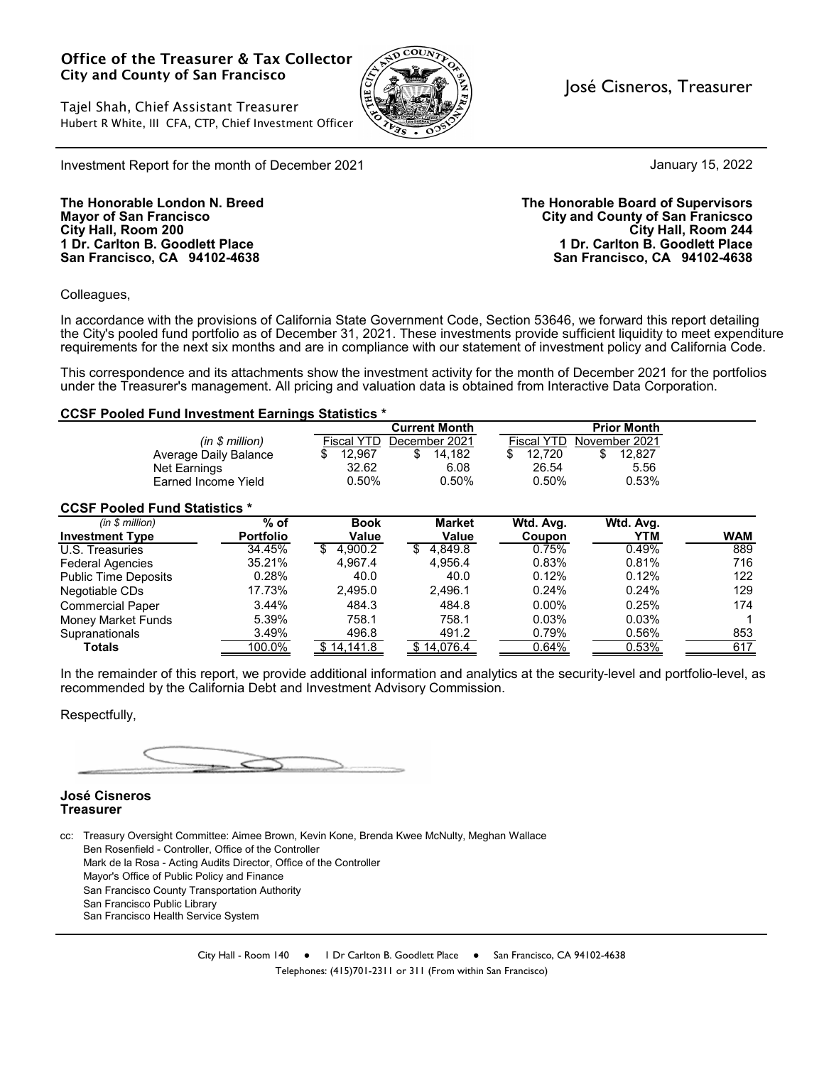#### Office of the Treasurer & Tax Collector City and County of San Francisco

Tajel Shah, Chief Assistant Treasurer Hubert R White, III CFA, CTP, Chief Investment Officer



#### José Cisneros, Treasurer

January 15, 2022

Investment Report for the month of December 2021

**San Francisco, CA 94102-4638 San Francisco, CA 94102-4638**

**The Honorable London N. Breed The Honorable Board of Supervisors Mayor of San Francisco City and County of San Franicsco City Hall, Room 200 City Hall, Room 244 1 Dr. Carlton B. Goodlett Place 1 Dr. Carlton B. Goodlett Place**

Colleagues,

In accordance with the provisions of California State Government Code, Section 53646, we forward this report detailing the City's pooled fund portfolio as of December 31, 2021. These investments provide sufficient liquidity to meet expenditure requirements for the next six months and are in compliance with our statement of investment policy and California Code.

This correspondence and its attachments show the investment activity for the month of December 2021 for the portfolios under the Treasurer's management. All pricing and valuation data is obtained from Interactive Data Corporation.

#### **CCSF Pooled Fund Investment Earnings Statistics \***

|                                      |                  |                   | <b>Current Month</b> |                   | <b>Prior Month</b> |            |
|--------------------------------------|------------------|-------------------|----------------------|-------------------|--------------------|------------|
|                                      | (in \$ million)  | <b>Fiscal YTD</b> | December 2021        | <b>Fiscal YTD</b> | November 2021      |            |
| Average Daily Balance                |                  | 12.967<br>\$      | \$<br>14.182         | 12.720            | \$<br>12.827       |            |
| Net Earnings                         | 32.62            | 6.08              | 26.54                | 5.56              |                    |            |
| Farned Income Yield                  |                  | 0.50%             | 0.50%                | 0.50%             | 0.53%              |            |
| <b>CCSF Pooled Fund Statistics *</b> |                  |                   |                      |                   |                    |            |
| (in \$ million)                      | $%$ of           | <b>Book</b>       | <b>Market</b>        | Wtd. Avg.         | Wtd. Avg.          |            |
| <b>Investment Type</b>               | <b>Portfolio</b> | Value             | Value                | Coupon            | <b>YTM</b>         | <b>WAM</b> |
| U.S. Treasuries                      | 34.45%           | 4.900.2           | 4.849.8              | 0.75%             | 0.49%              | 889        |
| <b>Federal Agencies</b>              | 35.21%           | 4.967.4           | 4.956.4              | 0.83%             | 0.81%              | 716        |
| <b>Public Time Deposits</b>          | 0.28%            | 40.0              | 40.0                 | 0.12%             | 0.12%              | 122        |
| Negotiable CDs                       | 17.73%           | 2.495.0           | 2.496.1              | 0.24%             | 0.24%              | 129        |
| <b>Commercial Paper</b>              | 3.44%            | 484.3             | 484.8                | $0.00\%$          | 0.25%              | 174        |
| <b>Money Market Funds</b>            | 5.39%            | 758.1             | 758.1                | 0.03%             | 0.03%              |            |
| Supranationals                       | 3.49%            | 496.8             | 491.2                | 0.79%             | 0.56%              | 853        |
| Totals                               | 100.0%           | \$14,141.8        | \$14,076.4           | 0.64%             | 0.53%              | 617        |

In the remainder of this report, we provide additional information and analytics at the security-level and portfolio-level, as recommended by the California Debt and Investment Advisory Commission.

Respectfully,

#### **José Cisneros Treasurer**

cc: Treasury Oversight Committee: Aimee Brown, Kevin Kone, Brenda Kwee McNulty, Meghan Wallace Ben Rosenfield - Controller, Office of the Controller Mark de la Rosa - Acting Audits Director, Office of the Controller Mayor's Office of Public Policy and Finance San Francisco County Transportation Authority San Francisco Public Library San Francisco Health Service System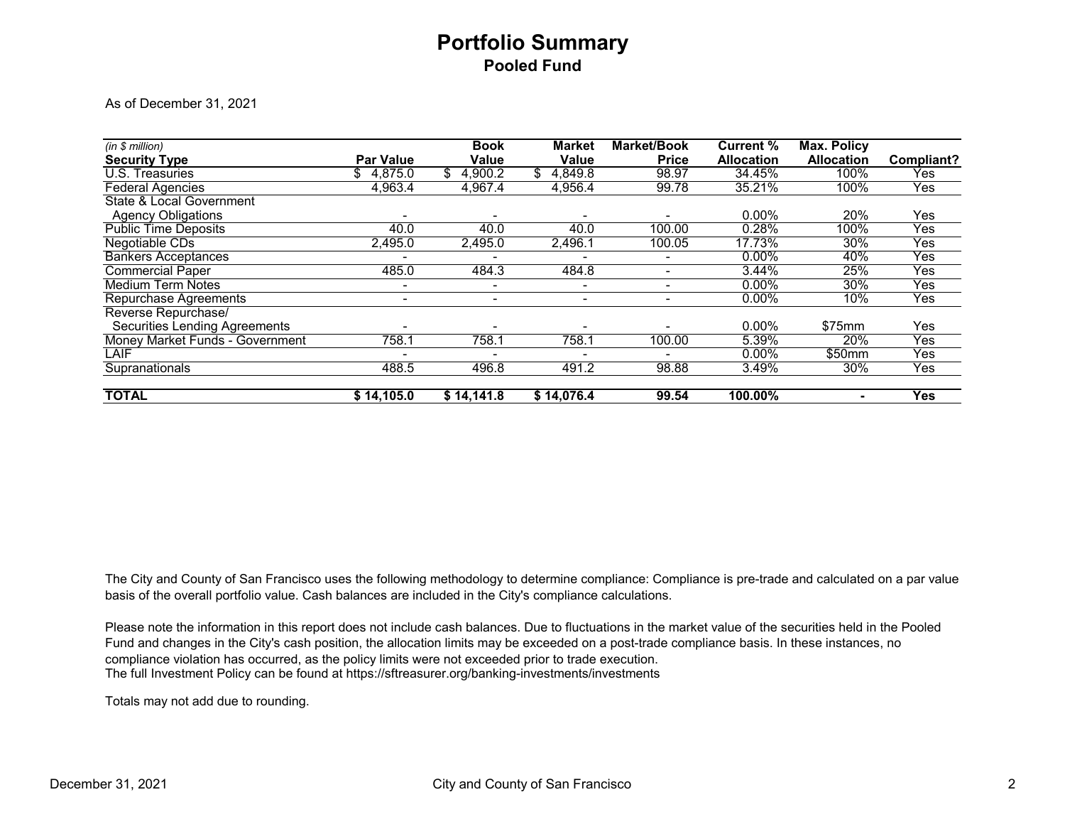## **Portfolio Summary Pooled Fund**

As of December 31, 2021

| (in \$ million)                      |                  | <b>Book</b>    | <b>Market</b>  | <b>Market/Book</b>       | <b>Current %</b>  | <b>Max. Policy</b> |            |
|--------------------------------------|------------------|----------------|----------------|--------------------------|-------------------|--------------------|------------|
| <b>Security Type</b>                 | <b>Par Value</b> | <b>Value</b>   | <b>Value</b>   | <b>Price</b>             | <b>Allocation</b> | <b>Allocation</b>  | Compliant? |
| U.S. Treasuries                      | 4,875.0<br>\$    | 4,900.2        | 4,849.8<br>SS. | 98.97                    | 34.45%            | 100%               | Yes        |
| <b>Federal Agencies</b>              | 4,963.4          | 4,967.4        | 4,956.4        | 99.78                    | 35.21%            | 100%               | Yes        |
| <b>State &amp; Local Government</b>  |                  |                |                |                          |                   |                    |            |
| <b>Agency Obligations</b>            |                  |                |                |                          | $0.00\%$          | 20%                | Yes        |
| <b>Public Time Deposits</b>          | 40.0             | 40.0           | 40.0           | 100.00                   | 0.28%             | 100%               | Yes        |
| Negotiable CDs                       | 2,495.0          | 2,495.0        | 2,496.1        | 100.05                   | 17.73%            | 30%                | Yes        |
| <b>Bankers Acceptances</b>           |                  |                |                | $\overline{\phantom{a}}$ | $0.00\%$          | 40%                | Yes        |
| <b>Commercial Paper</b>              | 485.0            | 484.3          | 484.8          | $\overline{\phantom{0}}$ | 3.44%             | 25%                | Yes        |
| <b>Medium Term Notes</b>             | $\blacksquare$   | $\blacksquare$ | ۰.             | $\overline{\phantom{0}}$ | $0.00\%$          | 30%                | Yes        |
| Repurchase Agreements                | $\blacksquare$   | ۰              | ۰.             | $\overline{\phantom{0}}$ | $0.00\%$          | 10%                | Yes        |
| Reverse Repurchase/                  |                  |                |                |                          |                   |                    |            |
| <b>Securities Lending Agreements</b> |                  |                |                |                          | $0.00\%$          | \$75mm             | Yes        |
| Money Market Funds - Government      | 758.1            | 758.1          | 758.1          | 100.00                   | 5.39%             | 20%                | Yes        |
| LAIF                                 |                  |                |                |                          | $0.00\%$          | \$50mm             | Yes        |
| Supranationals                       | 488.5            | 496.8          | 491.2          | 98.88                    | 3.49%             | 30%                | Yes        |
| <b>TOTAL</b>                         | \$14,105.0       | \$14,141.8     | \$14,076.4     | 99.54                    | 100.00%           | ۰                  | <b>Yes</b> |

The City and County of San Francisco uses the following methodology to determine compliance: Compliance is pre-trade and calculated on a par value basis of the overall portfolio value. Cash balances are included in the City's compliance calculations.

The full Investment Policy can be found at https://sftreasurer.org/banking-investments/investments Please note the information in this report does not include cash balances. Due to fluctuations in the market value of the securities held in the Pooled Fund and changes in the City's cash position, the allocation limits may be exceeded on a post-trade compliance basis. In these instances, no compliance violation has occurred, as the policy limits were not exceeded prior to trade execution.

Totals may not add due to rounding.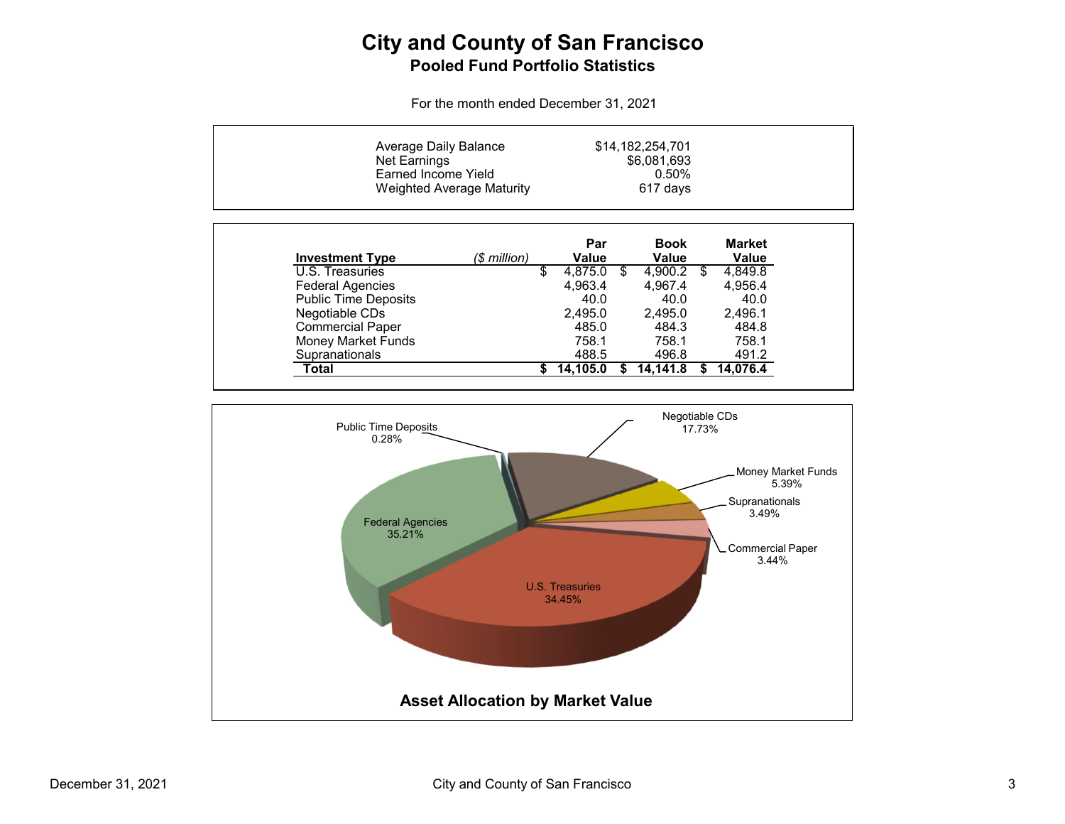## **City and County of San Francisco Pooled Fund Portfolio Statistics**

For the month ended December 31, 2021

| Average Daily Balance<br>Net Earnings<br><b>Earned Income Yield</b> | <b>Weighted Average Maturity</b> |               | \$14,182,254,701<br>\$6,081,693<br>0.50%<br>617 days |                               |
|---------------------------------------------------------------------|----------------------------------|---------------|------------------------------------------------------|-------------------------------|
| <b>Investment Type</b>                                              | (\$ million)                     | Par<br>Value  | <b>Book</b><br>Value                                 | <b>Market</b><br><b>Value</b> |
| U.S. Treasuries                                                     |                                  | \$<br>4,875.0 | \$<br>4.900.2                                        | \$<br>4,849.8                 |
| <b>Federal Agencies</b>                                             |                                  | 4.963.4       | 4.967.4                                              | 4,956.4                       |
| <b>Public Time Deposits</b>                                         |                                  | 40.0          | 40.0                                                 | 40.0                          |
| Negotiable CDs                                                      |                                  | 2,495.0       | 2,495.0                                              | 2,496.1                       |
| <b>Commercial Paper</b>                                             |                                  | 485.0         | 484.3                                                | 484.8                         |
| <b>Money Market Funds</b>                                           |                                  | 758.1         | 758.1                                                | 758.1                         |
| Supranationals                                                      |                                  | 488.5         | 496.8                                                | 491.2                         |
| Total                                                               |                                  | 14,105.0      | 14.141.8                                             | 14.076.4                      |

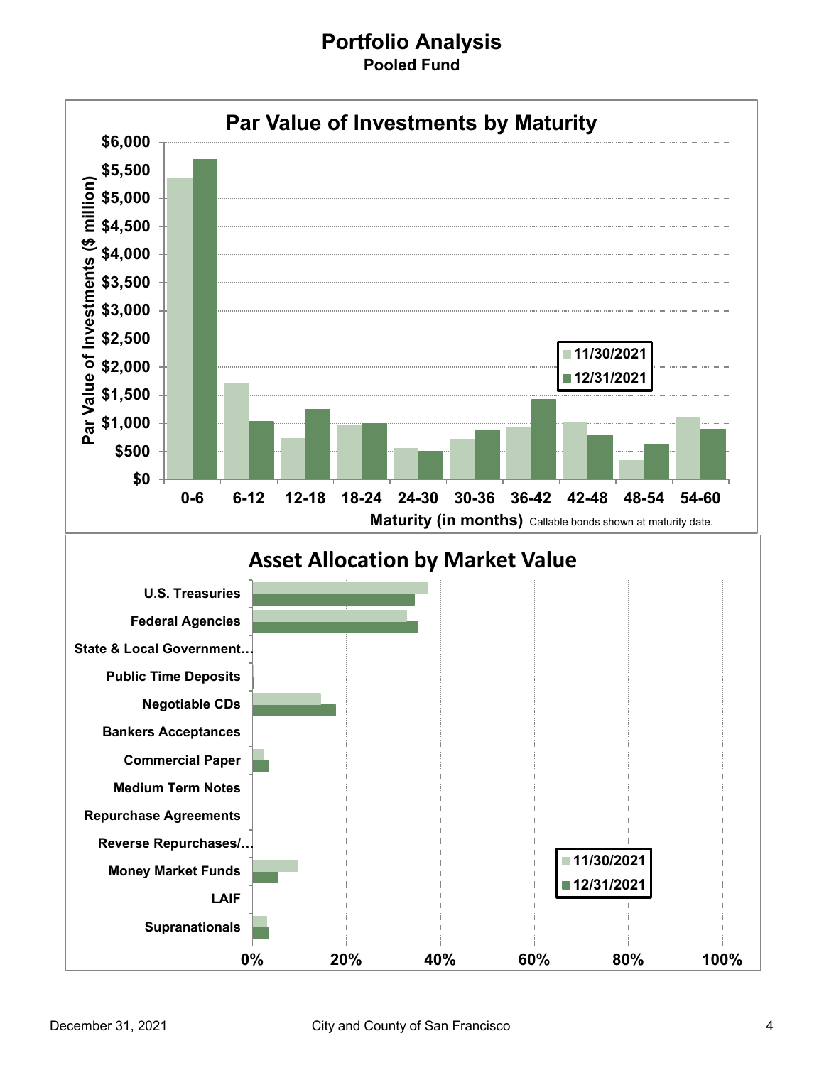#### **Portfolio Analysis Pooled Fund**

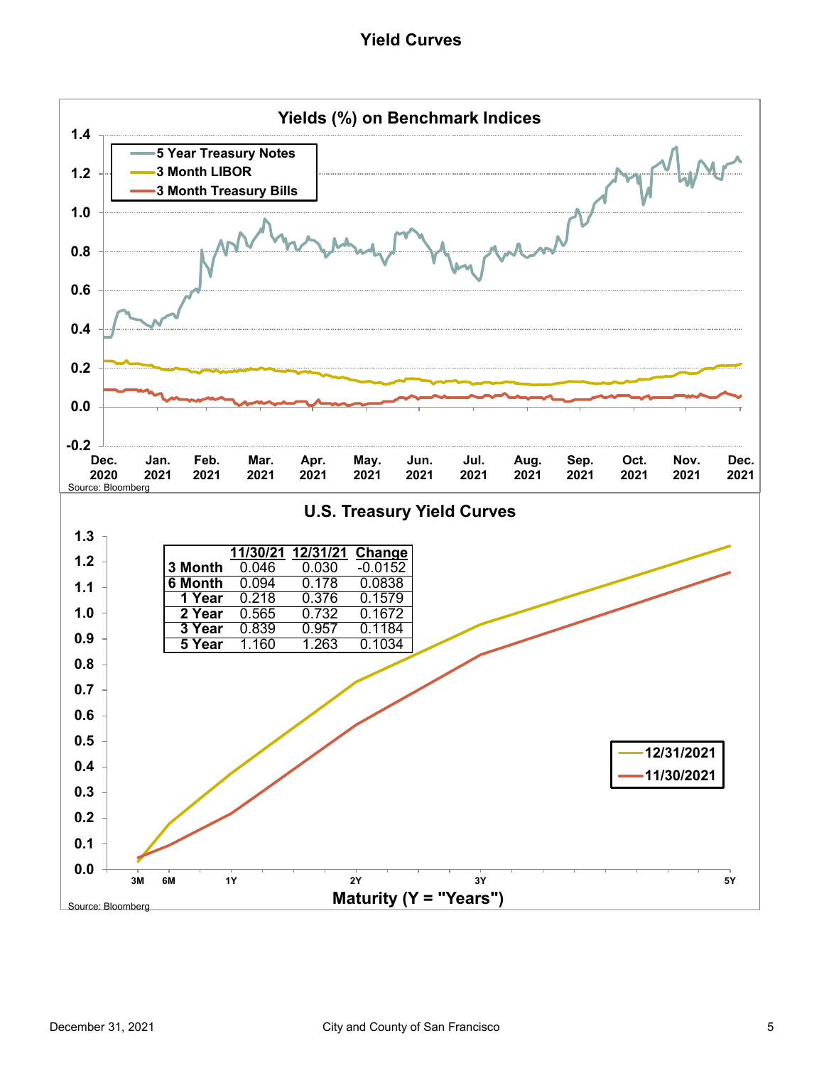#### **Yield Curves**

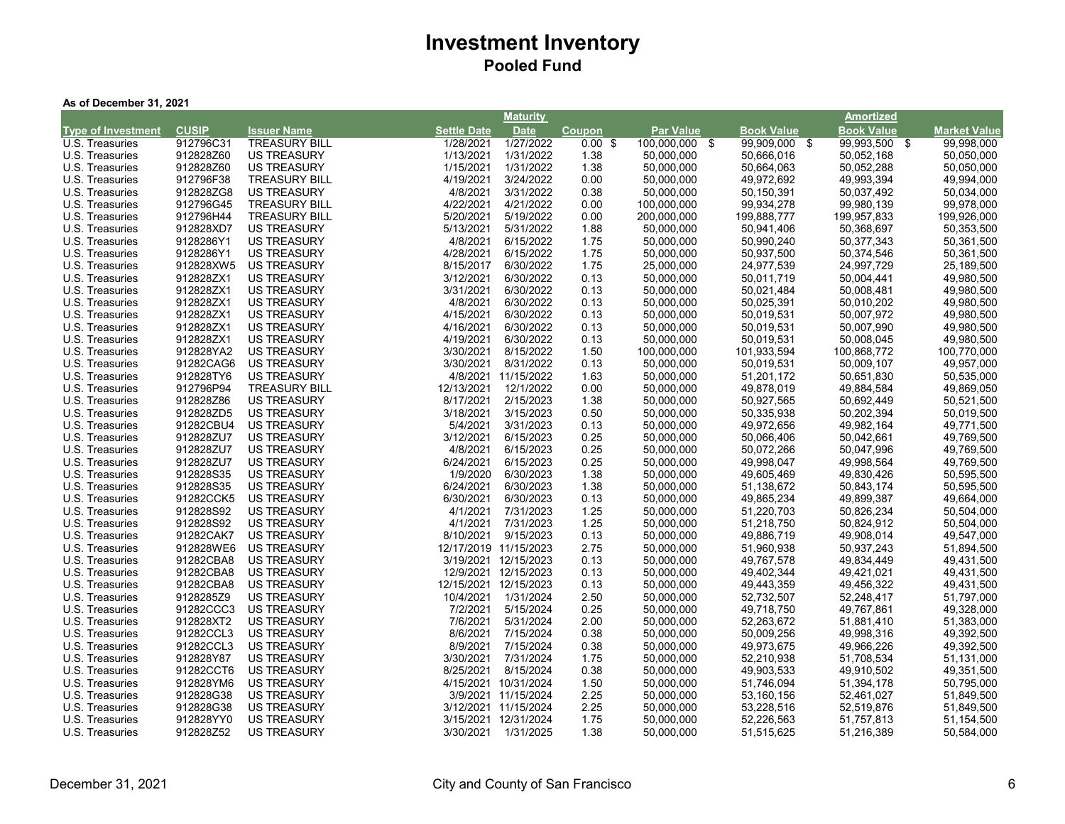| As of December 31, 2021 |  |  |
|-------------------------|--|--|
|-------------------------|--|--|

|                           |              |                      |                    | <b>Maturity</b>       |                    |                  |                   | <u>Amortized</u>  |                     |
|---------------------------|--------------|----------------------|--------------------|-----------------------|--------------------|------------------|-------------------|-------------------|---------------------|
| <b>Type of Investment</b> | <b>CUSIP</b> | <b>Issuer Name</b>   | <b>Settle Date</b> | <b>Date</b>           | <b>Coupon</b>      | <b>Par Value</b> | <b>Book Value</b> | <b>Book Value</b> | <b>Market Value</b> |
| U.S. Treasuries           | 912796C31    | <b>TREASURY BILL</b> | 1/28/2021          | 1/27/2022             | $0.00 \text{ }$ \$ | 100,000,000 \$   | 99,909,000 \$     | 99,993,500 \$     | 99,998,000          |
| U.S. Treasuries           | 912828Z60    | <b>US TREASURY</b>   | 1/13/2021          | 1/31/2022             | 1.38               | 50,000,000       | 50,666,016        | 50,052,168        | 50,050,000          |
| U.S. Treasuries           | 912828Z60    | <b>US TREASURY</b>   | 1/15/2021          | 1/31/2022             | 1.38               | 50,000,000       | 50,664,063        | 50,052,288        | 50,050,000          |
| U.S. Treasuries           | 912796F38    | <b>TREASURY BILL</b> | 4/19/2021          | 3/24/2022             | 0.00               | 50,000,000       | 49,972,692        | 49,993,394        | 49,994,000          |
| U.S. Treasuries           | 912828ZG8    | <b>US TREASURY</b>   | 4/8/2021           | 3/31/2022             | 0.38               | 50,000,000       | 50,150,391        | 50,037,492        | 50,034,000          |
| U.S. Treasuries           | 912796G45    | <b>TREASURY BILL</b> | 4/22/2021          | 4/21/2022             | 0.00               | 100,000,000      | 99,934,278        | 99,980,139        | 99,978,000          |
| U.S. Treasuries           | 912796H44    | <b>TREASURY BILL</b> | 5/20/2021          | 5/19/2022             | 0.00               | 200,000,000      | 199,888,777       | 199,957,833       | 199,926,000         |
| U.S. Treasuries           | 912828XD7    | <b>US TREASURY</b>   | 5/13/2021          | 5/31/2022             | 1.88               | 50,000,000       | 50,941,406        | 50,368,697        | 50,353,500          |
| U.S. Treasuries           | 9128286Y1    | <b>US TREASURY</b>   | 4/8/2021           | 6/15/2022             | 1.75               | 50,000,000       | 50,990,240        | 50,377,343        | 50,361,500          |
| U.S. Treasuries           | 9128286Y1    | <b>US TREASURY</b>   | 4/28/2021          | 6/15/2022             | 1.75               | 50,000,000       | 50,937,500        | 50,374,546        | 50,361,500          |
| U.S. Treasuries           | 912828XW5    | <b>US TREASURY</b>   | 8/15/2017          | 6/30/2022             | 1.75               | 25,000,000       | 24,977,539        | 24,997,729        | 25,189,500          |
| U.S. Treasuries           | 912828ZX1    | <b>US TREASURY</b>   | 3/12/2021          | 6/30/2022             | 0.13               | 50,000,000       | 50,011,719        | 50,004,441        | 49,980,500          |
| U.S. Treasuries           | 912828ZX1    | <b>US TREASURY</b>   | 3/31/2021          | 6/30/2022             | 0.13               | 50,000,000       | 50,021,484        | 50,008,481        | 49,980,500          |
| U.S. Treasuries           | 912828ZX1    | <b>US TREASURY</b>   | 4/8/2021           | 6/30/2022             | 0.13               | 50,000,000       | 50,025,391        | 50,010,202        | 49,980,500          |
| U.S. Treasuries           | 912828ZX1    | <b>US TREASURY</b>   | 4/15/2021          | 6/30/2022             | 0.13               | 50,000,000       | 50,019,531        | 50,007,972        | 49,980,500          |
| U.S. Treasuries           | 912828ZX1    | <b>US TREASURY</b>   | 4/16/2021          | 6/30/2022             | 0.13               | 50,000,000       | 50,019,531        | 50,007,990        | 49,980,500          |
| U.S. Treasuries           | 912828ZX1    | <b>US TREASURY</b>   | 4/19/2021          | 6/30/2022             | 0.13               | 50,000,000       | 50,019,531        | 50,008,045        | 49,980,500          |
| U.S. Treasuries           | 912828YA2    | <b>US TREASURY</b>   | 3/30/2021          | 8/15/2022             | 1.50               | 100,000,000      | 101,933,594       | 100,868,772       | 100,770,000         |
| U.S. Treasuries           | 91282CAG6    | <b>US TREASURY</b>   | 3/30/2021          | 8/31/2022             | 0.13               | 50,000,000       | 50,019,531        | 50,009,107        | 49,957,000          |
| U.S. Treasuries           | 912828TY6    | <b>US TREASURY</b>   |                    | 4/8/2021 11/15/2022   | 1.63               | 50,000,000       | 51,201,172        | 50,651,830        | 50,535,000          |
| U.S. Treasuries           | 912796P94    | <b>TREASURY BILL</b> | 12/13/2021         | 12/1/2022             | 0.00               | 50,000,000       | 49,878,019        | 49,884,584        | 49,869,050          |
| U.S. Treasuries           | 912828Z86    | <b>US TREASURY</b>   | 8/17/2021          | 2/15/2023             | 1.38               | 50,000,000       | 50,927,565        | 50,692,449        | 50,521,500          |
| U.S. Treasuries           | 912828ZD5    | <b>US TREASURY</b>   | 3/18/2021          | 3/15/2023             | 0.50               | 50,000,000       | 50,335,938        | 50,202,394        | 50,019,500          |
| U.S. Treasuries           | 91282CBU4    | <b>US TREASURY</b>   | 5/4/2021           | 3/31/2023             | 0.13               | 50,000,000       | 49,972,656        | 49,982,164        | 49,771,500          |
| U.S. Treasuries           | 912828ZU7    | <b>US TREASURY</b>   | 3/12/2021          | 6/15/2023             | 0.25               | 50,000,000       | 50,066,406        | 50,042,661        | 49,769,500          |
| U.S. Treasuries           | 912828ZU7    | <b>US TREASURY</b>   | 4/8/2021           | 6/15/2023             | 0.25               | 50,000,000       | 50,072,266        | 50,047,996        | 49,769,500          |
| U.S. Treasuries           | 912828ZU7    | <b>US TREASURY</b>   | 6/24/2021          | 6/15/2023             | 0.25               | 50,000,000       | 49,998,047        | 49,998,564        | 49,769,500          |
| U.S. Treasuries           | 912828S35    | <b>US TREASURY</b>   | 1/9/2020           | 6/30/2023             | 1.38               | 50,000,000       | 49,605,469        | 49,830,426        | 50,595,500          |
| U.S. Treasuries           | 912828S35    | <b>US TREASURY</b>   | 6/24/2021          | 6/30/2023             | 1.38               | 50,000,000       | 51,138,672        | 50,843,174        | 50,595,500          |
| U.S. Treasuries           | 91282CCK5    | US TREASURY          | 6/30/2021          | 6/30/2023             | 0.13               | 50,000,000       | 49,865,234        | 49,899,387        | 49,664,000          |
| U.S. Treasuries           | 912828S92    | <b>US TREASURY</b>   | 4/1/2021           | 7/31/2023             | 1.25               | 50,000,000       | 51,220,703        | 50,826,234        | 50,504,000          |
| U.S. Treasuries           | 912828S92    | <b>US TREASURY</b>   | 4/1/2021           | 7/31/2023             | 1.25               | 50,000,000       | 51,218,750        | 50,824,912        | 50,504,000          |
| U.S. Treasuries           | 91282CAK7    | <b>US TREASURY</b>   | 8/10/2021          | 9/15/2023             | 0.13               | 50,000,000       | 49,886,719        | 49,908,014        | 49,547,000          |
| U.S. Treasuries           | 912828WE6    | <b>US TREASURY</b>   |                    | 12/17/2019 11/15/2023 | 2.75               | 50,000,000       | 51,960,938        | 50,937,243        | 51,894,500          |
| U.S. Treasuries           | 91282CBA8    | <b>US TREASURY</b>   |                    | 3/19/2021 12/15/2023  | 0.13               | 50,000,000       | 49,767,578        | 49,834,449        | 49,431,500          |
| U.S. Treasuries           | 91282CBA8    | <b>US TREASURY</b>   |                    | 12/9/2021 12/15/2023  | 0.13               | 50,000,000       | 49,402,344        | 49,421,021        | 49,431,500          |
| U.S. Treasuries           | 91282CBA8    | <b>US TREASURY</b>   |                    | 12/15/2021 12/15/2023 | 0.13               | 50,000,000       | 49,443,359        | 49,456,322        | 49,431,500          |
| U.S. Treasuries           | 9128285Z9    | <b>US TREASURY</b>   | 10/4/2021          | 1/31/2024             | 2.50               | 50,000,000       | 52,732,507        | 52,248,417        | 51,797,000          |
| U.S. Treasuries           | 91282CCC3    | <b>US TREASURY</b>   | 7/2/2021           | 5/15/2024             | 0.25               | 50,000,000       | 49,718,750        | 49,767,861        | 49,328,000          |
| U.S. Treasuries           | 912828XT2    | <b>US TREASURY</b>   | 7/6/2021           | 5/31/2024             | 2.00               | 50,000,000       | 52,263,672        | 51,881,410        | 51,383,000          |
| U.S. Treasuries           | 91282CCL3    | <b>US TREASURY</b>   | 8/6/2021           | 7/15/2024             | 0.38               | 50,000,000       | 50,009,256        | 49,998,316        | 49,392,500          |
| U.S. Treasuries           | 91282CCL3    | <b>US TREASURY</b>   | 8/9/2021           | 7/15/2024             | 0.38               | 50,000,000       | 49,973,675        | 49,966,226        | 49,392,500          |
| U.S. Treasuries           | 912828Y87    | <b>US TREASURY</b>   | 3/30/2021          | 7/31/2024             | 1.75               | 50,000,000       | 52,210,938        | 51,708,534        | 51,131,000          |
| U.S. Treasuries           | 91282CCT6    | <b>US TREASURY</b>   | 8/25/2021          | 8/15/2024             | 0.38               | 50,000,000       | 49,903,533        | 49,910,502        | 49,351,500          |
| U.S. Treasuries           | 912828YM6    | <b>US TREASURY</b>   |                    | 4/15/2021 10/31/2024  | 1.50               | 50,000,000       | 51,746,094        | 51,394,178        | 50,795,000          |
| U.S. Treasuries           | 912828G38    | <b>US TREASURY</b>   |                    | 3/9/2021 11/15/2024   | 2.25               | 50,000,000       | 53,160,156        | 52,461,027        | 51,849,500          |
| U.S. Treasuries           | 912828G38    | <b>US TREASURY</b>   |                    | 3/12/2021 11/15/2024  | 2.25               | 50,000,000       | 53,228,516        | 52,519,876        | 51,849,500          |
| U.S. Treasuries           | 912828YY0    | <b>US TREASURY</b>   |                    | 3/15/2021 12/31/2024  | 1.75               | 50,000,000       | 52,226,563        | 51,757,813        | 51,154,500          |
| U.S. Treasuries           | 912828Z52    | <b>US TREASURY</b>   |                    | 3/30/2021 1/31/2025   | 1.38               | 50,000,000       | 51,515,625        | 51,216,389        | 50,584,000          |
|                           |              |                      |                    |                       |                    |                  |                   |                   |                     |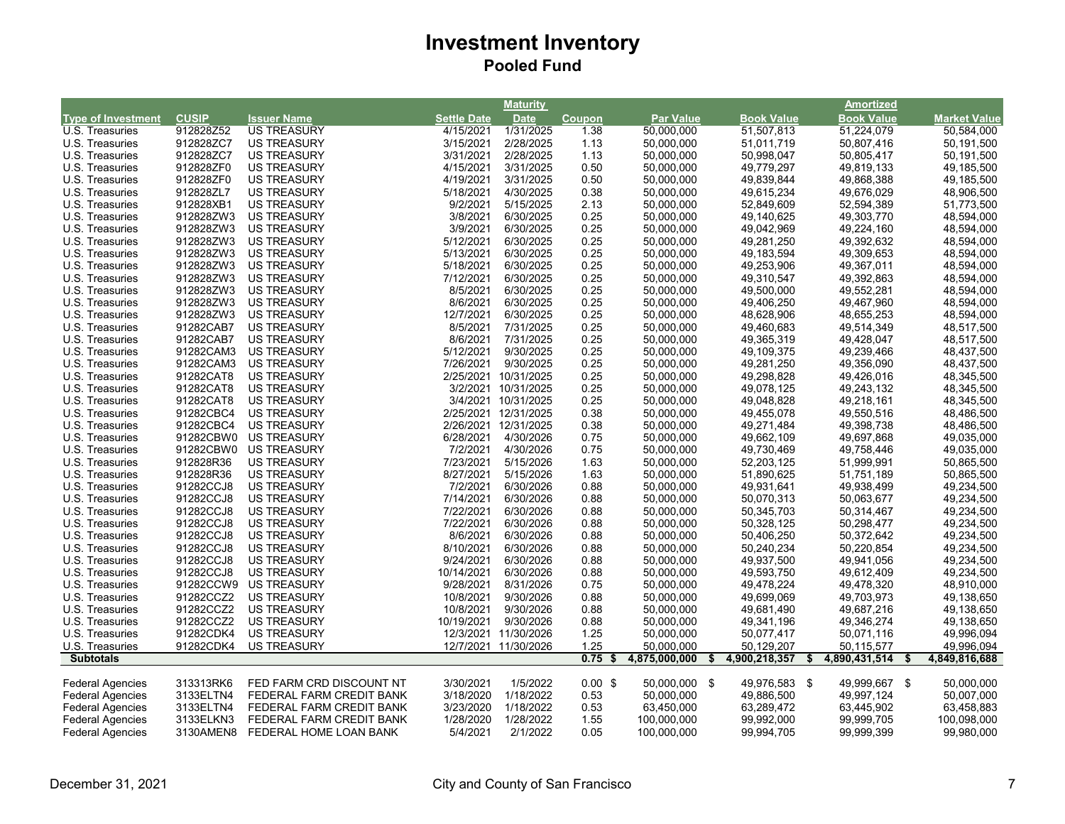|                           |              |                          |             | <b>Maturity</b>      |               |                     |                   | Amortized                 |                     |
|---------------------------|--------------|--------------------------|-------------|----------------------|---------------|---------------------|-------------------|---------------------------|---------------------|
| <b>Type of Investment</b> | <b>CUSIP</b> | Issuer Name              | Settle Date | <b>Date</b>          | <b>Coupon</b> | <b>Par Value</b>    | <b>Book Value</b> | <b>Book Value</b>         | <b>Market Value</b> |
| U.S. Treasuries           | 912828Z52    | <b>US TREASURY</b>       | 4/15/2021   | 1/31/2025            | 1.38          | 50,000,000          | 51,507,813        | 51,224,079                | 50,584,000          |
| U.S. Treasuries           | 912828ZC7    | <b>US TREASURY</b>       | 3/15/2021   | 2/28/2025            | 1.13          | 50,000,000          | 51,011,719        | 50,807,416                | 50,191,500          |
| U.S. Treasuries           | 912828ZC7    | <b>US TREASURY</b>       | 3/31/2021   | 2/28/2025            | 1.13          | 50,000,000          | 50,998,047        | 50,805,417                | 50,191,500          |
| U.S. Treasuries           | 912828ZF0    | <b>US TREASURY</b>       | 4/15/2021   | 3/31/2025            | 0.50          | 50,000,000          | 49,779,297        | 49,819,133                | 49,185,500          |
| U.S. Treasuries           | 912828ZF0    | <b>US TREASURY</b>       | 4/19/2021   | 3/31/2025            | 0.50          | 50,000,000          | 49,839,844        | 49,868,388                | 49,185,500          |
| U.S. Treasuries           | 912828ZL7    | <b>US TREASURY</b>       | 5/18/2021   | 4/30/2025            | 0.38          | 50,000,000          | 49,615,234        | 49,676,029                | 48,906,500          |
| U.S. Treasuries           | 912828XB1    | <b>US TREASURY</b>       | 9/2/2021    | 5/15/2025            | 2.13          | 50,000,000          | 52,849,609        | 52,594,389                | 51,773,500          |
| U.S. Treasuries           | 912828ZW3    | <b>US TREASURY</b>       | 3/8/2021    | 6/30/2025            | 0.25          | 50,000,000          | 49,140,625        | 49,303,770                | 48,594,000          |
| U.S. Treasuries           | 912828ZW3    | <b>US TREASURY</b>       | 3/9/2021    | 6/30/2025            | 0.25          | 50,000,000          | 49,042,969        | 49,224,160                | 48,594,000          |
| U.S. Treasuries           | 912828ZW3    | <b>US TREASURY</b>       | 5/12/2021   | 6/30/2025            | 0.25          | 50,000,000          | 49,281,250        | 49,392,632                | 48,594,000          |
| U.S. Treasuries           | 912828ZW3    | <b>US TREASURY</b>       | 5/13/2021   | 6/30/2025            | 0.25          | 50,000,000          | 49, 183, 594      | 49,309,653                | 48,594,000          |
| U.S. Treasuries           | 912828ZW3    | <b>US TREASURY</b>       | 5/18/2021   | 6/30/2025            | 0.25          | 50,000,000          | 49,253,906        | 49,367,011                | 48,594,000          |
| U.S. Treasuries           | 912828ZW3    | <b>US TREASURY</b>       | 7/12/2021   | 6/30/2025            | 0.25          | 50,000,000          | 49,310,547        | 49,392,863                | 48,594,000          |
| U.S. Treasuries           | 912828ZW3    | <b>US TREASURY</b>       | 8/5/2021    | 6/30/2025            | 0.25          | 50,000,000          | 49,500,000        | 49,552,281                | 48,594,000          |
| U.S. Treasuries           | 912828ZW3    | <b>US TREASURY</b>       | 8/6/2021    | 6/30/2025            | 0.25          | 50,000,000          | 49,406,250        | 49,467,960                | 48,594,000          |
| U.S. Treasuries           | 912828ZW3    | <b>US TREASURY</b>       | 12/7/2021   | 6/30/2025            | 0.25          | 50,000,000          | 48,628,906        | 48,655,253                | 48,594,000          |
| U.S. Treasuries           | 91282CAB7    | <b>US TREASURY</b>       | 8/5/2021    | 7/31/2025            | 0.25          | 50,000,000          | 49,460,683        | 49,514,349                | 48,517,500          |
| U.S. Treasuries           | 91282CAB7    | <b>US TREASURY</b>       | 8/6/2021    | 7/31/2025            | 0.25          | 50,000,000          | 49,365,319        | 49,428,047                | 48,517,500          |
| U.S. Treasuries           | 91282CAM3    | <b>US TREASURY</b>       | 5/12/2021   | 9/30/2025            | 0.25          | 50,000,000          | 49,109,375        | 49,239,466                | 48,437,500          |
| U.S. Treasuries           | 91282CAM3    | <b>US TREASURY</b>       | 7/26/2021   | 9/30/2025            | 0.25          | 50,000,000          |                   | 49,356,090                | 48,437,500          |
|                           |              |                          |             |                      |               |                     | 49,281,250        |                           |                     |
| U.S. Treasuries           | 91282CAT8    | <b>US TREASURY</b>       |             | 2/25/2021 10/31/2025 | 0.25          | 50,000,000          | 49,298,828        | 49,426,016                | 48,345,500          |
| U.S. Treasuries           | 91282CAT8    | <b>US TREASURY</b>       |             | 3/2/2021 10/31/2025  | 0.25          | 50,000,000          | 49,078,125        | 49,243,132                | 48,345,500          |
| U.S. Treasuries           | 91282CAT8    | <b>US TREASURY</b>       |             | 3/4/2021 10/31/2025  | 0.25          | 50,000,000          | 49,048,828        | 49,218,161                | 48,345,500          |
| U.S. Treasuries           | 91282CBC4    | <b>US TREASURY</b>       |             | 2/25/2021 12/31/2025 | 0.38          | 50,000,000          | 49,455,078        | 49,550,516                | 48,486,500          |
| U.S. Treasuries           | 91282CBC4    | <b>US TREASURY</b>       |             | 2/26/2021 12/31/2025 | 0.38          | 50,000,000          | 49,271,484        | 49,398,738                | 48,486,500          |
| U.S. Treasuries           | 91282CBW0    | <b>US TREASURY</b>       | 6/28/2021   | 4/30/2026            | 0.75          | 50,000,000          | 49,662,109        | 49,697,868                | 49,035,000          |
| U.S. Treasuries           | 91282CBW0    | <b>US TREASURY</b>       | 7/2/2021    | 4/30/2026            | 0.75          | 50,000,000          | 49,730,469        | 49,758,446                | 49,035,000          |
| U.S. Treasuries           | 912828R36    | <b>US TREASURY</b>       | 7/23/2021   | 5/15/2026            | 1.63          | 50,000,000          | 52,203,125        | 51,999,991                | 50,865,500          |
| U.S. Treasuries           | 912828R36    | <b>US TREASURY</b>       | 8/27/2021   | 5/15/2026            | 1.63          | 50,000,000          | 51,890,625        | 51,751,189                | 50,865,500          |
| U.S. Treasuries           | 91282CCJ8    | <b>US TREASURY</b>       | 7/2/2021    | 6/30/2026            | 0.88          | 50,000,000          | 49,931,641        | 49,938,499                | 49,234,500          |
| U.S. Treasuries           | 91282CCJ8    | <b>US TREASURY</b>       | 7/14/2021   | 6/30/2026            | 0.88          | 50,000,000          | 50,070,313        | 50,063,677                | 49,234,500          |
| U.S. Treasuries           | 91282CCJ8    | <b>US TREASURY</b>       | 7/22/2021   | 6/30/2026            | 0.88          | 50,000,000          | 50,345,703        | 50,314,467                | 49,234,500          |
| U.S. Treasuries           | 91282CCJ8    | <b>US TREASURY</b>       | 7/22/2021   | 6/30/2026            | 0.88          | 50,000,000          | 50,328,125        | 50,298,477                | 49,234,500          |
| U.S. Treasuries           | 91282CCJ8    | <b>US TREASURY</b>       | 8/6/2021    | 6/30/2026            | 0.88          | 50,000,000          | 50,406,250        | 50,372,642                | 49,234,500          |
| U.S. Treasuries           | 91282CCJ8    | <b>US TREASURY</b>       | 8/10/2021   | 6/30/2026            | 0.88          | 50,000,000          | 50,240,234        | 50,220,854                | 49,234,500          |
| U.S. Treasuries           | 91282CCJ8    | <b>US TREASURY</b>       | 9/24/2021   | 6/30/2026            | 0.88          | 50,000,000          | 49,937,500        | 49,941,056                | 49,234,500          |
| U.S. Treasuries           | 91282CCJ8    | <b>US TREASURY</b>       | 10/14/2021  | 6/30/2026            | 0.88          | 50,000,000          | 49,593,750        | 49,612,409                | 49,234,500          |
| U.S. Treasuries           | 91282CCW9    | US TREASURY              | 9/28/2021   | 8/31/2026            | 0.75          | 50,000,000          | 49,478,224        | 49,478,320                | 48,910,000          |
| U.S. Treasuries           | 91282CCZ2    | <b>US TREASURY</b>       | 10/8/2021   | 9/30/2026            | 0.88          | 50,000,000          | 49,699,069        | 49,703,973                | 49,138,650          |
| U.S. Treasuries           | 91282CCZ2    | <b>US TREASURY</b>       | 10/8/2021   | 9/30/2026            | 0.88          | 50,000,000          | 49,681,490        | 49,687,216                | 49,138,650          |
| U.S. Treasuries           | 91282CCZ2    | <b>US TREASURY</b>       | 10/19/2021  | 9/30/2026            | 0.88          | 50,000,000          | 49,341,196        | 49,346,274                | 49,138,650          |
| U.S. Treasuries           | 91282CDK4    | <b>US TREASURY</b>       |             | 12/3/2021 11/30/2026 | 1.25          | 50,000,000          | 50,077,417        | 50,071,116                | 49,996,094          |
| U.S. Treasuries           | 91282CDK4    | <b>US TREASURY</b>       |             | 12/7/2021 11/30/2026 | 1.25          | 50,000,000          | 50,129,207        | 50,115,577                | 49,996,094          |
| <b>Subtotals</b>          |              |                          |             |                      | 0.75          | 4,875,000,000<br>\$ | 4,900,218,357     | 4,890,431,514<br>\$<br>\$ | 4,849,816,688       |
|                           |              |                          |             |                      |               |                     |                   |                           |                     |
| <b>Federal Agencies</b>   | 313313RK6    | FED FARM CRD DISCOUNT NT | 3/30/2021   | 1/5/2022             | $0.00$ \$     | 50,000,000 \$       | 49,976,583 \$     | 49,999,667 \$             | 50,000,000          |
| <b>Federal Agencies</b>   | 3133ELTN4    | FEDERAL FARM CREDIT BANK | 3/18/2020   | 1/18/2022            | 0.53          | 50,000,000          | 49,886,500        | 49,997,124                | 50,007,000          |
| <b>Federal Agencies</b>   | 3133ELTN4    | FEDERAL FARM CREDIT BANK | 3/23/2020   | 1/18/2022            | 0.53          | 63,450,000          | 63,289,472        | 63,445,902                | 63,458,883          |
| <b>Federal Agencies</b>   | 3133ELKN3    | FEDERAL FARM CREDIT BANK | 1/28/2020   | 1/28/2022            | 1.55          | 100,000,000         | 99,992,000        | 99,999,705                | 100,098,000         |
| <b>Federal Agencies</b>   | 3130AMEN8    | FEDERAL HOME LOAN BANK   | 5/4/2021    | 2/1/2022             | 0.05          | 100,000,000         | 99,994,705        | 99,999,399                | 99,980,000          |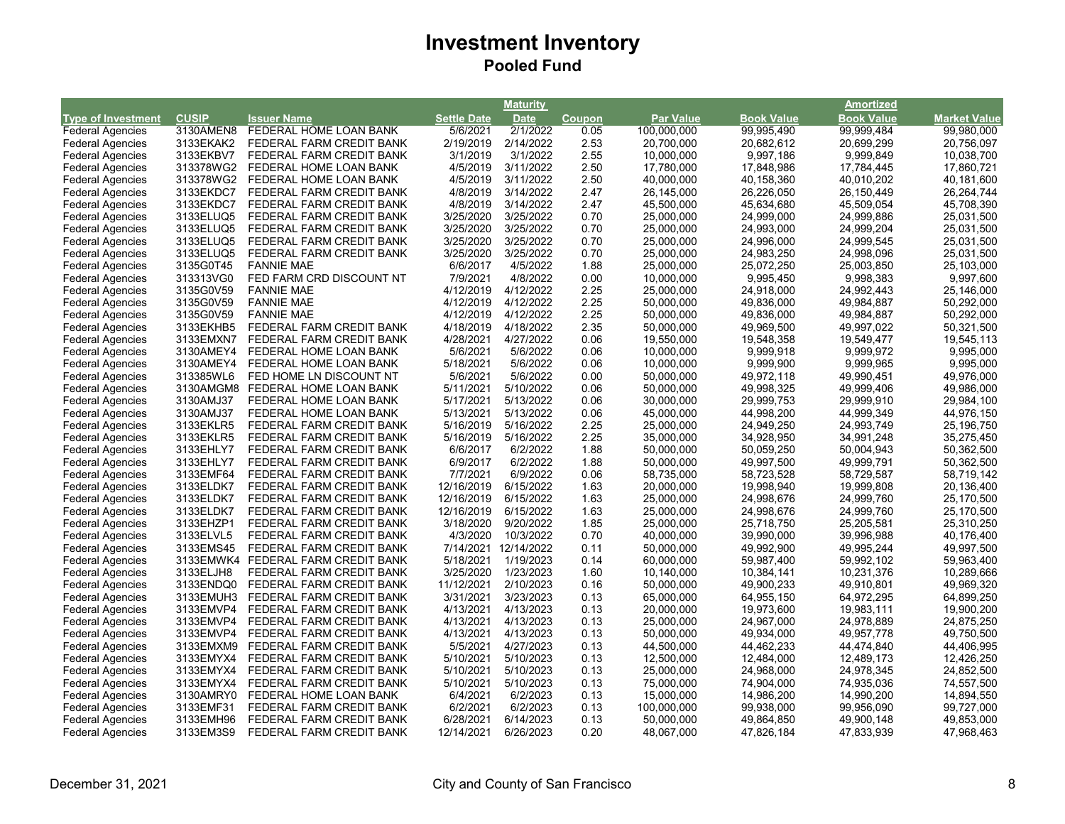| <b>Amortized</b><br><b>CUSIP</b><br><b>Par Value</b><br><b>Book Value</b><br><b>Type of Investment</b><br><b>Issuer Name</b><br><b>Settle Date</b><br><b>Book Value</b><br><b>Date</b><br><b>Coupon</b> |                     |
|---------------------------------------------------------------------------------------------------------------------------------------------------------------------------------------------------------|---------------------|
|                                                                                                                                                                                                         | <b>Market Value</b> |
| 3130AMEN8<br>5/6/2021<br>2/1/2022<br>99,999,484<br><b>Federal Agencies</b><br>FEDERAL HOME LOAN BANK<br>0.05<br>100,000,000<br>99,995,490                                                               | 99,980,000          |
| 3133EKAK2<br>FEDERAL FARM CREDIT BANK<br>2/19/2019<br>2/14/2022<br>2.53<br>20,700,000<br>20,699,299<br><b>Federal Agencies</b><br>20,682,612                                                            | 20,756,097          |
| 3/1/2019<br>3/1/2022<br>2.55<br><b>Federal Agencies</b><br>3133EKBV7<br>FEDERAL FARM CREDIT BANK<br>10,000,000<br>9,997,186<br>9,999,849                                                                | 10,038,700          |
| <b>Federal Agencies</b><br>313378WG2<br>4/5/2019<br>3/11/2022<br>2.50<br>17,780,000<br>FEDERAL HOME LOAN BANK<br>17,848,986<br>17,784,445                                                               | 17,860,721          |
| <b>Federal Agencies</b><br>4/5/2019<br>3/11/2022<br>2.50<br>40,000,000<br>313378WG2<br>FEDERAL HOME LOAN BANK<br>40,158,360<br>40,010,202                                                               | 40,181,600          |
| <b>Federal Agencies</b><br>3133EKDC7<br>FEDERAL FARM CREDIT BANK<br>4/8/2019<br>3/14/2022<br>2.47<br>26,145,000<br>26,226,050<br>26,150,449                                                             | 26,264,744          |
| 4/8/2019<br>3/14/2022<br>2.47<br>45,500,000<br>45,634,680<br><b>Federal Agencies</b><br>3133EKDC7<br>FEDERAL FARM CREDIT BANK<br>45,509,054                                                             | 45,708,390          |
| 3/25/2020<br>0.70<br>24,999,886<br><b>Federal Agencies</b><br>3133ELUQ5<br>FEDERAL FARM CREDIT BANK<br>3/25/2022<br>25,000,000<br>24,999,000                                                            | 25,031,500          |
| <b>Federal Agencies</b><br>3133ELUQ5<br>3/25/2020<br>3/25/2022<br>0.70<br>25,000,000<br>24,993,000<br>24,999,204<br>FEDERAL FARM CREDIT BANK                                                            | 25,031,500          |
| 3/25/2020<br>0.70<br><b>Federal Agencies</b><br>3133ELUQ5<br>3/25/2022<br>25,000,000<br>24,996,000<br>24,999,545<br>FEDERAL FARM CREDIT BANK                                                            | 25,031,500          |
| <b>Federal Agencies</b><br>3/25/2020<br>3/25/2022<br>0.70<br>25,000,000<br>24,998,096<br>3133ELUQ5<br>FEDERAL FARM CREDIT BANK<br>24,983,250                                                            | 25,031,500          |
| 6/6/2017<br><b>Federal Agencies</b><br>3135G0T45<br><b>FANNIE MAE</b><br>4/5/2022<br>1.88<br>25,000,000<br>25,072,250<br>25,003,850                                                                     | 25,103,000          |
| FED FARM CRD DISCOUNT NT<br><b>Federal Agencies</b><br>313313VG0<br>7/9/2021<br>4/8/2022<br>0.00<br>10,000,000<br>9,995,450<br>9,998,383                                                                | 9,997,600           |
| 3135G0V59<br>4/12/2019<br>2.25<br>24,992,443<br><b>Federal Agencies</b><br><b>FANNIE MAE</b><br>4/12/2022<br>25,000,000<br>24,918,000                                                                   | 25,146,000          |
| 4/12/2019<br>4/12/2022<br>2.25<br>49,984,887<br><b>Federal Agencies</b><br>3135G0V59<br><b>FANNIE MAE</b><br>50,000,000<br>49,836,000                                                                   | 50,292,000          |
| 3135G0V59<br>4/12/2019<br>4/12/2022<br>2.25<br>50,000,000<br>49,984,887<br><b>Federal Agencies</b><br><b>FANNIE MAE</b><br>49,836,000                                                                   | 50,292,000          |
| 3133EKHB5<br>FEDERAL FARM CREDIT BANK<br>4/18/2019<br>4/18/2022<br>2.35<br>50,000,000<br><b>Federal Agencies</b><br>49,969,500<br>49,997,022                                                            | 50,321,500          |
| 4/28/2021<br>4/27/2022<br>0.06<br>19,550,000<br><b>Federal Agencies</b><br>3133EMXN7<br>FEDERAL FARM CREDIT BANK<br>19,548,358<br>19,549,477                                                            | 19,545,113          |
| 5/6/2021<br><b>Federal Agencies</b><br>3130AMEY4<br>5/6/2022<br>0.06<br>10,000,000<br>9,999,918<br>9,999,972<br>FEDERAL HOME LOAN BANK                                                                  | 9,995,000           |
| <b>Federal Agencies</b><br>3130AMEY4<br>FEDERAL HOME LOAN BANK<br>5/18/2021<br>5/6/2022<br>0.06<br>10,000,000<br>9,999,900<br>9,999,965                                                                 | 9,995,000           |
| <b>Federal Agencies</b><br>5/6/2021<br>0.00<br>313385WL6<br>FED HOME LN DISCOUNT NT<br>5/6/2022<br>50,000,000<br>49,972,118<br>49,990,451                                                               | 49,976,000          |
| <b>Federal Agencies</b><br>5/11/2021<br>5/10/2022<br>0.06<br>50,000,000<br>49,998,325<br>49,999,406<br>3130AMGM8 FEDERAL HOME LOAN BANK                                                                 | 49,986,000          |
| 5/17/2021<br>0.06<br>30,000,000<br>29,999,753<br>29,999,910<br><b>Federal Agencies</b><br>3130AMJ37<br>FEDERAL HOME LOAN BANK<br>5/13/2022                                                              | 29,984,100          |
| <b>Federal Agencies</b><br>3130AMJ37<br>5/13/2021<br>5/13/2022<br>0.06<br>45,000,000<br>44,998,200<br>44,999,349<br>FEDERAL HOME LOAN BANK                                                              | 44,976,150          |
| 5/16/2019<br>2.25<br><b>Federal Agencies</b><br>3133EKLR5<br>5/16/2022<br>25,000,000<br>24,949,250<br>24,993,749<br>FEDERAL FARM CREDIT BANK                                                            | 25,196,750          |
| 5/16/2019<br>5/16/2022<br>2.25<br>35,000,000<br>34,928,950<br>34,991,248<br><b>Federal Agencies</b><br>3133EKLR5<br>FEDERAL FARM CREDIT BANK                                                            | 35,275,450          |
| 6/6/2017<br><b>Federal Agencies</b><br>3133EHLY7<br>FEDERAL FARM CREDIT BANK<br>6/2/2022<br>1.88<br>50,000,000<br>50,059,250<br>50,004,943                                                              | 50,362,500          |
| 1.88<br><b>Federal Agencies</b><br>3133EHLY7<br>FEDERAL FARM CREDIT BANK<br>6/9/2017<br>6/2/2022<br>50,000,000<br>49,997,500<br>49,999,791                                                              | 50,362,500          |
| 7/7/2021<br><b>Federal Agencies</b><br>6/9/2022<br>0.06<br>3133EMF64<br>FEDERAL FARM CREDIT BANK<br>58,735,000<br>58,723,528<br>58,729,587                                                              | 58,719,142          |
| 12/16/2019<br>6/15/2022<br>1.63<br>19,998,940<br>19,999,808<br><b>Federal Agencies</b><br>3133ELDK7<br>FEDERAL FARM CREDIT BANK<br>20,000,000                                                           | 20,136,400          |
| <b>Federal Agencies</b><br>3133ELDK7<br>12/16/2019<br>6/15/2022<br>1.63<br>25,000,000<br>24,998,676<br>24,999,760<br>FEDERAL FARM CREDIT BANK                                                           | 25,170,500          |
| <b>Federal Agencies</b><br>3133ELDK7<br>12/16/2019<br>6/15/2022<br>1.63<br>25,000,000<br>24,998,676<br>24,999,760<br>FEDERAL FARM CREDIT BANK                                                           | 25,170,500          |
| 3133EHZP1<br>3/18/2020<br>9/20/2022<br>1.85<br>25,205,581<br><b>Federal Agencies</b><br>FEDERAL FARM CREDIT BANK<br>25,000,000<br>25,718,750                                                            | 25,310,250          |
| 4/3/2020<br><b>Federal Agencies</b><br>3133ELVL5<br>FEDERAL FARM CREDIT BANK<br>10/3/2022<br>0.70<br>40,000,000<br>39,990,000<br>39,996,988                                                             | 40,176,400          |
| 7/14/2021 12/14/2022<br><b>Federal Agencies</b><br>3133EMS45<br>FEDERAL FARM CREDIT BANK<br>0.11<br>50,000,000<br>49,992,900<br>49,995,244                                                              | 49,997,500          |
| 5/18/2021<br>0.14<br>59,987,400<br>59,992,102<br><b>Federal Agencies</b><br>3133EMWK4 FEDERAL FARM CREDIT BANK<br>1/19/2023<br>60,000,000                                                               | 59,963,400          |
| 3/25/2020<br>1.60<br><b>Federal Agencies</b><br>3133ELJH8<br>FEDERAL FARM CREDIT BANK<br>1/23/2023<br>10,140,000<br>10,384,141<br>10,231,376                                                            | 10,289,666          |
| 11/12/2021<br>2/10/2023<br>0.16<br>50,000,000<br>49,900,233<br>49,910,801<br><b>Federal Agencies</b><br>3133ENDQ0<br>FEDERAL FARM CREDIT BANK                                                           | 49,969,320          |
| 3/31/2021<br><b>Federal Agencies</b><br>3/23/2023<br>65,000,000<br>64,972,295<br>3133EMUH3<br>FEDERAL FARM CREDIT BANK<br>0.13<br>64,955,150                                                            | 64,899,250          |
| 3133EMVP4<br>4/13/2021<br>4/13/2023<br>0.13<br>19,983,111<br><b>Federal Agencies</b><br>FEDERAL FARM CREDIT BANK<br>20,000,000<br>19,973,600                                                            | 19,900,200          |
| <b>Federal Agencies</b><br>3133EMVP4<br>FEDERAL FARM CREDIT BANK<br>4/13/2021<br>4/13/2023<br>0.13<br>25,000,000<br>24,967,000<br>24,978,889                                                            | 24,875,250          |
| <b>Federal Agencies</b><br>3133EMVP4<br>FEDERAL FARM CREDIT BANK<br>4/13/2021<br>4/13/2023<br>0.13<br>50,000,000<br>49,934,000<br>49,957,778                                                            | 49,750,500          |
| <b>Federal Agencies</b><br>5/5/2021<br>3133EMXM9<br>FEDERAL FARM CREDIT BANK<br>4/27/2023<br>0.13<br>44,500,000<br>44,462,233<br>44,474,840                                                             | 44,406,995          |
| 5/10/2021<br><b>Federal Agencies</b><br>5/10/2023<br>0.13<br>12,500,000<br>12,484,000<br>12,489,173<br>3133EMYX4<br>FEDERAL FARM CREDIT BANK                                                            | 12,426,250          |
| 5/10/2021<br><b>Federal Agencies</b><br>3133EMYX4<br>FEDERAL FARM CREDIT BANK<br>5/10/2023<br>0.13<br>25,000,000<br>24,968,000<br>24,978,345                                                            | 24,852,500          |
| <b>Federal Agencies</b><br>3133EMYX4<br>5/10/2021<br>5/10/2023<br>0.13<br>75,000,000<br>74,904,000<br>74,935,036<br>FEDERAL FARM CREDIT BANK                                                            | 74,557,500          |
| 6/4/2021<br><b>Federal Agencies</b><br>3130AMRY0<br>6/2/2023<br>0.13<br>15,000,000<br>14,986,200<br>14,990,200<br>FEDERAL HOME LOAN BANK                                                                | 14,894,550          |
| <b>Federal Agencies</b><br>6/2/2021<br>6/2/2023<br>0.13<br>3133EMF31<br>FEDERAL FARM CREDIT BANK<br>100,000,000<br>99,938,000<br>99,956,090                                                             | 99,727,000          |
| 6/28/2021<br>0.13<br><b>Federal Agencies</b><br>3133EMH96<br>FEDERAL FARM CREDIT BANK<br>6/14/2023<br>50,000,000<br>49,864,850<br>49,900,148                                                            | 49,853,000          |
| <b>Federal Agencies</b><br>3133EM3S9<br>FEDERAL FARM CREDIT BANK<br>12/14/2021<br>6/26/2023<br>0.20<br>48,067,000<br>47,826,184<br>47,833,939                                                           | 47,968,463          |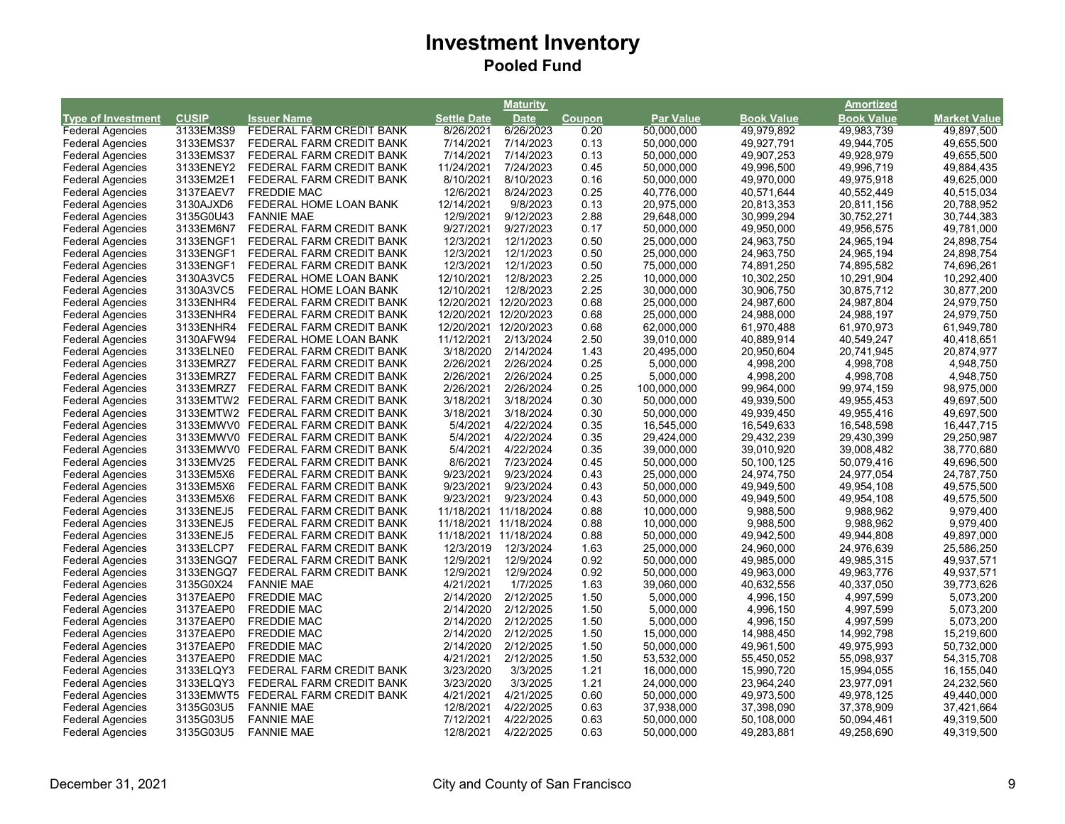|                           |              |                                    |                       | <b>Maturity</b>       |              |                  |                   | <b>Amortized</b>  |              |
|---------------------------|--------------|------------------------------------|-----------------------|-----------------------|--------------|------------------|-------------------|-------------------|--------------|
| <b>Type of Investment</b> | <b>CUSIP</b> | <b>Issuer Name</b>                 | <b>Settle Date</b>    | <b>Date</b>           | Coupon       | <b>Par Value</b> | <b>Book Value</b> | <b>Book Value</b> | Market Value |
| <b>Federal Agencies</b>   | 3133EM3S9    | FEDERAL FARM CREDIT BANK           | 8/26/2021             | 6/26/2023             | 0.20         | 50,000,000       | 49,979,892        | 49,983,739        | 49,897,500   |
| <b>Federal Agencies</b>   | 3133EMS37    | FEDERAL FARM CREDIT BANK           | 7/14/2021             | 7/14/2023             | 0.13         | 50,000,000       | 49,927,791        | 49,944,705        | 49,655,500   |
| <b>Federal Agencies</b>   | 3133EMS37    | FEDERAL FARM CREDIT BANK           | 7/14/2021             | 7/14/2023             | 0.13         | 50,000,000       | 49,907,253        | 49,928,979        | 49,655,500   |
| <b>Federal Agencies</b>   | 3133ENEY2    | FEDERAL FARM CREDIT BANK           | 11/24/2021            | 7/24/2023             | 0.45         | 50,000,000       | 49,996,500        | 49,996,719        | 49,884,435   |
| <b>Federal Agencies</b>   | 3133EM2E1    | FEDERAL FARM CREDIT BANK           | 8/10/2021             | 8/10/2023             | 0.16         | 50,000,000       | 49,970,000        | 49,975,918        | 49,625,000   |
| <b>Federal Agencies</b>   | 3137EAEV7    | <b>FREDDIE MAC</b>                 | 12/6/2021             | 8/24/2023             | 0.25         | 40,776,000       | 40,571,644        | 40,552,449        | 40,515,034   |
| <b>Federal Agencies</b>   | 3130AJXD6    | FEDERAL HOME LOAN BANK             | 12/14/2021            | 9/8/2023              | 0.13         | 20,975,000       | 20,813,353        | 20,811,156        | 20,788,952   |
| <b>Federal Agencies</b>   | 3135G0U43    | <b>FANNIE MAE</b>                  | 12/9/2021             | 9/12/2023             | 2.88         | 29,648,000       | 30,999,294        | 30,752,271        | 30,744,383   |
| <b>Federal Agencies</b>   | 3133EM6N7    | FEDERAL FARM CREDIT BANK           | 9/27/2021             | 9/27/2023             | 0.17         | 50,000,000       | 49,950,000        | 49,956,575        | 49,781,000   |
| <b>Federal Agencies</b>   | 3133ENGF1    | FEDERAL FARM CREDIT BANK           | 12/3/2021             | 12/1/2023             | 0.50         | 25,000,000       | 24,963,750        | 24,965,194        | 24,898,754   |
| <b>Federal Agencies</b>   | 3133ENGF1    | FEDERAL FARM CREDIT BANK           | 12/3/2021             | 12/1/2023             | 0.50         | 25,000,000       | 24,963,750        | 24,965,194        | 24,898,754   |
| <b>Federal Agencies</b>   | 3133ENGF1    | FEDERAL FARM CREDIT BANK           | 12/3/2021             | 12/1/2023             | 0.50         | 75,000,000       | 74,891,250        | 74,895,582        | 74,696,261   |
| <b>Federal Agencies</b>   | 3130A3VC5    | FEDERAL HOME LOAN BANK             | 12/10/2021            | 12/8/2023             | 2.25         | 10,000,000       | 10,302,250        | 10,291,904        | 10,292,400   |
| <b>Federal Agencies</b>   | 3130A3VC5    | FEDERAL HOME LOAN BANK             | 12/10/2021            | 12/8/2023             | 2.25         | 30,000,000       | 30,906,750        | 30,875,712        | 30,877,200   |
| <b>Federal Agencies</b>   | 3133ENHR4    | FEDERAL FARM CREDIT BANK           |                       | 12/20/2021 12/20/2023 | 0.68         | 25,000,000       | 24,987,600        | 24,987,804        | 24,979,750   |
| <b>Federal Agencies</b>   | 3133ENHR4    | FEDERAL FARM CREDIT BANK           |                       | 12/20/2021 12/20/2023 | 0.68         | 25,000,000       | 24,988,000        | 24,988,197        | 24,979,750   |
| <b>Federal Agencies</b>   | 3133ENHR4    | FEDERAL FARM CREDIT BANK           | 12/20/2021            | 12/20/2023            | 0.68         | 62,000,000       | 61,970,488        | 61,970,973        | 61,949,780   |
| <b>Federal Agencies</b>   | 3130AFW94    | FEDERAL HOME LOAN BANK             | 11/12/2021            | 2/13/2024             | 2.50         | 39,010,000       | 40,889,914        | 40,549,247        | 40,418,651   |
| <b>Federal Agencies</b>   | 3133ELNE0    | FEDERAL FARM CREDIT BANK           | 3/18/2020             | 2/14/2024             | 1.43         | 20,495,000       | 20,950,604        | 20,741,945        | 20,874,977   |
| <b>Federal Agencies</b>   | 3133EMRZ7    | FEDERAL FARM CREDIT BANK           | 2/26/2021             | 2/26/2024             | 0.25         | 5,000,000        | 4,998,200         | 4,998,708         | 4,948,750    |
| <b>Federal Agencies</b>   | 3133EMRZ7    | FEDERAL FARM CREDIT BANK           | 2/26/2021             | 2/26/2024             | 0.25         | 5,000,000        | 4,998,200         | 4,998,708         | 4,948,750    |
| <b>Federal Agencies</b>   | 3133EMRZ7    | FEDERAL FARM CREDIT BANK           | 2/26/2021             | 2/26/2024             | 0.25         | 100,000,000      | 99,964,000        | 99,974,159        | 98,975,000   |
| <b>Federal Agencies</b>   |              | 3133EMTW2 FEDERAL FARM CREDIT BANK | 3/18/2021             | 3/18/2024             | 0.30         | 50,000,000       | 49,939,500        | 49,955,453        | 49,697,500   |
| <b>Federal Agencies</b>   |              | 3133EMTW2 FEDERAL FARM CREDIT BANK | 3/18/2021             | 3/18/2024             | 0.30         | 50,000,000       | 49,939,450        | 49,955,416        | 49,697,500   |
| <b>Federal Agencies</b>   |              | 3133EMWV0 FEDERAL FARM CREDIT BANK | 5/4/2021              | 4/22/2024             | 0.35         | 16,545,000       | 16,549,633        | 16,548,598        | 16,447,715   |
| <b>Federal Agencies</b>   |              | 3133EMWV0 FEDERAL FARM CREDIT BANK | 5/4/2021              | 4/22/2024             | 0.35         | 29,424,000       | 29,432,239        | 29,430,399        | 29,250,987   |
| <b>Federal Agencies</b>   |              | 3133EMWV0 FEDERAL FARM CREDIT BANK | 5/4/2021              | 4/22/2024             | 0.35         | 39,000,000       | 39,010,920        | 39,008,482        | 38,770,680   |
| <b>Federal Agencies</b>   | 3133EMV25    | FEDERAL FARM CREDIT BANK           | 8/6/2021              | 7/23/2024             | 0.45         | 50,000,000       | 50,100,125        | 50,079,416        | 49,696,500   |
| <b>Federal Agencies</b>   | 3133EM5X6    | FEDERAL FARM CREDIT BANK           | 9/23/2021             | 9/23/2024             | 0.43         | 25,000,000       | 24,974,750        | 24,977,054        | 24,787,750   |
| <b>Federal Agencies</b>   | 3133EM5X6    | FEDERAL FARM CREDIT BANK           | 9/23/2021             | 9/23/2024             | 0.43         | 50,000,000       | 49,949,500        | 49,954,108        | 49,575,500   |
|                           | 3133EM5X6    | FEDERAL FARM CREDIT BANK           | 9/23/2021             | 9/23/2024             | 0.43         | 50,000,000       | 49,949,500        | 49,954,108        | 49,575,500   |
| <b>Federal Agencies</b>   | 3133ENEJ5    |                                    | 11/18/2021 11/18/2024 |                       |              |                  |                   |                   |              |
| <b>Federal Agencies</b>   | 3133ENEJ5    | FEDERAL FARM CREDIT BANK           | 11/18/2021 11/18/2024 |                       | 0.88<br>0.88 | 10,000,000       | 9,988,500         | 9,988,962         | 9,979,400    |
| <b>Federal Agencies</b>   | 3133ENEJ5    | FEDERAL FARM CREDIT BANK           | 11/18/2021 11/18/2024 |                       |              | 10,000,000       | 9,988,500         | 9,988,962         | 9,979,400    |
| <b>Federal Agencies</b>   |              | FEDERAL FARM CREDIT BANK           |                       |                       | 0.88         | 50,000,000       | 49,942,500        | 49,944,808        | 49,897,000   |
| <b>Federal Agencies</b>   | 3133ELCP7    | FEDERAL FARM CREDIT BANK           | 12/3/2019             | 12/3/2024             | 1.63         | 25,000,000       | 24,960,000        | 24,976,639        | 25,586,250   |
| <b>Federal Agencies</b>   | 3133ENGQ7    | FEDERAL FARM CREDIT BANK           | 12/9/2021             | 12/9/2024             | 0.92         | 50,000,000       | 49,985,000        | 49,985,315        | 49,937,571   |
| <b>Federal Agencies</b>   | 3133ENGQ7    | FEDERAL FARM CREDIT BANK           | 12/9/2021             | 12/9/2024             | 0.92         | 50,000,000       | 49,963,000        | 49,963,776        | 49,937,571   |
| <b>Federal Agencies</b>   | 3135G0X24    | <b>FANNIE MAE</b>                  | 4/21/2021             | 1/7/2025              | 1.63         | 39,060,000       | 40,632,556        | 40,337,050        | 39,773,626   |
| <b>Federal Agencies</b>   | 3137EAEP0    | <b>FREDDIE MAC</b>                 | 2/14/2020             | 2/12/2025             | 1.50         | 5,000,000        | 4,996,150         | 4,997,599         | 5,073,200    |
| <b>Federal Agencies</b>   | 3137EAEP0    | <b>FREDDIE MAC</b>                 | 2/14/2020             | 2/12/2025             | 1.50         | 5,000,000        | 4,996,150         | 4,997,599         | 5,073,200    |
| <b>Federal Agencies</b>   | 3137EAEP0    | <b>FREDDIE MAC</b>                 | 2/14/2020             | 2/12/2025             | 1.50         | 5,000,000        | 4,996,150         | 4,997,599         | 5,073,200    |
| <b>Federal Agencies</b>   | 3137EAEP0    | <b>FREDDIE MAC</b>                 | 2/14/2020             | 2/12/2025             | 1.50         | 15,000,000       | 14,988,450        | 14,992,798        | 15,219,600   |
| <b>Federal Agencies</b>   | 3137EAEP0    | <b>FREDDIE MAC</b>                 | 2/14/2020             | 2/12/2025             | 1.50         | 50,000,000       | 49,961,500        | 49,975,993        | 50,732,000   |
| <b>Federal Agencies</b>   | 3137EAEP0    | <b>FREDDIE MAC</b>                 | 4/21/2021             | 2/12/2025             | 1.50         | 53,532,000       | 55,450,052        | 55,098,937        | 54,315,708   |
| <b>Federal Agencies</b>   | 3133ELQY3    | FEDERAL FARM CREDIT BANK           | 3/23/2020             | 3/3/2025              | 1.21         | 16,000,000       | 15,990,720        | 15,994,055        | 16,155,040   |
| <b>Federal Agencies</b>   | 3133ELQY3    | FEDERAL FARM CREDIT BANK           | 3/23/2020             | 3/3/2025              | 1.21         | 24,000,000       | 23,964,240        | 23,977,091        | 24,232,560   |
| <b>Federal Agencies</b>   | 3133EMWT5    | FEDERAL FARM CREDIT BANK           | 4/21/2021             | 4/21/2025             | 0.60         | 50,000,000       | 49,973,500        | 49,978,125        | 49,440,000   |
| <b>Federal Agencies</b>   | 3135G03U5    | <b>FANNIE MAE</b>                  | 12/8/2021             | 4/22/2025             | 0.63         | 37,938,000       | 37,398,090        | 37,378,909        | 37,421,664   |
| <b>Federal Agencies</b>   | 3135G03U5    | <b>FANNIE MAE</b>                  | 7/12/2021             | 4/22/2025             | 0.63         | 50,000,000       | 50,108,000        | 50,094,461        | 49,319,500   |
| <b>Federal Agencies</b>   | 3135G03U5    | <b>FANNIE MAE</b>                  | 12/8/2021             | 4/22/2025             | 0.63         | 50,000,000       | 49,283,881        | 49,258,690        | 49,319,500   |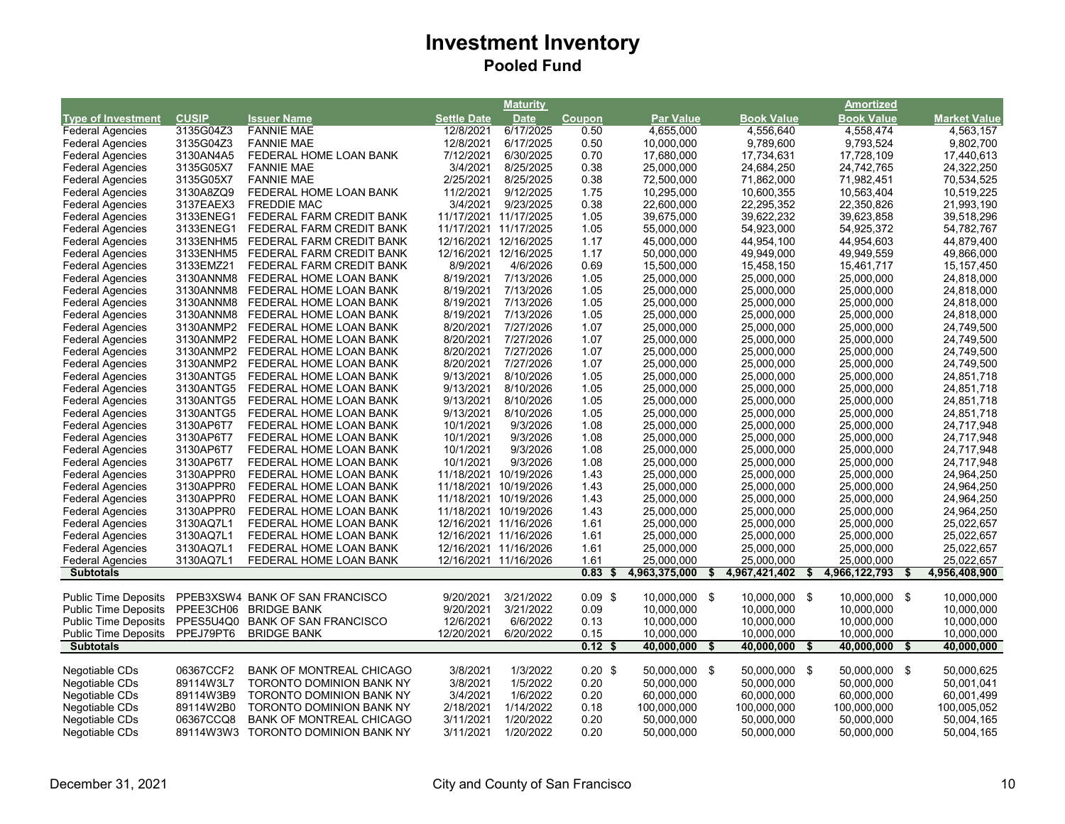|                             |                        |                                    |                       | <b>Maturity</b>       |                   |                     |                   | Amortized           |                     |
|-----------------------------|------------------------|------------------------------------|-----------------------|-----------------------|-------------------|---------------------|-------------------|---------------------|---------------------|
| <b>Type of Investment</b>   | <b>CUSIP</b>           | <b>Issuer Name</b>                 | <b>Settle Date</b>    | <b>Date</b>           | Coupon            | <b>Par Value</b>    | <b>Book Value</b> | <b>Book Value</b>   | <b>Market Value</b> |
| <b>Federal Agencies</b>     | 3135G04Z3              | <b>FANNIE MAE</b>                  | 12/8/2021             | 6/17/2025             | 0.50              | 4,655,000           | 4,556,640         | 4,558,474           | 4,563,157           |
| <b>Federal Agencies</b>     | 3135G04Z3              | <b>FANNIE MAE</b>                  | 12/8/2021             | 6/17/2025             | 0.50              | 10,000,000          | 9,789,600         | 9,793,524           | 9,802,700           |
| <b>Federal Agencies</b>     | 3130AN4A5              | FEDERAL HOME LOAN BANK             | 7/12/2021             | 6/30/2025             | 0.70              | 17,680,000          | 17,734,631        | 17,728,109          | 17,440,613          |
| <b>Federal Agencies</b>     | 3135G05X7              | <b>FANNIE MAE</b>                  | 3/4/2021              | 8/25/2025             | 0.38              | 25,000,000          | 24,684,250        | 24,742,765          | 24,322,250          |
| <b>Federal Agencies</b>     | 3135G05X7              | <b>FANNIE MAE</b>                  | 2/25/2021             | 8/25/2025             | 0.38              | 72,500,000          | 71,862,000        | 71,982,451          | 70,534,525          |
| <b>Federal Agencies</b>     | 3130A8ZQ9              | FEDERAL HOME LOAN BANK             | 11/2/2021             | 9/12/2025             | 1.75              | 10,295,000          | 10,600,355        | 10,563,404          | 10,519,225          |
| <b>Federal Agencies</b>     | 3137EAEX3              | <b>FREDDIE MAC</b>                 | 3/4/2021              | 9/23/2025             | 0.38              | 22,600,000          | 22,295,352        | 22,350,826          | 21,993,190          |
| <b>Federal Agencies</b>     | 3133ENEG1              | FEDERAL FARM CREDIT BANK           | 11/17/2021 11/17/2025 |                       | 1.05              | 39,675,000          | 39,622,232        | 39,623,858          | 39,518,296          |
| <b>Federal Agencies</b>     | 3133ENEG1              | FEDERAL FARM CREDIT BANK           | 11/17/2021 11/17/2025 |                       | 1.05              | 55,000,000          | 54,923,000        | 54,925,372          | 54,782,767          |
| <b>Federal Agencies</b>     | 3133ENHM5              | FEDERAL FARM CREDIT BANK           |                       | 12/16/2021 12/16/2025 | 1.17              | 45,000,000          | 44,954,100        | 44,954,603          | 44,879,400          |
| <b>Federal Agencies</b>     | 3133ENHM5              | FEDERAL FARM CREDIT BANK           |                       | 12/16/2021 12/16/2025 | 1.17              | 50,000,000          | 49,949,000        | 49,949,559          | 49,866,000          |
| <b>Federal Agencies</b>     | 3133EMZ21              | FEDERAL FARM CREDIT BANK           | 8/9/2021              | 4/6/2026              | 0.69              | 15,500,000          | 15,458,150        | 15,461,717          | 15, 157, 450        |
| <b>Federal Agencies</b>     | 3130ANNM8              | FEDERAL HOME LOAN BANK             | 8/19/2021             | 7/13/2026             | 1.05              | 25,000,000          | 25,000,000        | 25,000,000          | 24,818,000          |
| <b>Federal Agencies</b>     | 3130ANNM8              | FEDERAL HOME LOAN BANK             | 8/19/2021             | 7/13/2026             | 1.05              | 25,000,000          | 25,000,000        | 25,000,000          | 24,818,000          |
| <b>Federal Agencies</b>     | 3130ANNM8              | FEDERAL HOME LOAN BANK             | 8/19/2021             | 7/13/2026             | 1.05              | 25,000,000          | 25,000,000        | 25,000,000          | 24,818,000          |
| <b>Federal Agencies</b>     | 3130ANNM8              | FEDERAL HOME LOAN BANK             | 8/19/2021             | 7/13/2026             | 1.05              | 25,000,000          | 25,000,000        | 25,000,000          | 24,818,000          |
| <b>Federal Agencies</b>     | 3130ANMP2              | FEDERAL HOME LOAN BANK             | 8/20/2021             | 7/27/2026             | 1.07              | 25,000,000          | 25,000,000        | 25,000,000          | 24,749,500          |
| <b>Federal Agencies</b>     | 3130ANMP2              | FEDERAL HOME LOAN BANK             | 8/20/2021             | 7/27/2026             | 1.07              | 25,000,000          | 25,000,000        | 25,000,000          | 24,749,500          |
| <b>Federal Agencies</b>     | 3130ANMP2              | FEDERAL HOME LOAN BANK             | 8/20/2021             | 7/27/2026             | 1.07              | 25,000,000          | 25,000,000        | 25,000,000          | 24,749,500          |
| <b>Federal Agencies</b>     | 3130ANMP2              | FEDERAL HOME LOAN BANK             | 8/20/2021             | 7/27/2026             | 1.07              | 25,000,000          | 25,000,000        | 25,000,000          | 24,749,500          |
| <b>Federal Agencies</b>     | 3130ANTG5              | FEDERAL HOME LOAN BANK             | 9/13/2021             | 8/10/2026             | 1.05              | 25,000,000          | 25,000,000        | 25,000,000          | 24,851,718          |
|                             |                        | FEDERAL HOME LOAN BANK             | 9/13/2021             | 8/10/2026             | 1.05              | 25,000,000          | 25,000,000        | 25,000,000          | 24,851,718          |
| <b>Federal Agencies</b>     | 3130ANTG5<br>3130ANTG5 |                                    | 9/13/2021             | 8/10/2026             | 1.05              |                     |                   |                     |                     |
| <b>Federal Agencies</b>     | 3130ANTG5              | FEDERAL HOME LOAN BANK             | 9/13/2021             |                       | 1.05              | 25,000,000          | 25,000,000        | 25,000,000          | 24,851,718          |
| <b>Federal Agencies</b>     |                        | FEDERAL HOME LOAN BANK             |                       | 8/10/2026             |                   | 25,000,000          | 25,000,000        | 25,000,000          | 24,851,718          |
| <b>Federal Agencies</b>     | 3130AP6T7              | FEDERAL HOME LOAN BANK             | 10/1/2021             | 9/3/2026              | 1.08              | 25,000,000          | 25,000,000        | 25,000,000          | 24,717,948          |
| <b>Federal Agencies</b>     | 3130AP6T7              | FEDERAL HOME LOAN BANK             | 10/1/2021             | 9/3/2026              | 1.08              | 25,000,000          | 25,000,000        | 25,000,000          | 24,717,948          |
| <b>Federal Agencies</b>     | 3130AP6T7<br>3130AP6T7 | FEDERAL HOME LOAN BANK             | 10/1/2021             | 9/3/2026<br>9/3/2026  | 1.08              | 25,000,000          | 25,000,000        | 25,000,000          | 24,717,948          |
| <b>Federal Agencies</b>     |                        | FEDERAL HOME LOAN BANK             | 10/1/2021             |                       | 1.08              | 25,000,000          | 25,000,000        | 25,000,000          | 24,717,948          |
| <b>Federal Agencies</b>     | 3130APPR0              | FEDERAL HOME LOAN BANK             | 11/18/2021            | 10/19/2026            | 1.43              | 25,000,000          | 25,000,000        | 25,000,000          | 24,964,250          |
| <b>Federal Agencies</b>     | 3130APPR0              | FEDERAL HOME LOAN BANK             | 11/18/2021 10/19/2026 |                       | 1.43              | 25,000,000          | 25,000,000        | 25,000,000          | 24,964,250          |
| <b>Federal Agencies</b>     | 3130APPR0              | FEDERAL HOME LOAN BANK             | 11/18/2021 10/19/2026 |                       | 1.43              | 25,000,000          | 25,000,000        | 25,000,000          | 24,964,250          |
| <b>Federal Agencies</b>     | 3130APPR0              | FEDERAL HOME LOAN BANK             | 11/18/2021 10/19/2026 |                       | 1.43              | 25,000,000          | 25,000,000        | 25,000,000          | 24,964,250          |
| <b>Federal Agencies</b>     | 3130AQ7L1              | FEDERAL HOME LOAN BANK             |                       | 12/16/2021 11/16/2026 | 1.61              | 25,000,000          | 25,000,000        | 25,000,000          | 25,022,657          |
| <b>Federal Agencies</b>     | 3130AQ7L1              | FEDERAL HOME LOAN BANK             |                       | 12/16/2021 11/16/2026 | 1.61              | 25,000,000          | 25,000,000        | 25,000,000          | 25,022,657          |
| <b>Federal Agencies</b>     | 3130AQ7L1              | FEDERAL HOME LOAN BANK             |                       | 12/16/2021 11/16/2026 | 1.61              | 25,000,000          | 25,000,000        | 25,000,000          | 25,022,657          |
| <b>Federal Agencies</b>     | 3130AQ7L1              | FEDERAL HOME LOAN BANK             |                       | 12/16/2021 11/16/2026 | 1.61              | 25,000,000          | 25,000,000        | 25,000,000          | 25,022,657          |
| <b>Subtotals</b>            |                        |                                    |                       |                       | 0.83<br>\$        | 4,963,375,000<br>\$ | 4,967,421,402     | 4,966,122,793<br>\$ | 4,956,408,900<br>\$ |
| <b>Public Time Deposits</b> |                        | PPEB3XSW4 BANK OF SAN FRANCISCO    | 9/20/2021             | 3/21/2022             | $0.09$ \$         | 10,000,000 \$       | 10,000,000 \$     | 10,000,000 \$       | 10,000,000          |
|                             |                        |                                    |                       |                       |                   |                     |                   |                     |                     |
| <b>Public Time Deposits</b> | PPEE3CH06              | <b>BRIDGE BANK</b>                 | 9/20/2021             | 3/21/2022             | 0.09              | 10,000,000          | 10,000,000        | 10,000,000          | 10,000,000          |
| <b>Public Time Deposits</b> | PPES5U4Q0              | <b>BANK OF SAN FRANCISCO</b>       | 12/6/2021             | 6/6/2022              | 0.13              | 10,000,000          | 10,000,000        | 10,000,000          | 10,000,000          |
| <b>Public Time Deposits</b> | PPEJ79PT6              | <b>BRIDGE BANK</b>                 | 12/20/2021            | 6/20/2022             | 0.15              | 10,000,000          | 10,000,000        | 10,000,000          | 10,000,000          |
| <b>Subtotals</b>            |                        |                                    |                       |                       | 0.12 <sub>5</sub> | 40,000,000<br>\$    | 40,000,000        | 40,000,000<br>\$    | 40,000,000<br>\$    |
| Negotiable CDs              | 06367CCF2              | <b>BANK OF MONTREAL CHICAGO</b>    | 3/8/2021              | 1/3/2022              | $0.20$ \$         | 50,000,000 \$       | 50,000,000 \$     | 50,000,000 \$       | 50,000,625          |
| Negotiable CDs              | 89114W3L7              | <b>TORONTO DOMINION BANK NY</b>    | 3/8/2021              | 1/5/2022              | 0.20              | 50,000,000          | 50,000,000        | 50,000,000          | 50,001,041          |
| Negotiable CDs              | 89114W3B9              | <b>TORONTO DOMINION BANK NY</b>    | 3/4/2021              | 1/6/2022              | 0.20              | 60,000,000          | 60,000,000        | 60,000,000          | 60,001,499          |
| Negotiable CDs              | 89114W2B0              | <b>TORONTO DOMINION BANK NY</b>    | 2/18/2021             | 1/14/2022             | 0.18              | 100,000,000         | 100,000,000       | 100,000,000         | 100,005,052         |
|                             | 06367CCQ8              | <b>BANK OF MONTREAL CHICAGO</b>    | 3/11/2021             | 1/20/2022             | 0.20              | 50,000,000          | 50,000,000        | 50,000,000          |                     |
| Negotiable CDs              |                        |                                    |                       |                       |                   |                     |                   |                     | 50,004,165          |
| Negotiable CDs              |                        | 89114W3W3 TORONTO DOMINION BANK NY | 3/11/2021             | 1/20/2022             | 0.20              | 50,000,000          | 50,000,000        | 50,000,000          | 50,004,165          |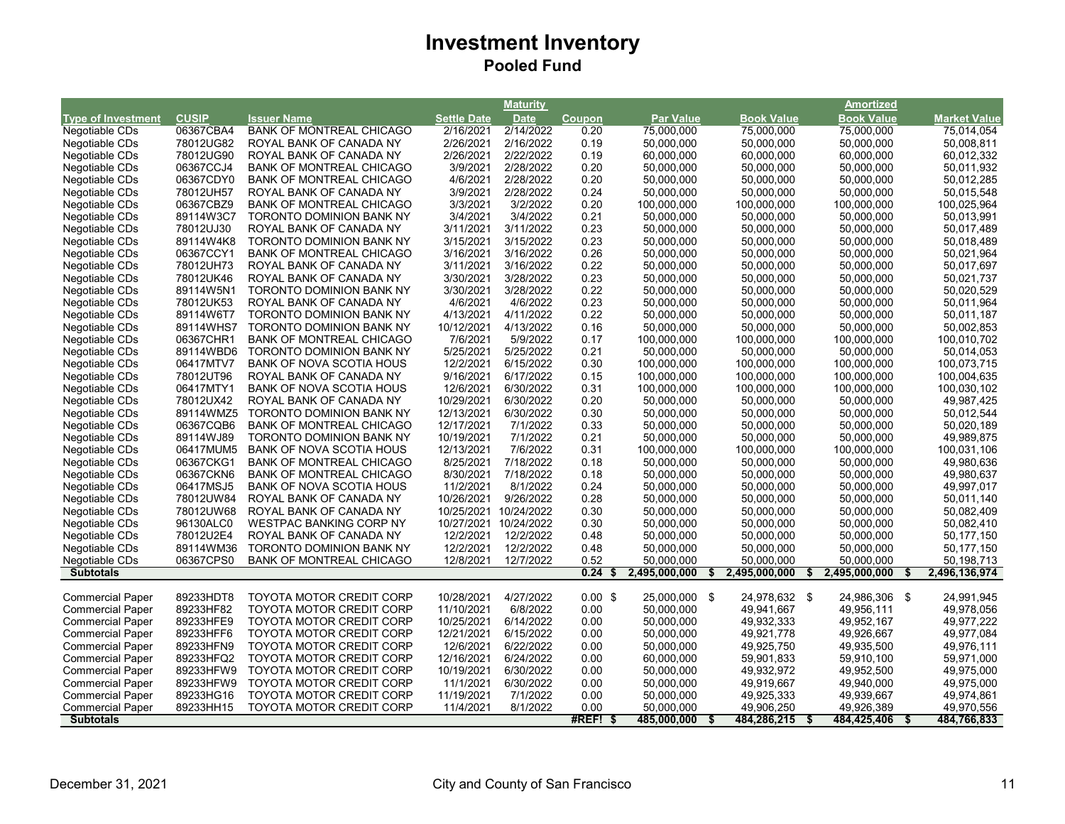|                           |              |                                 |                       | <b>Maturity</b> |               |                  |                     | Amortized           |                     |
|---------------------------|--------------|---------------------------------|-----------------------|-----------------|---------------|------------------|---------------------|---------------------|---------------------|
| <b>Type of Investment</b> | <b>CUSIP</b> | <b>Issuer Name</b>              | <b>Settle Date</b>    | <b>Date</b>     | <b>Coupon</b> | <b>Par Value</b> | <b>Book Value</b>   | <b>Book Value</b>   | <b>Market Value</b> |
| Negotiable CDs            | 06367CBA4    | <b>BANK OF MONTREAL CHICAGO</b> | 2/16/2021             | 2/14/2022       | 0.20          | 75,000,000       | 75,000,000          | 75,000,000          | 75,014,054          |
| Negotiable CDs            | 78012UG82    | ROYAL BANK OF CANADA NY         | 2/26/2021             | 2/16/2022       | 0.19          | 50,000,000       | 50,000,000          | 50,000,000          | 50,008,811          |
| Negotiable CDs            | 78012UG90    | ROYAL BANK OF CANADA NY         | 2/26/2021             | 2/22/2022       | 0.19          | 60,000,000       | 60,000,000          | 60,000,000          | 60,012,332          |
| Negotiable CDs            | 06367CCJ4    | <b>BANK OF MONTREAL CHICAGO</b> | 3/9/2021              | 2/28/2022       | 0.20          | 50,000,000       | 50,000,000          | 50,000,000          | 50,011,932          |
| Negotiable CDs            | 06367CDY0    | <b>BANK OF MONTREAL CHICAGO</b> | 4/6/2021              | 2/28/2022       | 0.20          | 50,000,000       | 50,000,000          | 50,000,000          | 50,012,285          |
| Negotiable CDs            | 78012UH57    | ROYAL BANK OF CANADA NY         | 3/9/2021              | 2/28/2022       | 0.24          | 50,000,000       | 50,000,000          | 50,000,000          | 50,015,548          |
| Negotiable CDs            | 06367CBZ9    | <b>BANK OF MONTREAL CHICAGO</b> | 3/3/2021              | 3/2/2022        | 0.20          | 100,000,000      | 100,000,000         | 100,000,000         | 100,025,964         |
| Negotiable CDs            | 89114W3C7    | <b>TORONTO DOMINION BANK NY</b> | 3/4/2021              | 3/4/2022        | 0.21          | 50,000,000       | 50,000,000          | 50,000,000          | 50,013,991          |
| Negotiable CDs            | 78012UJ30    | ROYAL BANK OF CANADA NY         | 3/11/2021             | 3/11/2022       | 0.23          | 50,000,000       | 50,000,000          | 50,000,000          | 50,017,489          |
| Negotiable CDs            | 89114W4K8    | <b>TORONTO DOMINION BANK NY</b> | 3/15/2021             | 3/15/2022       | 0.23          | 50,000,000       | 50,000,000          | 50,000,000          | 50,018,489          |
| Negotiable CDs            | 06367CCY1    | <b>BANK OF MONTREAL CHICAGO</b> | 3/16/2021             | 3/16/2022       | 0.26          | 50,000,000       | 50,000,000          | 50,000,000          | 50,021,964          |
| Negotiable CDs            | 78012UH73    | ROYAL BANK OF CANADA NY         | 3/11/2021             | 3/16/2022       | 0.22          | 50,000,000       | 50,000,000          | 50,000,000          | 50,017,697          |
| Negotiable CDs            | 78012UK46    | ROYAL BANK OF CANADA NY         | 3/30/2021             | 3/28/2022       | 0.23          | 50,000,000       | 50,000,000          | 50,000,000          | 50,021,737          |
| Negotiable CDs            | 89114W5N1    | <b>TORONTO DOMINION BANK NY</b> | 3/30/2021             | 3/28/2022       | 0.22          | 50,000,000       | 50,000,000          | 50,000,000          | 50,020,529          |
| Negotiable CDs            | 78012UK53    | ROYAL BANK OF CANADA NY         | 4/6/2021              | 4/6/2022        | 0.23          | 50,000,000       | 50,000,000          | 50,000,000          | 50,011,964          |
| Negotiable CDs            | 89114W6T7    | <b>TORONTO DOMINION BANK NY</b> | 4/13/2021             | 4/11/2022       | 0.22          | 50,000,000       | 50,000,000          | 50,000,000          | 50,011,187          |
| Negotiable CDs            | 89114WHS7    | <b>TORONTO DOMINION BANK NY</b> | 10/12/2021            | 4/13/2022       | 0.16          | 50,000,000       | 50,000,000          | 50,000,000          | 50,002,853          |
| Negotiable CDs            | 06367CHR1    | <b>BANK OF MONTREAL CHICAGO</b> | 7/6/2021              | 5/9/2022        | 0.17          | 100,000,000      | 100,000,000         | 100,000,000         | 100,010,702         |
| Negotiable CDs            | 89114WBD6    | <b>TORONTO DOMINION BANK NY</b> | 5/25/2021             | 5/25/2022       | 0.21          | 50,000,000       | 50,000,000          | 50,000,000          | 50,014,053          |
| Negotiable CDs            | 06417MTV7    | <b>BANK OF NOVA SCOTIA HOUS</b> | 12/2/2021             | 6/15/2022       | 0.30          | 100,000,000      | 100,000,000         | 100,000,000         | 100,073,715         |
| Negotiable CDs            | 78012UT96    | ROYAL BANK OF CANADA NY         | 9/16/2021             | 6/17/2022       | 0.15          | 100,000,000      | 100,000,000         | 100,000,000         | 100,004,635         |
| Negotiable CDs            | 06417MTY1    | <b>BANK OF NOVA SCOTIA HOUS</b> | 12/6/2021             | 6/30/2022       | 0.31          | 100,000,000      | 100,000,000         | 100,000,000         | 100,030,102         |
| Negotiable CDs            | 78012UX42    | ROYAL BANK OF CANADA NY         | 10/29/2021            | 6/30/2022       | 0.20          | 50,000,000       | 50,000,000          | 50,000,000          | 49,987,425          |
| Negotiable CDs            | 89114WMZ5    | <b>TORONTO DOMINION BANK NY</b> | 12/13/2021            | 6/30/2022       | 0.30          | 50,000,000       | 50,000,000          | 50,000,000          | 50,012,544          |
| Negotiable CDs            | 06367CQB6    | <b>BANK OF MONTREAL CHICAGO</b> | 12/17/2021            | 7/1/2022        | 0.33          | 50,000,000       | 50,000,000          | 50,000,000          | 50,020,189          |
| Negotiable CDs            | 89114WJ89    | <b>TORONTO DOMINION BANK NY</b> | 10/19/2021            | 7/1/2022        | 0.21          | 50,000,000       | 50,000,000          | 50,000,000          | 49,989,875          |
| Negotiable CDs            | 06417MUM5    | <b>BANK OF NOVA SCOTIA HOUS</b> | 12/13/2021            | 7/6/2022        | 0.31          | 100,000,000      | 100,000,000         | 100,000,000         | 100,031,106         |
| Negotiable CDs            | 06367CKG1    | <b>BANK OF MONTREAL CHICAGO</b> | 8/25/2021             | 7/18/2022       | 0.18          | 50,000,000       | 50,000,000          | 50,000,000          | 49,980,636          |
| Negotiable CDs            | 06367CKN6    | <b>BANK OF MONTREAL CHICAGO</b> | 8/30/2021             | 7/18/2022       | 0.18          | 50,000,000       | 50,000,000          | 50,000,000          | 49,980,637          |
| Negotiable CDs            | 06417MSJ5    | <b>BANK OF NOVA SCOTIA HOUS</b> | 11/2/2021             | 8/1/2022        | 0.24          | 50,000,000       | 50,000,000          | 50,000,000          | 49,997,017          |
| Negotiable CDs            | 78012UW84    | ROYAL BANK OF CANADA NY         | 10/26/2021            | 9/26/2022       | 0.28          | 50,000,000       | 50,000,000          | 50,000,000          | 50,011,140          |
| Negotiable CDs            | 78012UW68    | ROYAL BANK OF CANADA NY         | 10/25/2021 10/24/2022 |                 | 0.30          | 50,000,000       | 50,000,000          | 50,000,000          | 50,082,409          |
| Negotiable CDs            | 96130ALC0    | <b>WESTPAC BANKING CORP NY</b>  | 10/27/2021            | 10/24/2022      | 0.30          | 50,000,000       | 50,000,000          | 50,000,000          | 50,082,410          |
| Negotiable CDs            | 78012U2E4    | ROYAL BANK OF CANADA NY         | 12/2/2021             | 12/2/2022       | 0.48          | 50,000,000       | 50,000,000          | 50,000,000          | 50,177,150          |
| Negotiable CDs            | 89114WM36    | TORONTO DOMINION BANK NY        | 12/2/2021             | 12/2/2022       | 0.48          | 50,000,000       | 50,000,000          | 50,000,000          | 50,177,150          |
| Negotiable CDs            | 06367CPS0    | <b>BANK OF MONTREAL CHICAGO</b> | 12/8/2021             | 12/7/2022       | 0.52          | 50,000,000       | 50,000,000          | 50,000,000          | 50,198,713          |
| <b>Subtotals</b>          |              |                                 |                       |                 | 0.24          | 2,495,000,000    | 2,495,000,000<br>\$ | 2,495,000,000<br>\$ | 2,496,136,974<br>\$ |
|                           |              |                                 |                       |                 |               |                  |                     |                     |                     |
| <b>Commercial Paper</b>   | 89233HDT8    | TOYOTA MOTOR CREDIT CORP        | 10/28/2021            | 4/27/2022       | $0.00$ \$     | 25,000,000 \$    | 24,978,632 \$       | 24,986,306 \$       | 24,991,945          |
| <b>Commercial Paper</b>   | 89233HF82    | TOYOTA MOTOR CREDIT CORP        | 11/10/2021            | 6/8/2022        | 0.00          | 50,000,000       | 49,941,667          | 49,956,111          | 49,978,056          |
| <b>Commercial Paper</b>   | 89233HFE9    | <b>TOYOTA MOTOR CREDIT CORP</b> | 10/25/2021            | 6/14/2022       | 0.00          | 50,000,000       | 49,932,333          | 49,952,167          | 49,977,222          |
| <b>Commercial Paper</b>   | 89233HFF6    | <b>TOYOTA MOTOR CREDIT CORP</b> | 12/21/2021            | 6/15/2022       | 0.00          | 50,000,000       | 49,921,778          | 49,926,667          | 49,977,084          |
| <b>Commercial Paper</b>   | 89233HFN9    | <b>TOYOTA MOTOR CREDIT CORP</b> | 12/6/2021             | 6/22/2022       | 0.00          | 50,000,000       | 49,925,750          | 49,935,500          | 49,976,111          |
| <b>Commercial Paper</b>   | 89233HFQ2    | <b>TOYOTA MOTOR CREDIT CORP</b> | 12/16/2021            | 6/24/2022       | 0.00          | 60,000,000       | 59,901,833          | 59,910,100          | 59,971,000          |
| <b>Commercial Paper</b>   | 89233HFW9    | <b>TOYOTA MOTOR CREDIT CORP</b> | 10/19/2021            | 6/30/2022       | 0.00          | 50,000,000       | 49,932,972          | 49,952,500          | 49,975,000          |
| <b>Commercial Paper</b>   | 89233HFW9    | TOYOTA MOTOR CREDIT CORP        | 11/1/2021             | 6/30/2022       | 0.00          | 50,000,000       | 49,919,667          | 49,940,000          | 49,975,000          |
| <b>Commercial Paper</b>   | 89233HG16    | TOYOTA MOTOR CREDIT CORP        | 11/19/2021            | 7/1/2022        | 0.00          | 50,000,000       | 49,925,333          | 49,939,667          | 49,974,861          |
| <b>Commercial Paper</b>   | 89233HH15    | <b>TOYOTA MOTOR CREDIT CORP</b> | 11/4/2021             | 8/1/2022        | 0.00          | 50,000,000       | 49,906,250          | 49,926,389          | 49,970,556          |
| <b>Subtotals</b>          |              |                                 |                       |                 | #REF!<br>- \$ | 485,000,000      | 484,286,215         | 484,425,406<br>- \$ | 484,766,833         |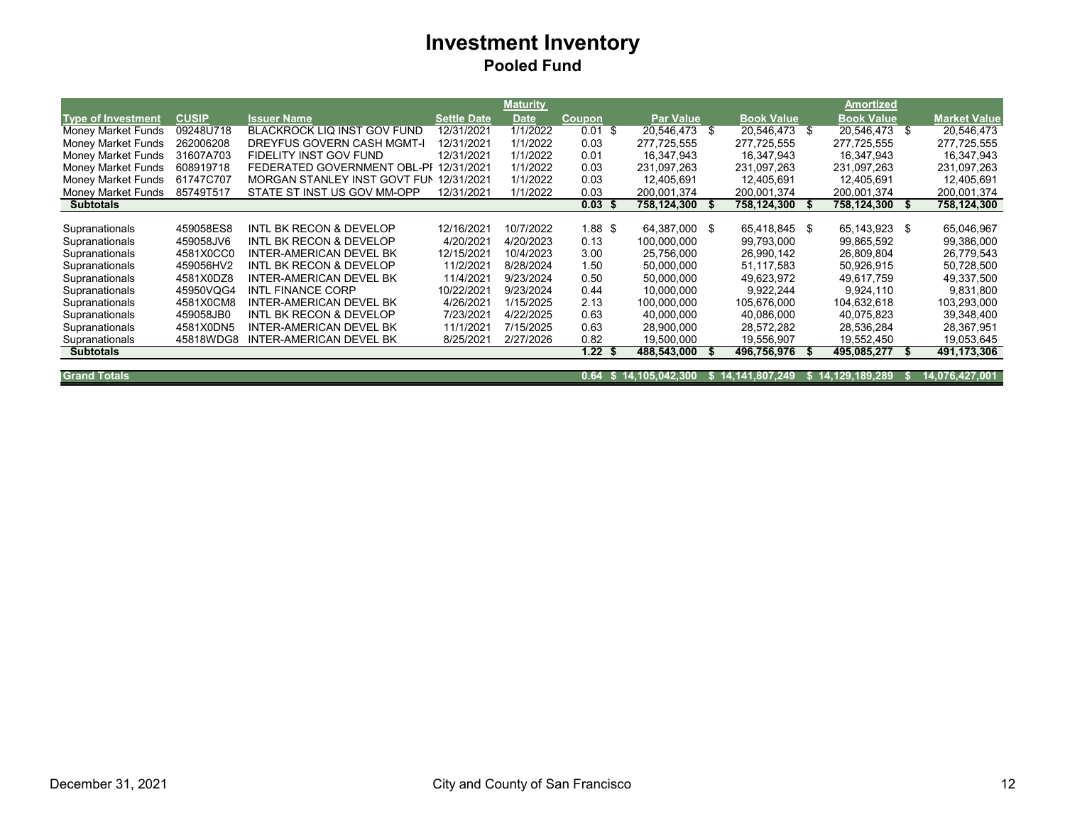|                           |              |                                        |                    | <b>Maturity</b> |                   |                  |      |                   |      | Amortized         |      |                     |
|---------------------------|--------------|----------------------------------------|--------------------|-----------------|-------------------|------------------|------|-------------------|------|-------------------|------|---------------------|
| <b>Type of Investment</b> | <b>CUSIP</b> | <b>Issuer Name</b>                     | <b>Settle Date</b> | <b>Date</b>     | Coupon            | <b>Par Value</b> |      | <b>Book Value</b> |      | <b>Book Value</b> |      | <b>Market Value</b> |
| Money Market Funds        | 09248U718    | <b>BLACKROCK LIQ INST GOV FUND</b>     | 12/31/2021         | 1/1/2022        | $0.01$ \$         | 20,546,473 \$    |      | 20.546.473 \$     |      | 20,546,473        | - \$ | 20,546,473          |
| Money Market Funds        | 262006208    | DREYFUS GOVERN CASH MGMT-              | 12/31/2021         | 1/1/2022        | 0.03              | 277.725.555      |      | 277.725.555       |      | 277.725.555       |      | 277,725,555         |
| Money Market Funds        | 31607A703    | FIDELITY INST GOV FUND                 | 12/31/2021         | 1/1/2022        | 0.01              | 16.347.943       |      | 16,347,943        |      | 16,347,943        |      | 16,347,943          |
| <b>Money Market Funds</b> | 608919718    | FEDERATED GOVERNMENT OBL-PI 12/31/2021 |                    | 1/1/2022        | 0.03              | 231,097,263      |      | 231,097,263       |      | 231,097,263       |      | 231,097,263         |
| Money Market Funds        | 61747C707    | MORGAN STANLEY INST GOVT FUN           | 12/31/2021         | 1/1/2022        | 0.03              | 12,405,691       |      | 12,405,691        |      | 12,405,691        |      | 12,405,691          |
| Money Market Funds        | 85749T517    | STATE ST INST US GOV MM-OPP            | 12/31/2021         | 1/1/2022        | 0.03              | 200.001.374      |      | 200.001.374       |      | 200.001.374       |      | 200.001.374         |
| <b>Subtotals</b>          |              |                                        |                    |                 | 0.03 <sup>5</sup> | 758,124,300      | - 55 | 758,124,300       | - 56 | 758,124,300       | - 56 | 758,124,300         |
|                           |              |                                        |                    |                 |                   |                  |      |                   |      |                   |      |                     |
| Supranationals            | 459058ES8    | INTL BK RECON & DEVELOP                | 12/16/2021         | 10/7/2022       | 1.88 \$           | 64.387.000 \$    |      | 65,418,845 \$     |      | 65.143.923        | - \$ | 65,046,967          |
| Supranationals            | 459058JV6    | <b>INTL BK RECON &amp; DEVELOP</b>     | 4/20/2021          | 4/20/2023       | 0.13              | 100,000,000      |      | 99,793,000        |      | 99,865,592        |      | 99,386,000          |
| Supranationals            | 4581X0CC0    | INTER-AMERICAN DEVEL BK                | 12/15/2021         | 10/4/2023       | 3.00              | 25,756,000       |      | 26,990,142        |      | 26,809,804        |      | 26,779,543          |
| Supranationals            | 459056HV2    | INTL BK RECON & DEVELOP                | 11/2/2021          | 8/28/2024       | 1.50              | 50.000.000       |      | 51.117.583        |      | 50.926.915        |      | 50,728,500          |
| Supranationals            | 4581X0DZ8    | INTER-AMERICAN DEVEL BK                | 11/4/2021          | 9/23/2024       | 0.50              | 50,000,000       |      | 49,623,972        |      | 49,617,759        |      | 49,337,500          |
| Supranationals            | 45950VQG4    | INTL FINANCE CORP                      | 10/22/2021         | 9/23/2024       | 0.44              | 10,000,000       |      | 9,922,244         |      | 9,924,110         |      | 9,831,800           |
| Supranationals            | 4581X0CM8    | INTER-AMERICAN DEVEL BK                | 4/26/2021          | 1/15/2025       | 2.13              | 100.000.000      |      | 105.676.000       |      | 104.632.618       |      | 103,293,000         |
| Supranationals            | 459058JB0    | INTL BK RECON & DEVELOP                | 7/23/2021          | 4/22/2025       | 0.63              | 40.000.000       |      | 40.086.000        |      | 40.075.823        |      | 39,348,400          |
| Supranationals            | 4581X0DN5    | INTER-AMERICAN DEVEL BK                | 11/1/2021          | 7/15/2025       | 0.63              | 28,900,000       |      | 28,572,282        |      | 28,536,284        |      | 28,367,951          |
| Supranationals            | 45818WDG8    | INTER-AMERICAN DEVEL BK                | 8/25/2021          | 2/27/2026       | 0.82              | 19,500,000       |      | 19,556,907        |      | 19,552,450        |      | 19,053,645          |
| <b>Subtotals</b>          |              |                                        |                    |                 | 1.22 \$           | 488,543,000      |      | 496,756,976       | - 55 | 495,085,277       | - 55 | 491,173,306         |
|                           |              |                                        |                    |                 |                   |                  |      |                   |      |                   |      |                     |

**Grand Totals**

**0.64 14,105,042,300 \$ 14,141,807,249 \$ 14,129,189,289 \$ 14,076,427,001 \$**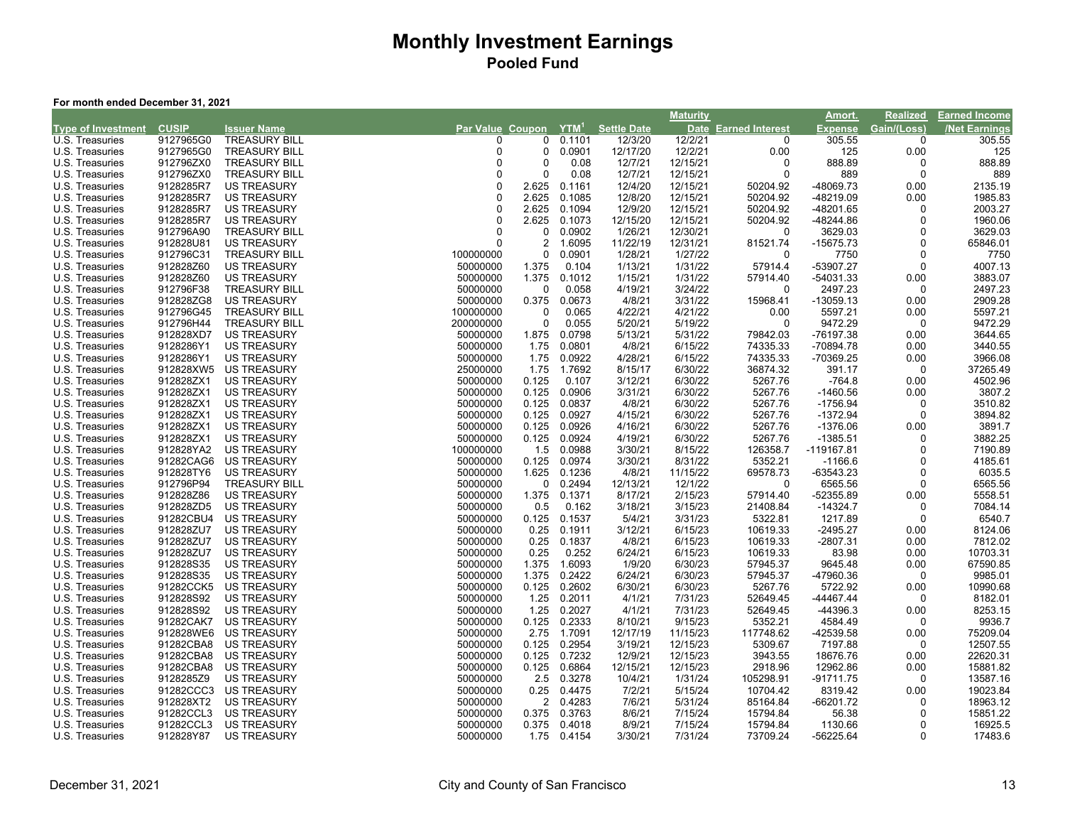#### **For month ended December 31, 2021**

|                           |              |                      |                  |                |             |                    | <b>Maturity</b> |                             | Amort.         | <b>Realized</b> | <u>Earned Income</u> |
|---------------------------|--------------|----------------------|------------------|----------------|-------------|--------------------|-----------------|-----------------------------|----------------|-----------------|----------------------|
| <b>Type of Investment</b> | <b>CUSIP</b> | <b>Issuer Name</b>   | Par Value Coupon |                | $YTM^1$     | <b>Settle Date</b> |                 | <b>Date Earned Interest</b> | <b>Expense</b> | Gain/(Loss)     | <b>Net Earnings</b>  |
| U.S. Treasuries           | 9127965G0    | <b>TREASURY BILL</b> | 0                | 0              | 0.1101      | 12/3/20            | 12/2/21         | 0                           | 305.55         | $\Omega$        | 305.55               |
| U.S. Treasuries           | 9127965G0    | <b>TREASURY BILL</b> | $\Omega$         | $\mathbf 0$    | 0.0901      | 12/17/20           | 12/2/21         | 0.00                        | 125            | 0.00            | 125                  |
| U.S. Treasuries           | 912796ZX0    | <b>TREASURY BILL</b> | $\Omega$         | $\Omega$       | 0.08        | 12/7/21            | 12/15/21        | $\Omega$                    | 888.89         | ŋ               | 888.89               |
| U.S. Treasuries           | 912796ZX0    | <b>TREASURY BILL</b> | O                | 0              | 0.08        | 12/7/21            | 12/15/21        | 0                           | 889            | $\Omega$        | 889                  |
| U.S. Treasuries           | 9128285R7    | <b>US TREASURY</b>   | $\Omega$         | 2.625          | 0.1161      | 12/4/20            | 12/15/21        | 50204.92                    | -48069.73      | 0.00            | 2135.19              |
| U.S. Treasuries           | 9128285R7    | <b>US TREASURY</b>   | $\Omega$         | 2.625          | 0.1085      | 12/8/20            | 12/15/21        | 50204.92                    | -48219.09      | 0.00            | 1985.83              |
| U.S. Treasuries           | 9128285R7    | <b>US TREASURY</b>   | $\Omega$         | 2.625          | 0.1094      | 12/9/20            | 12/15/21        | 50204.92                    | -48201.65      | 0               | 2003.27              |
| U.S. Treasuries           | 9128285R7    | <b>US TREASURY</b>   | $\Omega$         | 2.625          | 0.1073      | 12/15/20           | 12/15/21        | 50204.92                    | -48244.86      | $\Omega$        | 1960.06              |
| U.S. Treasuries           | 912796A90    | <b>TREASURY BILL</b> | $\Omega$         | $\mathbf 0$    | 0.0902      | 1/26/21            | 12/30/21        | 0                           | 3629.03        | $\Omega$        | 3629.03              |
| U.S. Treasuries           | 912828U81    | <b>US TREASURY</b>   | $\Omega$         | $\overline{2}$ | 1.6095      | 11/22/19           | 12/31/21        | 81521.74                    | $-15675.73$    | $\Omega$        | 65846.01             |
| U.S. Treasuries           | 912796C31    | <b>TREASURY BILL</b> | 100000000        | $\mathbf 0$    | 0.0901      | 1/28/21            | 1/27/22         | 0                           | 7750           | $\Omega$        | 7750                 |
| U.S. Treasuries           | 912828Z60    | <b>US TREASURY</b>   | 50000000         | 1.375          | 0.104       | 1/13/21            | 1/31/22         | 57914.4                     | -53907.27      | ŋ               | 4007.13              |
| U.S. Treasuries           | 912828Z60    | <b>US TREASURY</b>   | 50000000         | 1.375          | 0.1012      | 1/15/21            | 1/31/22         | 57914.40                    | -54031.33      | 0.00            | 3883.07              |
| U.S. Treasuries           | 912796F38    | <b>TREASURY BILL</b> | 50000000         | 0              | 0.058       | 4/19/21            | 3/24/22         | 0                           | 2497.23        | $\Omega$        | 2497.23              |
| U.S. Treasuries           | 912828ZG8    | <b>US TREASURY</b>   | 50000000         | 0.375          | 0.0673      | 4/8/21             | 3/31/22         | 15968.41                    | $-13059.13$    | 0.00            | 2909.28              |
| U.S. Treasuries           | 912796G45    | <b>TREASURY BILL</b> | 100000000        | 0              | 0.065       | 4/22/21            | 4/21/22         | 0.00                        | 5597.21        | 0.00            | 5597.21              |
| U.S. Treasuries           | 912796H44    | <b>TREASURY BILL</b> | 200000000        | $\mathbf 0$    | 0.055       | 5/20/21            | 5/19/22         | 0                           | 9472.29        | $\Omega$        | 9472.29              |
| U.S. Treasuries           | 912828XD7    | <b>US TREASURY</b>   | 50000000         | 1.875          | 0.0798      | 5/13/21            | 5/31/22         | 79842.03                    | -76197.38      | 0.00            | 3644.65              |
| U.S. Treasuries           | 9128286Y1    | <b>US TREASURY</b>   | 50000000         | 1.75           | 0.0801      | 4/8/21             | 6/15/22         | 74335.33                    | -70894.78      | 0.00            | 3440.55              |
| U.S. Treasuries           | 9128286Y1    | <b>US TREASURY</b>   | 50000000         | 1.75           | 0.0922      | 4/28/21            | 6/15/22         | 74335.33                    | -70369.25      | 0.00            | 3966.08              |
| U.S. Treasuries           | 912828XW5    | US TREASURY          | 25000000         | 1.75           | 1.7692      | 8/15/17            | 6/30/22         | 36874.32                    | 391.17         | $\Omega$        | 37265.49             |
| U.S. Treasuries           | 912828ZX1    | <b>US TREASURY</b>   | 50000000         | 0.125          | 0.107       | 3/12/21            | 6/30/22         | 5267.76                     | $-764.8$       | 0.00            | 4502.96              |
| U.S. Treasuries           | 912828ZX1    | <b>US TREASURY</b>   | 50000000         | 0.125          | 0.0906      | 3/31/21            | 6/30/22         | 5267.76                     | $-1460.56$     | 0.00            | 3807.2               |
| U.S. Treasuries           | 912828ZX1    | <b>US TREASURY</b>   | 50000000         | 0.125          | 0.0837      | 4/8/21             | 6/30/22         | 5267.76                     | $-1756.94$     | 0               | 3510.82              |
| U.S. Treasuries           | 912828ZX1    | <b>US TREASURY</b>   | 50000000         | 0.125          | 0.0927      | 4/15/21            | 6/30/22         | 5267.76                     | $-1372.94$     | $\Omega$        | 3894.82              |
| U.S. Treasuries           | 912828ZX1    | <b>US TREASURY</b>   | 50000000         | 0.125          | 0.0926      | 4/16/21            | 6/30/22         | 5267.76                     | $-1376.06$     | 0.00            | 3891.7               |
| U.S. Treasuries           | 912828ZX1    | <b>US TREASURY</b>   | 50000000         | 0.125          | 0.0924      | 4/19/21            | 6/30/22         | 5267.76                     | $-1385.51$     | $\Omega$        | 3882.25              |
| U.S. Treasuries           | 912828YA2    | <b>US TREASURY</b>   | 100000000        | 1.5            | 0.0988      | 3/30/21            | 8/15/22         | 126358.7                    | -119167.81     | $\Omega$        | 7190.89              |
| U.S. Treasuries           | 91282CAG6    | <b>US TREASURY</b>   | 50000000         | 0.125          | 0.0974      | 3/30/21            | 8/31/22         | 5352.21                     | $-1166.6$      | ŋ               | 4185.61              |
| U.S. Treasuries           | 912828TY6    | <b>US TREASURY</b>   | 50000000         | 1.625          | 0.1236      | 4/8/21             | 11/15/22        | 69578.73                    | -63543.23      | $\Omega$        | 6035.5               |
| U.S. Treasuries           | 912796P94    | <b>TREASURY BILL</b> | 50000000         | 0              | 0.2494      | 12/13/21           | 12/1/22         | 0                           | 6565.56        | $\Omega$        | 6565.56              |
| U.S. Treasuries           | 912828Z86    | <b>US TREASURY</b>   | 50000000         | 1.375          | 0.1371      | 8/17/21            | 2/15/23         | 57914.40                    | -52355.89      | 0.00            | 5558.51              |
| U.S. Treasuries           | 912828ZD5    | <b>US TREASURY</b>   | 50000000         | 0.5            | 0.162       | 3/18/21            | 3/15/23         | 21408.84                    | $-14324.7$     | $\Omega$        | 7084.14              |
| U.S. Treasuries           | 91282CBU4    | <b>US TREASURY</b>   | 50000000         | 0.125          | 0.1537      | 5/4/21             | 3/31/23         | 5322.81                     | 1217.89        | $\Omega$        | 6540.7               |
| U.S. Treasuries           | 912828ZU7    | <b>US TREASURY</b>   | 50000000         | 0.25           | 0.1911      | 3/12/21            | 6/15/23         | 10619.33                    | $-2495.27$     | 0.00            | 8124.06              |
| U.S. Treasuries           | 912828ZU7    | <b>US TREASURY</b>   | 50000000         | 0.25           | 0.1837      | 4/8/21             | 6/15/23         | 10619.33                    | $-2807.31$     | 0.00            | 7812.02              |
| U.S. Treasuries           | 912828ZU7    | <b>US TREASURY</b>   | 50000000         | 0.25           | 0.252       | 6/24/21            | 6/15/23         | 10619.33                    | 83.98          | 0.00            | 10703.31             |
| U.S. Treasuries           | 912828S35    | <b>US TREASURY</b>   | 50000000         | 1.375          | 1.6093      | 1/9/20             | 6/30/23         | 57945.37                    | 9645.48        | 0.00            | 67590.85             |
| U.S. Treasuries           | 912828S35    | <b>US TREASURY</b>   | 50000000         | 1.375          | 0.2422      | 6/24/21            | 6/30/23         | 57945.37                    | -47960.36      | $\Omega$        | 9985.01              |
| U.S. Treasuries           | 91282CCK5    | <b>US TREASURY</b>   | 50000000         | 0.125          | 0.2602      | 6/30/21            | 6/30/23         | 5267.76                     | 5722.92        | 0.00            | 10990.68             |
| U.S. Treasuries           | 912828S92    | <b>US TREASURY</b>   | 50000000         | 1.25           | 0.2011      | 4/1/21             | 7/31/23         | 52649.45                    | -44467.44      | $\Omega$        | 8182.01              |
| U.S. Treasuries           | 912828S92    | <b>US TREASURY</b>   | 50000000         | 1.25           | 0.2027      | 4/1/21             | 7/31/23         | 52649.45                    | -44396.3       | 0.00            | 8253.15              |
| U.S. Treasuries           | 91282CAK7    | <b>US TREASURY</b>   | 50000000         | 0.125          | 0.2333      | 8/10/21            | 9/15/23         | 5352.21                     | 4584.49        | $\Omega$        | 9936.7               |
| U.S. Treasuries           | 912828WE6    | <b>US TREASURY</b>   | 50000000         | 2.75           | 1.7091      | 12/17/19           | 11/15/23        | 117748.62                   | -42539.58      | 0.00            | 75209.04             |
| U.S. Treasuries           | 91282CBA8    | <b>US TREASURY</b>   | 50000000         | 0.125          | 0.2954      | 3/19/21            | 12/15/23        | 5309.67                     | 7197.88        | $\Omega$        | 12507.55             |
| U.S. Treasuries           | 91282CBA8    | <b>US TREASURY</b>   | 50000000         | 0.125          | 0.7232      | 12/9/21            | 12/15/23        | 3943.55                     | 18676.76       | 0.00            | 22620.31             |
| U.S. Treasuries           | 91282CBA8    | <b>US TREASURY</b>   | 50000000         | 0.125          | 0.6864      | 12/15/21           | 12/15/23        | 2918.96                     | 12962.86       | 0.00            | 15881.82             |
| U.S. Treasuries           | 9128285Z9    | <b>US TREASURY</b>   | 50000000         | 2.5            | 0.3278      | 10/4/21            | 1/31/24         | 105298.91                   | -91711.75      | $\Omega$        | 13587.16             |
| U.S. Treasuries           | 91282CCC3    | <b>US TREASURY</b>   | 50000000         | 0.25           | 0.4475      | 7/2/21             | 5/15/24         | 10704.42                    | 8319.42        | 0.00            | 19023.84             |
| U.S. Treasuries           | 912828XT2    | <b>US TREASURY</b>   | 50000000         | $\overline{2}$ | 0.4283      | 7/6/21             | 5/31/24         | 85164.84                    | -66201.72      | $\Omega$        | 18963.12             |
| U.S. Treasuries           | 91282CCL3    | <b>US TREASURY</b>   | 50000000         | 0.375          | 0.3763      | 8/6/21             | 7/15/24         | 15794.84                    | 56.38          | $\Omega$        | 15851.22             |
| U.S. Treasuries           | 91282CCL3    | <b>US TREASURY</b>   | 50000000         | 0.375          | 0.4018      | 8/9/21             | 7/15/24         | 15794.84                    | 1130.66        | $\Omega$        | 16925.5              |
| U.S. Treasuries           | 912828Y87    | <b>US TREASURY</b>   | 50000000         |                | 1.75 0.4154 | 3/30/21            | 7/31/24         | 73709.24                    | -56225.64      | $\Omega$        | 17483.6              |
|                           |              |                      |                  |                |             |                    |                 |                             |                |                 |                      |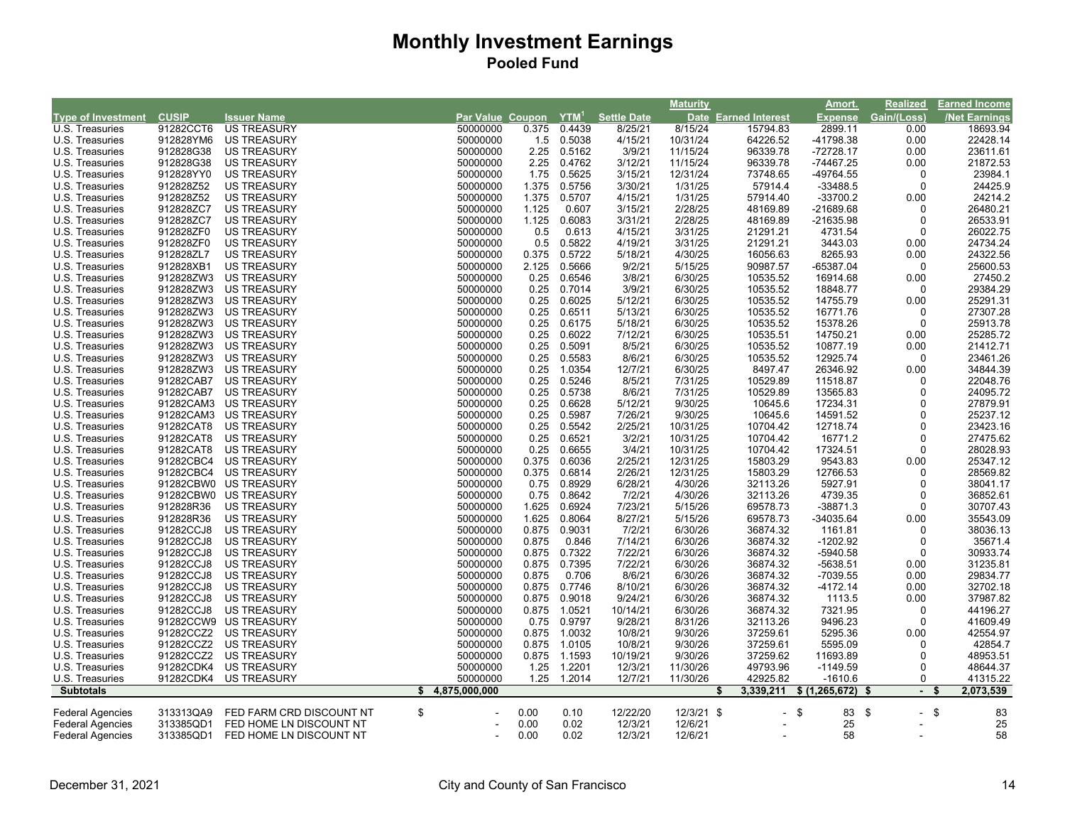|                                    |              |                          |                                   |       |        |                    | Maturity   |                      | <u>Amort.</u>  | Realized               | <b>Earned Income</b> |
|------------------------------------|--------------|--------------------------|-----------------------------------|-------|--------|--------------------|------------|----------------------|----------------|------------------------|----------------------|
| <b>Type of Investment</b>          | <b>CUSIP</b> | <b>Issuer Name</b>       | Par Value Coupon YTM <sup>1</sup> |       |        | <b>Settle Date</b> |            | Date Earned Interest | <b>Expense</b> | Gain/(Loss)            | <b>Net Earnings</b>  |
| U.S. Treasuries                    | 91282CCT6    | <b>US TREASURY</b>       | 50000000                          | 0.375 | 0.4439 | 8/25/21            | 8/15/24    | 15794.83             | 2899.11        | 0.00                   | 18693.94             |
| U.S. Treasuries                    | 912828YM6    | <b>US TREASURY</b>       | 50000000                          | 1.5   | 0.5038 | 4/15/21            | 10/31/24   | 64226.52             | -41798.38      | 0.00                   | 22428.14             |
| U.S. Treasuries                    | 912828G38    | <b>US TREASURY</b>       | 50000000                          | 2.25  | 0.5162 | 3/9/21             | 11/15/24   | 96339.78             | -72728.17      | 0.00                   | 23611.61             |
| U.S. Treasuries                    | 912828G38    | <b>US TREASURY</b>       | 50000000                          | 2.25  | 0.4762 | 3/12/21            | 11/15/24   | 96339.78             | -74467.25      | 0.00                   | 21872.53             |
| U.S. Treasuries                    | 912828YY0    | <b>US TREASURY</b>       | 50000000                          | 1.75  | 0.5625 | 3/15/21            | 12/31/24   | 73748.65             | -49764.55      | 0                      | 23984.1              |
| U.S. Treasuries                    | 912828Z52    | <b>US TREASURY</b>       | 50000000                          | 1.375 | 0.5756 | 3/30/21            | 1/31/25    | 57914.4              | $-33488.5$     | 0                      | 24425.9              |
| U.S. Treasuries                    | 912828Z52    | <b>US TREASURY</b>       | 50000000                          | 1.375 | 0.5707 | 4/15/21            | 1/31/25    | 57914.40             | $-33700.2$     | 0.00                   | 24214.2              |
| U.S. Treasuries                    | 912828ZC7    | <b>US TREASURY</b>       | 50000000                          | 1.125 | 0.607  | 3/15/21            | 2/28/25    | 48169.89             | -21689.68      | 0                      | 26480.21             |
| U.S. Treasuries                    | 912828ZC7    | <b>US TREASURY</b>       | 50000000                          | 1.125 | 0.6083 | 3/31/21            | 2/28/25    | 48169.89             | -21635.98      | 0                      | 26533.91             |
| U.S. Treasuries                    | 912828ZF0    | <b>US TREASURY</b>       | 50000000                          | 0.5   | 0.613  | 4/15/21            | 3/31/25    | 21291.21             | 4731.54        | 0                      | 26022.75             |
| U.S. Treasuries                    | 912828ZF0    | <b>US TREASURY</b>       | 50000000                          | 0.5   | 0.5822 | 4/19/21            | 3/31/25    | 21291.21             | 3443.03        | 0.00                   | 24734.24             |
| U.S. Treasuries                    | 912828ZL7    | <b>US TREASURY</b>       | 50000000                          | 0.375 | 0.5722 | 5/18/21            | 4/30/25    | 16056.63             | 8265.93        | 0.00                   | 24322.56             |
| U.S. Treasuries                    | 912828XB1    | <b>US TREASURY</b>       | 50000000                          | 2.125 | 0.5666 | 9/2/21             | 5/15/25    | 90987.57             | -65387.04      | 0                      | 25600.53             |
| U.S. Treasuries                    | 912828ZW3    | <b>US TREASURY</b>       | 50000000                          | 0.25  | 0.6546 | 3/8/21             | 6/30/25    | 10535.52             | 16914.68       | 0.00                   | 27450.2              |
| U.S. Treasuries                    | 912828ZW3    | <b>US TREASURY</b>       | 50000000                          | 0.25  | 0.7014 | 3/9/21             | 6/30/25    | 10535.52             | 18848.77       | 0                      | 29384.29             |
| U.S. Treasuries                    | 912828ZW3    | <b>US TREASURY</b>       | 50000000                          | 0.25  | 0.6025 | 5/12/21            | 6/30/25    | 10535.52             | 14755.79       | 0.00                   | 25291.31             |
| U.S. Treasuries                    | 912828ZW3    | <b>US TREASURY</b>       | 50000000                          | 0.25  | 0.6511 | 5/13/21            | 6/30/25    | 10535.52             | 16771.76       | $\mathbf 0$            | 27307.28             |
| U.S. Treasuries                    | 912828ZW3    | <b>US TREASURY</b>       | 50000000                          | 0.25  | 0.6175 | 5/18/21            | 6/30/25    | 10535.52             | 15378.26       | 0                      | 25913.78             |
| U.S. Treasuries                    | 912828ZW3    | <b>US TREASURY</b>       | 50000000                          | 0.25  | 0.6022 | 7/12/21            | 6/30/25    | 10535.51             | 14750.21       | 0.00                   | 25285.72             |
| U.S. Treasuries                    | 912828ZW3    | <b>US TREASURY</b>       | 50000000                          | 0.25  | 0.5091 | 8/5/21             | 6/30/25    | 10535.52             | 10877.19       | 0.00                   | 21412.71             |
| U.S. Treasuries                    | 912828ZW3    | <b>US TREASURY</b>       | 50000000                          | 0.25  | 0.5583 | 8/6/21             | 6/30/25    | 10535.52             | 12925.74       | 0                      | 23461.26             |
| U.S. Treasuries                    | 912828ZW3    | <b>US TREASURY</b>       | 50000000                          | 0.25  | 1.0354 | 12/7/21            | 6/30/25    | 8497.47              | 26346.92       | 0.00                   | 34844.39             |
| U.S. Treasuries                    | 91282CAB7    | <b>US TREASURY</b>       | 50000000                          | 0.25  | 0.5246 | 8/5/21             | 7/31/25    | 10529.89             | 11518.87       | 0                      | 22048.76             |
|                                    | 91282CAB7    | US TREASURY              |                                   | 0.25  | 0.5738 | 8/6/21             | 7/31/25    | 10529.89             | 13565.83       | 0                      | 24095.72             |
| U.S. Treasuries<br>U.S. Treasuries | 91282CAM3    | <b>US TREASURY</b>       | 50000000<br>50000000              | 0.25  | 0.6628 |                    | 9/30/25    | 10645.6              | 17234.31       | $\Omega$               |                      |
| U.S. Treasuries                    | 91282CAM3    | <b>US TREASURY</b>       | 50000000                          | 0.25  | 0.5987 | 5/12/21            | 9/30/25    | 10645.6              | 14591.52       | $\Omega$               | 27879.91<br>25237.12 |
|                                    |              |                          |                                   |       |        | 7/26/21            |            |                      |                |                        |                      |
| U.S. Treasuries                    | 91282CAT8    | <b>US TREASURY</b>       | 50000000                          | 0.25  | 0.5542 | 2/25/21            | 10/31/25   | 10704.42             | 12718.74       | 0                      | 23423.16             |
| U.S. Treasuries                    | 91282CAT8    | <b>US TREASURY</b>       | 50000000                          | 0.25  | 0.6521 | 3/2/21             | 10/31/25   | 10704.42             | 16771.2        | $\Omega$               | 27475.62             |
| U.S. Treasuries                    | 91282CAT8    | <b>US TREASURY</b>       | 50000000                          | 0.25  | 0.6655 | 3/4/21             | 10/31/25   | 10704.42             | 17324.51       | $\mathbf 0$            | 28028.93             |
| U.S. Treasuries                    | 91282CBC4    | <b>US TREASURY</b>       | 50000000                          | 0.375 | 0.6036 | 2/25/21            | 12/31/25   | 15803.29             | 9543.83        | 0.00                   | 25347.12             |
| U.S. Treasuries                    | 91282CBC4    | US TREASURY              | 50000000                          | 0.375 | 0.6814 | 2/26/21            | 12/31/25   | 15803.29             | 12766.53       | 0                      | 28569.82             |
| U.S. Treasuries                    | 91282CBW0    | <b>US TREASURY</b>       | 50000000                          | 0.75  | 0.8929 | 6/28/21            | 4/30/26    | 32113.26             | 5927.91        | $\mathbf 0$            | 38041.17             |
| U.S. Treasuries                    | 91282CBW0    | US TREASURY              | 50000000                          | 0.75  | 0.8642 | 7/2/21             | 4/30/26    | 32113.26             | 4739.35        | $\Omega$               | 36852.61             |
| U.S. Treasuries                    | 912828R36    | <b>US TREASURY</b>       | 50000000                          | 1.625 | 0.6924 | 7/23/21            | 5/15/26    | 69578.73             | -38871.3       | 0                      | 30707.43             |
| U.S. Treasuries                    | 912828R36    | <b>US TREASURY</b>       | 50000000                          | 1.625 | 0.8064 | 8/27/21            | 5/15/26    | 69578.73             | -34035.64      | 0.00                   | 35543.09             |
| U.S. Treasuries                    | 91282CCJ8    | <b>US TREASURY</b>       | 50000000                          | 0.875 | 0.9031 | 7/2/21             | 6/30/26    | 36874.32             | 1161.81        | 0                      | 38036.13             |
| U.S. Treasuries                    | 91282CCJ8    | <b>US TREASURY</b>       | 50000000                          | 0.875 | 0.846  | 7/14/21            | 6/30/26    | 36874.32             | $-1202.92$     | 0                      | 35671.4              |
| U.S. Treasuries                    | 91282CCJ8    | <b>US TREASURY</b>       | 50000000                          | 0.875 | 0.7322 | 7/22/21            | 6/30/26    | 36874.32             | $-5940.58$     | $\mathbf 0$            | 30933.74             |
| U.S. Treasuries                    | 91282CCJ8    | <b>US TREASURY</b>       | 50000000                          | 0.875 | 0.7395 | 7/22/21            | 6/30/26    | 36874.32             | -5638.51       | 0.00                   | 31235.81             |
| U.S. Treasuries                    | 91282CCJ8    | <b>US TREASURY</b>       | 50000000                          | 0.875 | 0.706  | 8/6/21             | 6/30/26    | 36874.32             | -7039.55       | 0.00                   | 29834.77             |
| U.S. Treasuries                    | 91282CCJ8    | <b>US TREASURY</b>       | 50000000                          | 0.875 | 0.7746 | 8/10/21            | 6/30/26    | 36874.32             | $-4172.14$     | 0.00                   | 32702.18             |
| U.S. Treasuries                    | 91282CCJ8    | <b>US TREASURY</b>       | 50000000                          | 0.875 | 0.9018 | 9/24/21            | 6/30/26    | 36874.32             | 1113.5         | 0.00                   | 37987.82             |
| U.S. Treasuries                    | 91282CCJ8    | <b>US TREASURY</b>       | 50000000                          | 0.875 | 1.0521 | 10/14/21           | 6/30/26    | 36874.32             | 7321.95        | 0                      | 44196.27             |
| U.S. Treasuries                    |              | 91282CCW9 US TREASURY    | 50000000                          | 0.75  | 0.9797 | 9/28/21            | 8/31/26    | 32113.26             | 9496.23        | 0                      | 41609.49             |
| U.S. Treasuries                    | 91282CCZ2    | <b>US TREASURY</b>       | 50000000                          | 0.875 | 1.0032 | 10/8/21            | 9/30/26    | 37259.61             | 5295.36        | 0.00                   | 42554.97             |
| U.S. Treasuries                    | 91282CCZ2    | <b>US TREASURY</b>       | 50000000                          | 0.875 | 1.0105 | 10/8/21            | 9/30/26    | 37259.61             | 5595.09        | 0                      | 42854.7              |
| U.S. Treasuries                    | 91282CCZ2    | <b>US TREASURY</b>       | 50000000                          | 0.875 | 1.1593 | 10/19/21           | 9/30/26    | 37259.62             | 11693.89       | $\mathbf 0$            | 48953.51             |
| U.S. Treasuries                    | 91282CDK4    | US TREASURY              | 50000000                          | 1.25  | 1.2201 | 12/3/21            | 11/30/26   | 49793.96             | $-1149.59$     | 0                      | 48644.37             |
| U.S. Treasuries                    |              | 91282CDK4 US TREASURY    | 50000000                          | 1.25  | 1.2014 | 12/7/21            | 11/30/26   | 42925.82             | $-1610.6$      | 0                      | 41315.22             |
| <b>Subtotals</b>                   |              |                          | \$<br>4,875,000,000               |       |        |                    |            | 3,339,211            | \$(1,265,672)  | - \$<br>$\blacksquare$ | 2,073,539<br>- \$    |
|                                    |              |                          |                                   |       |        |                    |            |                      |                |                        |                      |
| <b>Federal Agencies</b>            | 313313QA9    | FED FARM CRD DISCOUNT NT | \$                                | 0.00  | 0.10   | 12/22/20           | 12/3/21 \$ | $\blacksquare$       | \$<br>83       | \$<br>$\blacksquare$   | \$<br>83             |
| <b>Federal Agencies</b>            | 313385QD1    | FED HOME LN DISCOUNT NT  |                                   | 0.00  | 0.02   | 12/3/21            | 12/6/21    |                      | 25             |                        | 25                   |
| <b>Federal Agencies</b>            | 313385QD1    | FED HOME LN DISCOUNT NT  |                                   | 0.00  | 0.02   | 12/3/21            | 12/6/21    |                      | 58             |                        | 58                   |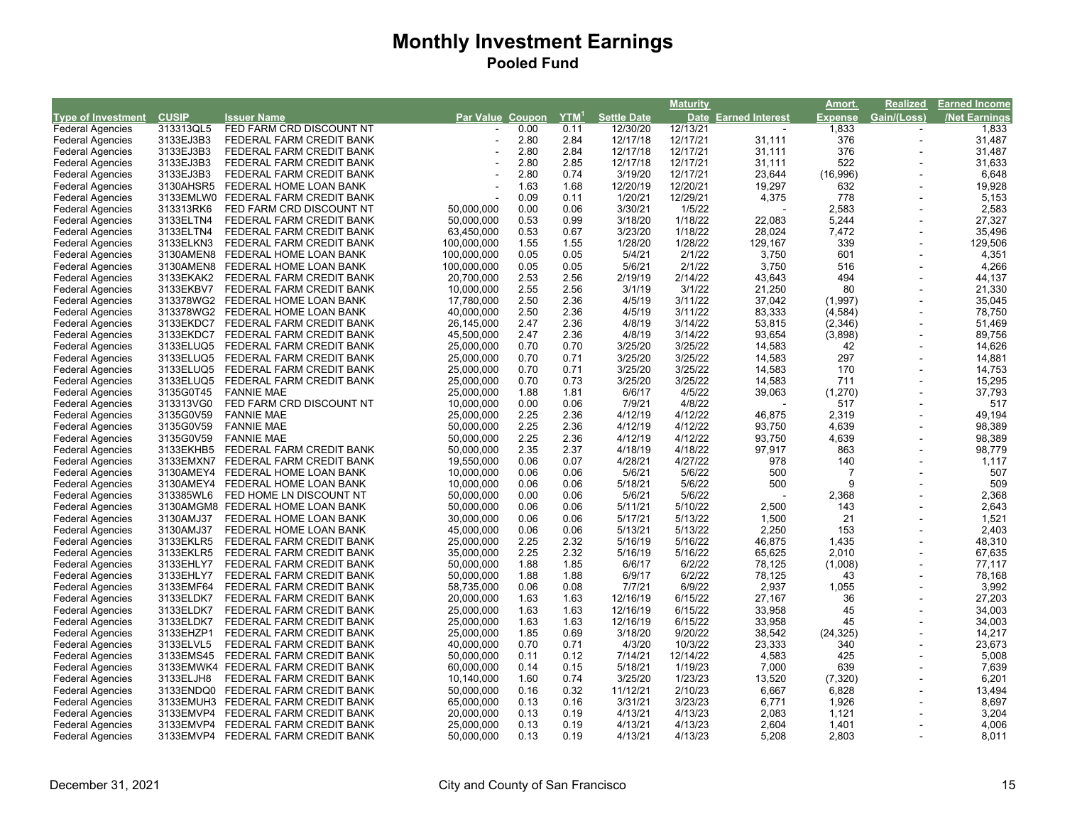|                           |              |                                    |                  |      |         |                    | <b>Maturity</b> |                             | <u>Amort.</u>  | Realized       | <b>Earned Income</b> |
|---------------------------|--------------|------------------------------------|------------------|------|---------|--------------------|-----------------|-----------------------------|----------------|----------------|----------------------|
| <b>Type of Investment</b> | <b>CUSIP</b> | <b>Issuer Name</b>                 | Par Value Coupon |      | $YTM^1$ | <b>Settle Date</b> |                 | <b>Date Earned Interest</b> | <b>Expense</b> | Gain/(Loss)    | <b>Net Earnings</b>  |
| <b>Federal Agencies</b>   | 313313QL5    | FED FARM CRD DISCOUNT NT           |                  | 0.00 | 0.11    | 12/30/20           | 12/13/21        |                             | 1,833          |                | 1,833                |
| <b>Federal Agencies</b>   | 3133EJ3B3    | FEDERAL FARM CREDIT BANK           |                  | 2.80 | 2.84    | 12/17/18           | 12/17/21        | 31,111                      | 376            | $\blacksquare$ | 31,487               |
| <b>Federal Agencies</b>   | 3133EJ3B3    | FEDERAL FARM CREDIT BANK           |                  | 2.80 | 2.84    | 12/17/18           | 12/17/21        | 31,111                      | 376            | $\blacksquare$ | 31,487               |
| <b>Federal Agencies</b>   | 3133EJ3B3    | FEDERAL FARM CREDIT BANK           |                  | 2.80 | 2.85    | 12/17/18           | 12/17/21        | 31,111                      | 522            |                | 31,633               |
| <b>Federal Agencies</b>   | 3133EJ3B3    | FEDERAL FARM CREDIT BANK           |                  | 2.80 | 0.74    | 3/19/20            | 12/17/21        | 23,644                      | (16,996)       |                | 6,648                |
| <b>Federal Agencies</b>   | 3130AHSR5    | FEDERAL HOME LOAN BANK             |                  | 1.63 | 1.68    | 12/20/19           | 12/20/21        | 19,297                      | 632            |                | 19,928               |
| <b>Federal Agencies</b>   | 3133EMLW0    | FEDERAL FARM CREDIT BANK           |                  | 0.09 | 0.11    | 1/20/21            | 12/29/21        | 4,375                       | 778            |                | 5,153                |
| <b>Federal Agencies</b>   | 313313RK6    | FED FARM CRD DISCOUNT NT           | 50,000,000       | 0.00 | 0.06    | 3/30/21            | 1/5/22          |                             | 2,583          |                | 2,583                |
|                           | 3133ELTN4    | FEDERAL FARM CREDIT BANK           | 50,000,000       | 0.53 | 0.99    | 3/18/20            | 1/18/22         | 22,083                      | 5,244          |                | 27,327               |
| <b>Federal Agencies</b>   |              |                                    |                  |      |         |                    |                 |                             |                |                |                      |
| <b>Federal Agencies</b>   | 3133ELTN4    | FEDERAL FARM CREDIT BANK           | 63,450,000       | 0.53 | 0.67    | 3/23/20            | 1/18/22         | 28,024                      | 7,472          |                | 35,496               |
| <b>Federal Agencies</b>   | 3133ELKN3    | FEDERAL FARM CREDIT BANK           | 100,000,000      | 1.55 | 1.55    | 1/28/20            | 1/28/22         | 129,167                     | 339<br>601     |                | 129,506              |
| <b>Federal Agencies</b>   | 3130AMEN8    | FEDERAL HOME LOAN BANK             | 100,000,000      | 0.05 | 0.05    | 5/4/21             | 2/1/22          | 3,750                       |                |                | 4,351                |
| <b>Federal Agencies</b>   | 3130AMEN8    | FEDERAL HOME LOAN BANK             | 100,000,000      | 0.05 | 0.05    | 5/6/21             | 2/1/22          | 3,750                       | 516            |                | 4,266                |
| <b>Federal Agencies</b>   | 3133EKAK2    | FEDERAL FARM CREDIT BANK           | 20,700,000       | 2.53 | 2.56    | 2/19/19            | 2/14/22         | 43,643                      | 494            |                | 44,137               |
| <b>Federal Agencies</b>   | 3133EKBV7    | FEDERAL FARM CREDIT BANK           | 10,000,000       | 2.55 | 2.56    | 3/1/19             | 3/1/22          | 21,250                      | 80             | $\blacksquare$ | 21,330               |
| <b>Federal Agencies</b>   | 313378WG2    | FEDERAL HOME LOAN BANK             | 17,780,000       | 2.50 | 2.36    | 4/5/19             | 3/11/22         | 37,042                      | (1,997)        |                | 35,045               |
| <b>Federal Agencies</b>   | 313378WG2    | FEDERAL HOME LOAN BANK             | 40,000,000       | 2.50 | 2.36    | 4/5/19             | 3/11/22         | 83,333                      | (4, 584)       |                | 78,750               |
| <b>Federal Agencies</b>   | 3133EKDC7    | FEDERAL FARM CREDIT BANK           | 26,145,000       | 2.47 | 2.36    | 4/8/19             | 3/14/22         | 53,815                      | (2, 346)       |                | 51,469               |
| <b>Federal Agencies</b>   | 3133EKDC7    | FEDERAL FARM CREDIT BANK           | 45,500,000       | 2.47 | 2.36    | 4/8/19             | 3/14/22         | 93,654                      | (3,898)        |                | 89,756               |
| <b>Federal Agencies</b>   | 3133ELUQ5    | FEDERAL FARM CREDIT BANK           | 25,000,000       | 0.70 | 0.70    | 3/25/20            | 3/25/22         | 14,583                      | 42             |                | 14,626               |
| <b>Federal Agencies</b>   | 3133ELUQ5    | FEDERAL FARM CREDIT BANK           | 25,000,000       | 0.70 | 0.71    | 3/25/20            | 3/25/22         | 14,583                      | 297            |                | 14,881               |
| <b>Federal Agencies</b>   | 3133ELUQ5    | FEDERAL FARM CREDIT BANK           | 25,000,000       | 0.70 | 0.71    | 3/25/20            | 3/25/22         | 14,583                      | 170            |                | 14,753               |
| <b>Federal Agencies</b>   | 3133ELUQ5    | FEDERAL FARM CREDIT BANK           | 25,000,000       | 0.70 | 0.73    | 3/25/20            | 3/25/22         | 14,583                      | 711            |                | 15,295               |
| <b>Federal Agencies</b>   | 3135G0T45    | <b>FANNIE MAE</b>                  | 25,000,000       | 1.88 | 1.81    | 6/6/17             | 4/5/22          | 39,063                      | (1,270)        |                | 37,793               |
| <b>Federal Agencies</b>   | 313313VG0    | FED FARM CRD DISCOUNT NT           | 10,000,000       | 0.00 | 0.06    | 7/9/21             | 4/8/22          |                             | 517            |                | 517                  |
| <b>Federal Agencies</b>   | 3135G0V59    | <b>FANNIE MAE</b>                  | 25,000,000       | 2.25 | 2.36    | 4/12/19            | 4/12/22         | 46,875                      | 2,319          |                | 49,194               |
| <b>Federal Agencies</b>   | 3135G0V59    | <b>FANNIE MAE</b>                  | 50,000,000       | 2.25 | 2.36    | 4/12/19            | 4/12/22         | 93,750                      | 4,639          |                | 98,389               |
| <b>Federal Agencies</b>   | 3135G0V59    | <b>FANNIE MAE</b>                  | 50,000,000       | 2.25 | 2.36    | 4/12/19            | 4/12/22         | 93,750                      | 4,639          |                | 98,389               |
| <b>Federal Agencies</b>   | 3133EKHB5    | FEDERAL FARM CREDIT BANK           | 50,000,000       | 2.35 | 2.37    | 4/18/19            | 4/18/22         | 97,917                      | 863            |                | 98,779               |
| <b>Federal Agencies</b>   | 3133EMXN7    | FEDERAL FARM CREDIT BANK           | 19,550,000       | 0.06 | 0.07    | 4/28/21            | 4/27/22         | 978                         | 140            |                | 1,117                |
| <b>Federal Agencies</b>   | 3130AMEY4    | FEDERAL HOME LOAN BANK             | 10,000,000       | 0.06 | 0.06    | 5/6/21             | 5/6/22          | 500                         | $\overline{7}$ |                | 507                  |
| <b>Federal Agencies</b>   | 3130AMEY4    | FEDERAL HOME LOAN BANK             | 10,000,000       | 0.06 | 0.06    | 5/18/21            | 5/6/22          | 500                         | 9              |                | 509                  |
| <b>Federal Agencies</b>   | 313385WL6    | FED HOME LN DISCOUNT NT            | 50,000,000       | 0.00 | 0.06    | 5/6/21             | 5/6/22          |                             | 2,368          |                | 2,368                |
| <b>Federal Agencies</b>   |              | 3130AMGM8 FEDERAL HOME LOAN BANK   | 50,000,000       | 0.06 | 0.06    | 5/11/21            | 5/10/22         | 2,500                       | 143            |                | 2,643                |
| <b>Federal Agencies</b>   | 3130AMJ37    | FEDERAL HOME LOAN BANK             | 30,000,000       | 0.06 | 0.06    | 5/17/21            | 5/13/22         | 1,500                       | 21             |                | 1,521                |
| <b>Federal Agencies</b>   | 3130AMJ37    | FEDERAL HOME LOAN BANK             | 45,000,000       | 0.06 | 0.06    | 5/13/21            | 5/13/22         | 2,250                       | 153            |                | 2,403                |
| <b>Federal Agencies</b>   | 3133EKLR5    | FEDERAL FARM CREDIT BANK           | 25,000,000       | 2.25 | 2.32    | 5/16/19            | 5/16/22         | 46,875                      | 1,435          |                | 48,310               |
| <b>Federal Agencies</b>   | 3133EKLR5    | FEDERAL FARM CREDIT BANK           | 35,000,000       | 2.25 | 2.32    | 5/16/19            | 5/16/22         | 65,625                      | 2,010          |                | 67,635               |
| <b>Federal Agencies</b>   | 3133EHLY7    | FEDERAL FARM CREDIT BANK           | 50,000,000       | 1.88 | 1.85    | 6/6/17             | 6/2/22          | 78,125                      | (1,008)        |                | 77,117               |
| <b>Federal Agencies</b>   | 3133EHLY7    | FEDERAL FARM CREDIT BANK           | 50,000,000       | 1.88 | 1.88    | 6/9/17             | 6/2/22          | 78,125                      | 43             |                | 78,168               |
|                           | 3133EMF64    | FEDERAL FARM CREDIT BANK           | 58,735,000       | 0.06 | 0.08    | 7/7/21             | 6/9/22          | 2,937                       | 1,055          |                | 3,992                |
| <b>Federal Agencies</b>   |              |                                    |                  |      |         |                    |                 |                             |                |                |                      |
| <b>Federal Agencies</b>   | 3133ELDK7    | FEDERAL FARM CREDIT BANK           | 20,000,000       | 1.63 | 1.63    | 12/16/19           | 6/15/22         | 27,167                      | 36             |                | 27,203               |
| <b>Federal Agencies</b>   | 3133ELDK7    | FEDERAL FARM CREDIT BANK           | 25,000,000       | 1.63 | 1.63    | 12/16/19           | 6/15/22         | 33,958                      | 45             |                | 34,003               |
| <b>Federal Agencies</b>   | 3133ELDK7    | FEDERAL FARM CREDIT BANK           | 25,000,000       | 1.63 | 1.63    | 12/16/19           | 6/15/22         | 33,958                      | 45             |                | 34,003               |
| <b>Federal Agencies</b>   | 3133EHZP1    | FEDERAL FARM CREDIT BANK           | 25,000,000       | 1.85 | 0.69    | 3/18/20            | 9/20/22         | 38,542                      | (24, 325)      |                | 14,217               |
| <b>Federal Agencies</b>   | 3133ELVL5    | FEDERAL FARM CREDIT BANK           | 40,000,000       | 0.70 | 0.71    | 4/3/20             | 10/3/22         | 23,333                      | 340            | $\blacksquare$ | 23,673               |
| <b>Federal Agencies</b>   | 3133EMS45    | FEDERAL FARM CREDIT BANK           | 50,000,000       | 0.11 | 0.12    | 7/14/21            | 12/14/22        | 4,583                       | 425            |                | 5,008                |
| <b>Federal Agencies</b>   |              | 3133EMWK4 FEDERAL FARM CREDIT BANK | 60,000,000       | 0.14 | 0.15    | 5/18/21            | 1/19/23         | 7,000                       | 639            |                | 7,639                |
| <b>Federal Agencies</b>   | 3133ELJH8    | FEDERAL FARM CREDIT BANK           | 10,140,000       | 1.60 | 0.74    | 3/25/20            | 1/23/23         | 13,520                      | (7, 320)       |                | 6,201                |
| <b>Federal Agencies</b>   | 3133ENDQ0    | FEDERAL FARM CREDIT BANK           | 50,000,000       | 0.16 | 0.32    | 11/12/21           | 2/10/23         | 6,667                       | 6,828          |                | 13,494               |
| <b>Federal Agencies</b>   |              | 3133EMUH3 FEDERAL FARM CREDIT BANK | 65,000,000       | 0.13 | 0.16    | 3/31/21            | 3/23/23         | 6,771                       | 1,926          |                | 8,697                |
| <b>Federal Agencies</b>   | 3133EMVP4    | FEDERAL FARM CREDIT BANK           | 20,000,000       | 0.13 | 0.19    | 4/13/21            | 4/13/23         | 2,083                       | 1,121          |                | 3,204                |
| <b>Federal Agencies</b>   | 3133EMVP4    | FEDERAL FARM CREDIT BANK           | 25,000,000       | 0.13 | 0.19    | 4/13/21            | 4/13/23         | 2,604                       | 1,401          |                | 4,006                |
| <b>Federal Agencies</b>   |              | 3133EMVP4 FEDERAL FARM CREDIT BANK | 50,000,000       | 0.13 | 0.19    | 4/13/21            | 4/13/23         | 5.208                       | 2,803          |                | 8,011                |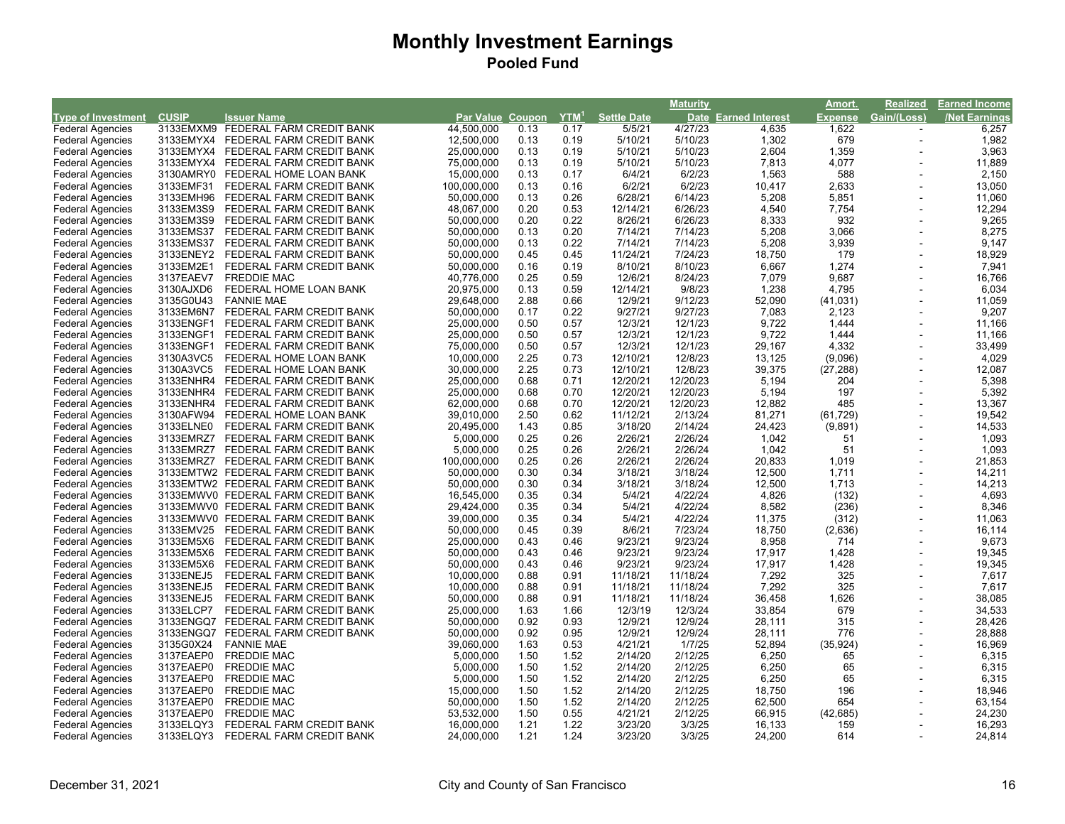|                           |              |                                    |                         |      |                  |                    | <b>Maturity</b> |                      | Amort.         | <b>Realized</b> | Earned Income |
|---------------------------|--------------|------------------------------------|-------------------------|------|------------------|--------------------|-----------------|----------------------|----------------|-----------------|---------------|
| <b>Type of Investment</b> | <b>CUSIP</b> | <b>Issuer Name</b>                 | <b>Par Value Coupon</b> |      | YTM <sup>1</sup> | <b>Settle Date</b> |                 | Date Earned Interest | <b>Expense</b> | Gain/(Loss)     | /Net Earnings |
| <b>Federal Agencies</b>   |              | 3133EMXM9 FEDERAL FARM CREDIT BANK | 44,500,000              | 0.13 | 0.17             | 5/5/21             | 4/27/23         | 4,635                | 1,622          |                 | 6,257         |
| <b>Federal Agencies</b>   | 3133EMYX4    | FEDERAL FARM CREDIT BANK           | 12,500,000              | 0.13 | 0.19             | 5/10/21            | 5/10/23         | 1,302                | 679            | $\sim$          | 1,982         |
| <b>Federal Agencies</b>   | 3133EMYX4    | FEDERAL FARM CREDIT BANK           | 25,000,000              | 0.13 | 0.19             | 5/10/21            | 5/10/23         | 2,604                | 1,359          |                 | 3,963         |
| <b>Federal Agencies</b>   | 3133EMYX4    | FEDERAL FARM CREDIT BANK           | 75,000,000              | 0.13 | 0.19             | 5/10/21            | 5/10/23         | 7,813                | 4,077          |                 | 11,889        |
| <b>Federal Agencies</b>   | 3130AMRY0    | FEDERAL HOME LOAN BANK             | 15,000,000              | 0.13 | 0.17             | 6/4/21             | 6/2/23          | 1,563                | 588            |                 | 2,150         |
| <b>Federal Agencies</b>   | 3133EMF31    | FEDERAL FARM CREDIT BANK           | 100,000,000             | 0.13 | 0.16             | 6/2/21             | 6/2/23          | 10,417               | 2,633          |                 | 13,050        |
| <b>Federal Agencies</b>   | 3133EMH96    | FEDERAL FARM CREDIT BANK           | 50,000,000              | 0.13 | 0.26             | 6/28/21            | 6/14/23         | 5,208                | 5,851          |                 | 11,060        |
| <b>Federal Agencies</b>   | 3133EM3S9    | FEDERAL FARM CREDIT BANK           | 48,067,000              | 0.20 | 0.53             | 12/14/21           | 6/26/23         | 4,540                | 7,754          |                 | 12,294        |
| <b>Federal Agencies</b>   | 3133EM3S9    | FEDERAL FARM CREDIT BANK           | 50,000,000              | 0.20 | 0.22             | 8/26/21            | 6/26/23         | 8,333                | 932            |                 | 9,265         |
| <b>Federal Agencies</b>   | 3133EMS37    | FEDERAL FARM CREDIT BANK           | 50,000,000              | 0.13 | 0.20             | 7/14/21            | 7/14/23         | 5,208                | 3,066          |                 | 8,275         |
| <b>Federal Agencies</b>   | 3133EMS37    | FEDERAL FARM CREDIT BANK           | 50,000,000              | 0.13 | 0.22             | 7/14/21            | 7/14/23         | 5,208                | 3,939          |                 | 9,147         |
| <b>Federal Agencies</b>   | 3133ENEY2    | FEDERAL FARM CREDIT BANK           | 50,000,000              | 0.45 | 0.45             | 11/24/21           | 7/24/23         | 18,750               | 179            |                 | 18,929        |
| <b>Federal Agencies</b>   | 3133EM2E1    | FEDERAL FARM CREDIT BANK           | 50,000,000              | 0.16 | 0.19             | 8/10/21            | 8/10/23         | 6,667                | 1,274          |                 | 7,941         |
| <b>Federal Agencies</b>   | 3137EAEV7    | <b>FREDDIE MAC</b>                 | 40,776,000              | 0.25 | 0.59             | 12/6/21            | 8/24/23         | 7,079                | 9,687          |                 | 16,766        |
| <b>Federal Agencies</b>   | 3130AJXD6    | FEDERAL HOME LOAN BANK             | 20,975,000              | 0.13 | 0.59             | 12/14/21           | 9/8/23          | 1,238                | 4,795          |                 | 6,034         |
| <b>Federal Agencies</b>   | 3135G0U43    | <b>FANNIE MAE</b>                  | 29,648,000              | 2.88 | 0.66             | 12/9/21            | 9/12/23         | 52,090               | (41, 031)      |                 | 11,059        |
| <b>Federal Agencies</b>   | 3133EM6N7    | FEDERAL FARM CREDIT BANK           | 50,000,000              | 0.17 | 0.22             | 9/27/21            | 9/27/23         | 7,083                | 2,123          |                 | 9,207         |
| <b>Federal Agencies</b>   | 3133ENGF1    | FEDERAL FARM CREDIT BANK           | 25,000,000              | 0.50 | 0.57             | 12/3/21            | 12/1/23         | 9,722                | 1,444          |                 | 11,166        |
| <b>Federal Agencies</b>   | 3133ENGF1    | FEDERAL FARM CREDIT BANK           | 25,000,000              | 0.50 | 0.57             | 12/3/21            | 12/1/23         | 9,722                | 1,444          |                 | 11,166        |
| <b>Federal Agencies</b>   | 3133ENGF1    | FEDERAL FARM CREDIT BANK           | 75,000,000              | 0.50 | 0.57             | 12/3/21            | 12/1/23         | 29,167               | 4,332          |                 | 33,499        |
| <b>Federal Agencies</b>   | 3130A3VC5    | FEDERAL HOME LOAN BANK             | 10,000,000              | 2.25 | 0.73             | 12/10/21           | 12/8/23         | 13,125               | (9,096)        |                 | 4,029         |
| <b>Federal Agencies</b>   | 3130A3VC5    | FEDERAL HOME LOAN BANK             | 30,000,000              | 2.25 | 0.73             | 12/10/21           | 12/8/23         | 39,375               | (27, 288)      |                 | 12,087        |
| <b>Federal Agencies</b>   | 3133ENHR4    | FEDERAL FARM CREDIT BANK           | 25,000,000              | 0.68 | 0.71             | 12/20/21           | 12/20/23        | 5,194                | 204            |                 | 5,398         |
| <b>Federal Agencies</b>   | 3133ENHR4    | FEDERAL FARM CREDIT BANK           | 25,000,000              | 0.68 | 0.70             | 12/20/21           | 12/20/23        | 5,194                | 197            |                 | 5,392         |
| <b>Federal Agencies</b>   | 3133ENHR4    | FEDERAL FARM CREDIT BANK           | 62,000,000              | 0.68 | 0.70             | 12/20/21           | 12/20/23        | 12,882               | 485            |                 | 13,367        |
| <b>Federal Agencies</b>   | 3130AFW94    | FEDERAL HOME LOAN BANK             | 39,010,000              | 2.50 | 0.62             | 11/12/21           | 2/13/24         | 81,271               | (61, 729)      |                 | 19,542        |
| <b>Federal Agencies</b>   | 3133ELNE0    | FEDERAL FARM CREDIT BANK           | 20,495,000              | 1.43 | 0.85             | 3/18/20            | 2/14/24         | 24,423               | (9,891)        |                 | 14,533        |
| <b>Federal Agencies</b>   | 3133EMRZ7    | FEDERAL FARM CREDIT BANK           | 5,000,000               | 0.25 | 0.26             | 2/26/21            | 2/26/24         | 1,042                | 51             |                 | 1,093         |
| <b>Federal Agencies</b>   | 3133EMRZ7    | FEDERAL FARM CREDIT BANK           | 5,000,000               | 0.25 | 0.26             | 2/26/21            | 2/26/24         | 1,042                | 51             |                 | 1,093         |
| <b>Federal Agencies</b>   | 3133EMRZ7    | FEDERAL FARM CREDIT BANK           | 100,000,000             | 0.25 | 0.26             | 2/26/21            | 2/26/24         | 20,833               | 1,019          |                 | 21,853        |
| <b>Federal Agencies</b>   |              | 3133EMTW2 FEDERAL FARM CREDIT BANK | 50,000,000              | 0.30 | 0.34             | 3/18/21            | 3/18/24         | 12,500               | 1,711          |                 | 14,211        |
| <b>Federal Agencies</b>   |              | 3133EMTW2 FEDERAL FARM CREDIT BANK | 50,000,000              | 0.30 | 0.34             | 3/18/21            | 3/18/24         | 12,500               | 1,713          |                 | 14,213        |
| <b>Federal Agencies</b>   |              | 3133EMWV0 FEDERAL FARM CREDIT BANK | 16,545,000              | 0.35 | 0.34             | 5/4/21             | 4/22/24         | 4,826                | (132)          |                 | 4,693         |
| <b>Federal Agencies</b>   |              | 3133EMWV0 FEDERAL FARM CREDIT BANK | 29,424,000              | 0.35 | 0.34             | 5/4/21             | 4/22/24         | 8,582                | (236)          |                 | 8,346         |
| <b>Federal Agencies</b>   |              | 3133EMWV0 FEDERAL FARM CREDIT BANK | 39,000,000              | 0.35 | 0.34             | 5/4/21             | 4/22/24         | 11,375               | (312)          |                 | 11,063        |
| <b>Federal Agencies</b>   | 3133EMV25    | FEDERAL FARM CREDIT BANK           | 50,000,000              | 0.45 | 0.39             | 8/6/21             | 7/23/24         | 18,750               | (2,636)        |                 | 16,114        |
| <b>Federal Agencies</b>   | 3133EM5X6    | FEDERAL FARM CREDIT BANK           | 25,000,000              | 0.43 | 0.46             | 9/23/21            | 9/23/24         | 8,958                | 714            |                 | 9,673         |
| <b>Federal Agencies</b>   | 3133EM5X6    | FEDERAL FARM CREDIT BANK           | 50,000,000              | 0.43 | 0.46             | 9/23/21            | 9/23/24         | 17,917               | 1,428          |                 | 19,345        |
| <b>Federal Agencies</b>   | 3133EM5X6    | FEDERAL FARM CREDIT BANK           | 50,000,000              | 0.43 | 0.46             | 9/23/21            | 9/23/24         | 17,917               | 1,428          |                 | 19,345        |
| <b>Federal Agencies</b>   | 3133ENEJ5    | FEDERAL FARM CREDIT BANK           | 10,000,000              | 0.88 | 0.91             | 11/18/21           | 11/18/24        | 7,292                | 325            |                 | 7,617         |
| <b>Federal Agencies</b>   | 3133ENEJ5    | FEDERAL FARM CREDIT BANK           | 10,000,000              | 0.88 | 0.91             | 11/18/21           | 11/18/24        | 7,292                | 325            |                 | 7,617         |
| <b>Federal Agencies</b>   | 3133ENEJ5    | FEDERAL FARM CREDIT BANK           | 50,000,000              | 0.88 | 0.91             | 11/18/21           | 11/18/24        | 36,458               | 1,626          |                 | 38,085        |
| <b>Federal Agencies</b>   | 3133ELCP7    | FEDERAL FARM CREDIT BANK           | 25,000,000              | 1.63 | 1.66             | 12/3/19            | 12/3/24         | 33,854               | 679            |                 | 34,533        |
| <b>Federal Agencies</b>   | 3133ENGQ7    | FEDERAL FARM CREDIT BANK           | 50,000,000              | 0.92 | 0.93             | 12/9/21            | 12/9/24         | 28,111               | 315            |                 | 28,426        |
| <b>Federal Agencies</b>   | 3133ENGQ7    | FEDERAL FARM CREDIT BANK           | 50,000,000              | 0.92 | 0.95             | 12/9/21            | 12/9/24         | 28,111               | 776            |                 | 28,888        |
| <b>Federal Agencies</b>   | 3135G0X24    | <b>FANNIE MAE</b>                  | 39,060,000              | 1.63 | 0.53             | 4/21/21            | 1/7/25          | 52,894               | (35, 924)      |                 | 16,969        |
| <b>Federal Agencies</b>   | 3137EAEP0    | <b>FREDDIE MAC</b>                 | 5,000,000               | 1.50 | 1.52             | 2/14/20            | 2/12/25         | 6,250                | 65             |                 | 6,315         |
| <b>Federal Agencies</b>   | 3137EAEP0    | <b>FREDDIE MAC</b>                 | 5,000,000               | 1.50 | 1.52             | 2/14/20            | 2/12/25         | 6,250                | 65             |                 | 6,315         |
| <b>Federal Agencies</b>   | 3137EAEP0    | <b>FREDDIE MAC</b>                 | 5,000,000               | 1.50 | 1.52             | 2/14/20            | 2/12/25         | 6,250                | 65             |                 | 6,315         |
| <b>Federal Agencies</b>   | 3137EAEP0    | <b>FREDDIE MAC</b>                 | 15,000,000              | 1.50 | 1.52             | 2/14/20            | 2/12/25         | 18,750               | 196            |                 | 18,946        |
| <b>Federal Agencies</b>   | 3137EAEP0    | <b>FREDDIE MAC</b>                 | 50,000,000              | 1.50 | 1.52             | 2/14/20            | 2/12/25         | 62,500               | 654            |                 | 63,154        |
| <b>Federal Agencies</b>   | 3137EAEP0    | <b>FREDDIE MAC</b>                 | 53,532,000              | 1.50 | 0.55             | 4/21/21            | 2/12/25         | 66,915               | (42, 685)      |                 | 24,230        |
| <b>Federal Agencies</b>   | 3133ELQY3    | FEDERAL FARM CREDIT BANK           | 16,000,000              | 1.21 | 1.22             | 3/23/20            | 3/3/25          | 16,133               | 159            |                 | 16,293        |
| <b>Federal Agencies</b>   | 3133ELQY3    | FEDERAL FARM CREDIT BANK           | 24,000,000              | 1.21 | 1.24             | 3/23/20            | 3/3/25          | 24,200               | 614            |                 | 24,814        |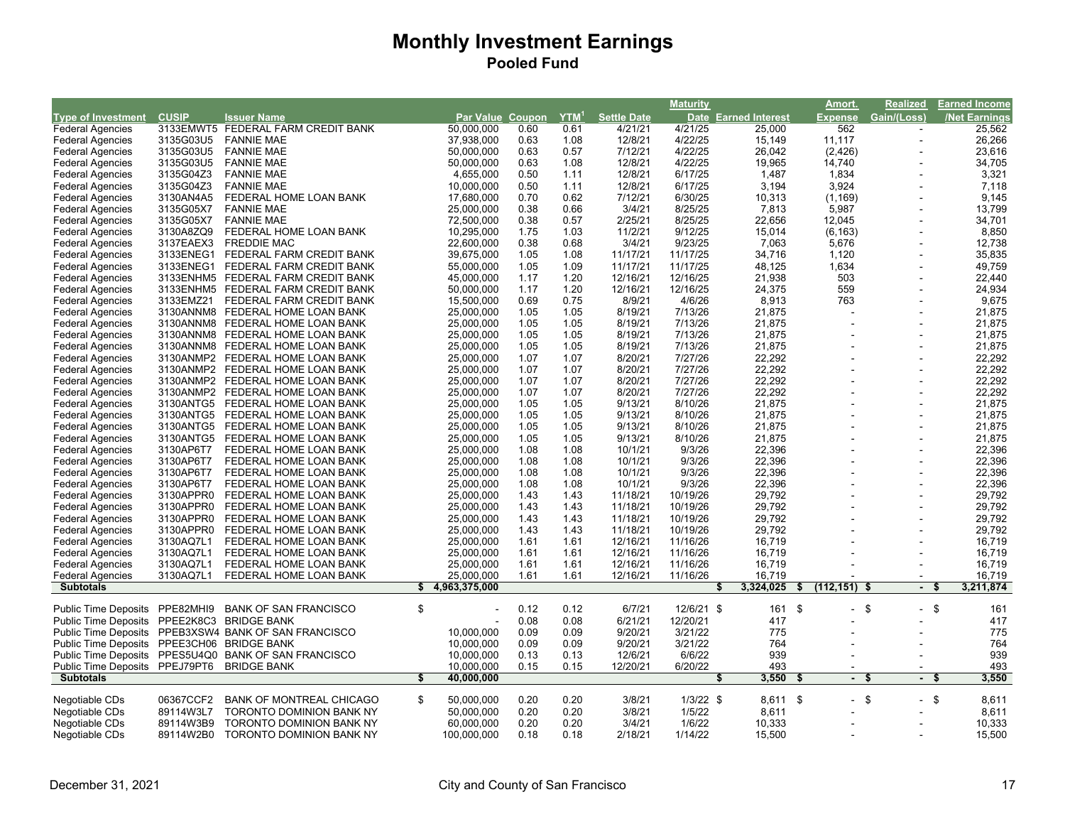|                                |                        |                                                      |                                |              |         |                    | <b>Maturity</b> |                      |                | Amort.               | <b>Realized</b>          | <b>Earned Income</b> |
|--------------------------------|------------------------|------------------------------------------------------|--------------------------------|--------------|---------|--------------------|-----------------|----------------------|----------------|----------------------|--------------------------|----------------------|
| <b>Type of Investment</b>      | <b>CUSIP</b>           | <b>Issuer Name</b>                                   | <b>Par Value Coupon</b>        |              | $YTM^1$ | <b>Settle Date</b> |                 | Date Earned Interest | <b>Expense</b> |                      | Gain/(Loss)              | <b>Net Earnings</b>  |
| <b>Federal Agencies</b>        |                        | 3133EMWT5 FEDERAL FARM CREDIT BANK                   | 50,000,000                     | 0.60         | 0.61    | 4/21/21            | 4/21/25         | 25,000               |                | 562                  |                          | 25,562               |
| <b>Federal Agencies</b>        | 3135G03U5              | <b>FANNIE MAE</b>                                    | 37,938,000                     | 0.63         | 1.08    | 12/8/21            | 4/22/25         | 15,149               | 11,117         |                      | $\sim$                   | 26,266               |
| <b>Federal Agencies</b>        | 3135G03U5              | <b>FANNIE MAE</b>                                    | 50,000,000                     | 0.63         | 0.57    | 7/12/21            | 4/22/25         | 26,042               |                | (2, 426)             | $\overline{a}$           | 23,616               |
| <b>Federal Agencies</b>        | 3135G03U5              | <b>FANNIE MAE</b>                                    | 50,000,000                     | 0.63         | 1.08    | 12/8/21            | 4/22/25         | 19,965               | 14,740         |                      |                          | 34,705               |
| <b>Federal Agencies</b>        | 3135G04Z3              | <b>FANNIE MAE</b>                                    | 4,655,000                      | 0.50         | 1.11    | 12/8/21            | 6/17/25         | 1,487                |                | 1,834                | $\ddot{\phantom{1}}$     | 3,321                |
| <b>Federal Agencies</b>        | 3135G04Z3              | <b>FANNIE MAE</b>                                    | 10,000,000                     | 0.50         | 1.11    | 12/8/21            | 6/17/25         | 3,194                |                | 3,924                |                          | 7,118                |
| <b>Federal Agencies</b>        | 3130AN4A5              | FEDERAL HOME LOAN BANK                               | 17,680,000                     | 0.70         | 0.62    | 7/12/21            | 6/30/25         | 10,313               |                | (1, 169)             |                          | 9,145                |
| <b>Federal Agencies</b>        | 3135G05X7              | <b>FANNIE MAE</b>                                    | 25,000,000                     | 0.38         | 0.66    | 3/4/21             | 8/25/25         | 7,813                |                | 5,987                |                          | 13,799               |
| <b>Federal Agencies</b>        | 3135G05X7              | <b>FANNIE MAE</b>                                    | 72,500,000                     | 0.38         | 0.57    | 2/25/21            | 8/25/25         | 22,656               | 12,045         |                      | $\overline{\phantom{a}}$ | 34,701               |
| <b>Federal Agencies</b>        | 3130A8ZQ9              | FEDERAL HOME LOAN BANK                               | 10,295,000                     | 1.75         | 1.03    | 11/2/21            | 9/12/25         | 15,014               |                | (6, 163)             |                          | 8,850                |
| <b>Federal Agencies</b>        | 3137EAEX3              | <b>FREDDIE MAC</b>                                   | 22,600,000                     | 0.38         | 0.68    | 3/4/21             | 9/23/25         | 7,063                |                | 5,676                |                          | 12,738               |
| <b>Federal Agencies</b>        | 3133ENEG1              | FEDERAL FARM CREDIT BANK                             | 39,675,000                     | 1.05         | 1.08    | 11/17/21           | 11/17/25        | 34,716               |                | 1,120                |                          | 35,835               |
| <b>Federal Agencies</b>        | 3133ENEG1              | FEDERAL FARM CREDIT BANK                             | 55,000,000                     | 1.05         | 1.09    | 11/17/21           | 11/17/25        | 48,125               |                | 1,634                |                          | 49,759               |
| <b>Federal Agencies</b>        | 3133ENHM5              | FEDERAL FARM CREDIT BANK                             | 45,000,000                     | 1.17         | 1.20    | 12/16/21           | 12/16/25        | 21,938               |                | 503                  |                          | 22,440               |
| <b>Federal Agencies</b>        |                        | 3133ENHM5 FEDERAL FARM CREDIT BANK                   | 50,000,000                     | 1.17         | 1.20    | 12/16/21           | 12/16/25        | 24,375               |                | 559                  |                          | 24,934               |
| <b>Federal Agencies</b>        | 3133EMZ21              | FEDERAL FARM CREDIT BANK                             | 15,500,000                     | 0.69         | 0.75    | 8/9/21             | 4/6/26          | 8,913                |                | 763                  |                          | 9,675                |
| <b>Federal Agencies</b>        | 3130ANNM8              | FEDERAL HOME LOAN BANK                               | 25,000,000                     | 1.05         | 1.05    | 8/19/21            | 7/13/26         | 21,875               |                |                      |                          | 21,875               |
| <b>Federal Agencies</b>        | 3130ANNM8              | FEDERAL HOME LOAN BANK                               | 25,000,000                     | 1.05         | 1.05    | 8/19/21            | 7/13/26         | 21,875               |                |                      |                          | 21,875               |
| <b>Federal Agencies</b>        | 3130ANNM8              | FEDERAL HOME LOAN BANK                               | 25,000,000                     | 1.05         | 1.05    | 8/19/21            | 7/13/26         | 21,875               |                |                      | $\overline{a}$           | 21,875               |
| <b>Federal Agencies</b>        | 3130ANNM8              | FEDERAL HOME LOAN BANK                               | 25,000,000                     | 1.05         | 1.05    | 8/19/21            | 7/13/26         | 21,875               |                |                      | ÷,                       | 21,875               |
| <b>Federal Agencies</b>        |                        | 3130ANMP2 FEDERAL HOME LOAN BANK                     | 25,000,000                     | 1.07         | 1.07    | 8/20/21            | 7/27/26         | 22,292               |                |                      |                          | 22,292               |
| <b>Federal Agencies</b>        |                        | 3130ANMP2 FEDERAL HOME LOAN BANK                     | 25,000,000                     | 1.07         | 1.07    | 8/20/21            | 7/27/26         | 22,292               |                |                      | ÷,                       | 22,292               |
| <b>Federal Agencies</b>        | 3130ANMP2              | FEDERAL HOME LOAN BANK                               | 25,000,000                     | 1.07         | 1.07    | 8/20/21            | 7/27/26         | 22,292               |                |                      |                          | 22,292               |
| <b>Federal Agencies</b>        |                        | 3130ANMP2 FEDERAL HOME LOAN BANK                     | 25,000,000                     | 1.07         | 1.07    | 8/20/21            | 7/27/26         | 22,292               |                |                      |                          | 22,292               |
| <b>Federal Agencies</b>        | 3130ANTG5              | FEDERAL HOME LOAN BANK                               | 25,000,000                     | 1.05         | 1.05    | 9/13/21            | 8/10/26         | 21,875               |                |                      | $\overline{a}$           | 21,875               |
| <b>Federal Agencies</b>        | 3130ANTG5              | FEDERAL HOME LOAN BANK                               | 25,000,000                     | 1.05         | 1.05    | 9/13/21            | 8/10/26         | 21,875               |                |                      | ÷,                       | 21,875               |
| <b>Federal Agencies</b>        | 3130ANTG5              | FEDERAL HOME LOAN BANK                               | 25,000,000                     | 1.05         | 1.05    | 9/13/21            | 8/10/26         | 21,875               |                |                      |                          | 21,875               |
| <b>Federal Agencies</b>        | 3130ANTG5              | FEDERAL HOME LOAN BANK                               | 25,000,000                     | 1.05         | 1.05    | 9/13/21            | 8/10/26         | 21,875               |                |                      | $\overline{\phantom{a}}$ | 21,875               |
| <b>Federal Agencies</b>        | 3130AP6T7              | FEDERAL HOME LOAN BANK                               | 25,000,000                     | 1.08         | 1.08    | 10/1/21            | 9/3/26          | 22,396               |                |                      |                          | 22,396               |
|                                | 3130AP6T7              |                                                      |                                | 1.08         | 1.08    |                    | 9/3/26          | 22,396               |                |                      |                          | 22,396               |
| <b>Federal Agencies</b>        |                        | FEDERAL HOME LOAN BANK                               | 25,000,000                     |              |         | 10/1/21            |                 | 22,396               |                |                      |                          | 22,396               |
| <b>Federal Agencies</b>        | 3130AP6T7<br>3130AP6T7 | FEDERAL HOME LOAN BANK                               | 25,000,000                     | 1.08<br>1.08 | 1.08    | 10/1/21            | 9/3/26          |                      |                |                      | $\overline{\phantom{a}}$ |                      |
| <b>Federal Agencies</b>        |                        | FEDERAL HOME LOAN BANK                               | 25,000,000                     | 1.43         | 1.08    | 10/1/21            | 9/3/26          | 22,396<br>29,792     |                |                      | $\overline{\phantom{a}}$ | 22,396               |
| <b>Federal Agencies</b>        | 3130APPR0              | FEDERAL HOME LOAN BANK                               | 25,000,000                     |              | 1.43    | 11/18/21           | 10/19/26        |                      |                |                      |                          | 29,792               |
| <b>Federal Agencies</b>        | 3130APPR0              | FEDERAL HOME LOAN BANK                               | 25,000,000                     | 1.43         | 1.43    | 11/18/21           | 10/19/26        | 29,792               |                |                      | $\overline{\phantom{a}}$ | 29,792               |
| <b>Federal Agencies</b>        | 3130APPR0              | FEDERAL HOME LOAN BANK                               | 25,000,000                     | 1.43         | 1.43    | 11/18/21           | 10/19/26        | 29,792               |                |                      | $\overline{\phantom{a}}$ | 29,792               |
| <b>Federal Agencies</b>        | 3130APPR0              | FEDERAL HOME LOAN BANK                               | 25,000,000                     | 1.43         | 1.43    | 11/18/21           | 10/19/26        | 29,792               |                |                      |                          | 29,792               |
| <b>Federal Agencies</b>        | 3130AQ7L1              | FEDERAL HOME LOAN BANK                               | 25,000,000                     | 1.61         | 1.61    | 12/16/21           | 11/16/26        | 16,719               |                |                      |                          | 16,719               |
| <b>Federal Agencies</b>        | 3130AQ7L1              | FEDERAL HOME LOAN BANK                               | 25,000,000                     | 1.61         | 1.61    | 12/16/21           | 11/16/26        | 16,719               |                |                      |                          | 16,719               |
| <b>Federal Agencies</b>        | 3130AQ7L1              | FEDERAL HOME LOAN BANK                               | 25,000,000                     | 1.61         | 1.61    | 12/16/21           | 11/16/26        | 16,719               |                |                      |                          | 16,719               |
| <b>Federal Agencies</b>        | 3130AQ7L1              | FEDERAL HOME LOAN BANK                               | 25,000,000                     | 1.61         | 1.61    | 12/16/21           | 11/16/26        | 16,719               |                |                      |                          | 16,719               |
| <b>Subtotals</b>               |                        |                                                      | \$<br>4,963,375,000            |              |         |                    |                 | 3,324,025<br>\$      | \$             | $(112, 151)$ \$      | $\blacksquare$           | 3,211,874            |
| <b>Public Time Deposits</b>    | PPE82MHI9              | <b>BANK OF SAN FRANCISCO</b>                         | \$                             | 0.12         | 0.12    | 6/7/21             | 12/6/21 \$      | 161 \$               |                | \$<br>$\blacksquare$ | $-$ \$                   | 161                  |
| <b>Public Time Deposits</b>    | PPEE2K8C3              | <b>BRIDGE BANK</b>                                   |                                | 0.08         | 0.08    | 6/21/21            | 12/20/21        | 417                  |                |                      |                          | 417                  |
| <b>Public Time Deposits</b>    |                        | PPEB3XSW4 BANK OF SAN FRANCISCO                      | 10,000,000                     | 0.09         | 0.09    | 9/20/21            | 3/21/22         | 775                  |                |                      |                          | 775                  |
| <b>Public Time Deposits</b>    |                        | PPEE3CH06 BRIDGE BANK                                | 10,000,000                     | 0.09         | 0.09    | 9/20/21            | 3/21/22         | 764                  |                |                      |                          | 764                  |
|                                |                        | Public Time Deposits PPES5U4Q0 BANK OF SAN FRANCISCO | 10,000,000                     | 0.13         | 0.13    | 12/6/21            | 6/6/22          | 939                  |                |                      |                          | 939                  |
| Public Time Deposits PPEJ79PT6 |                        |                                                      |                                | 0.15         | 0.15    | 12/20/21           | 6/20/22         | 493                  |                |                      |                          | 493                  |
| <b>Subtotals</b>               |                        | <b>BRIDGE BANK</b>                                   | \$<br>10,000,000<br>40,000,000 |              |         |                    |                 | 3,550<br>\$          | \$             | \$<br>$\blacksquare$ | - \$                     | 3,550                |
|                                |                        |                                                      |                                |              |         |                    |                 |                      |                |                      |                          |                      |
| Negotiable CDs                 | 06367CCF2              | <b>BANK OF MONTREAL CHICAGO</b>                      | \$<br>50,000,000               | 0.20         | 0.20    | 3/8/21             | $1/3/22$ \$     | 8,611 \$             |                | $-$ \$               | $-$ \$                   | 8,611                |
| Negotiable CDs                 | 89114W3L7              | TORONTO DOMINION BANK NY                             | 50,000,000                     | 0.20         | 0.20    | 3/8/21             | 1/5/22          | 8,611                |                |                      |                          | 8,611                |
| Negotiable CDs                 | 89114W3B9              | TORONTO DOMINION BANK NY                             | 60,000,000                     | 0.20         | 0.20    | 3/4/21             | 1/6/22          | 10,333               |                |                      | $\blacksquare$           | 10,333               |
| Negotiable CDs                 | 89114W2B0              | <b>TORONTO DOMINION BANK NY</b>                      | 100,000,000                    | 0.18         | 0.18    | 2/18/21            | 1/14/22         | 15,500               |                |                      |                          | 15,500               |
|                                |                        |                                                      |                                |              |         |                    |                 |                      |                |                      |                          |                      |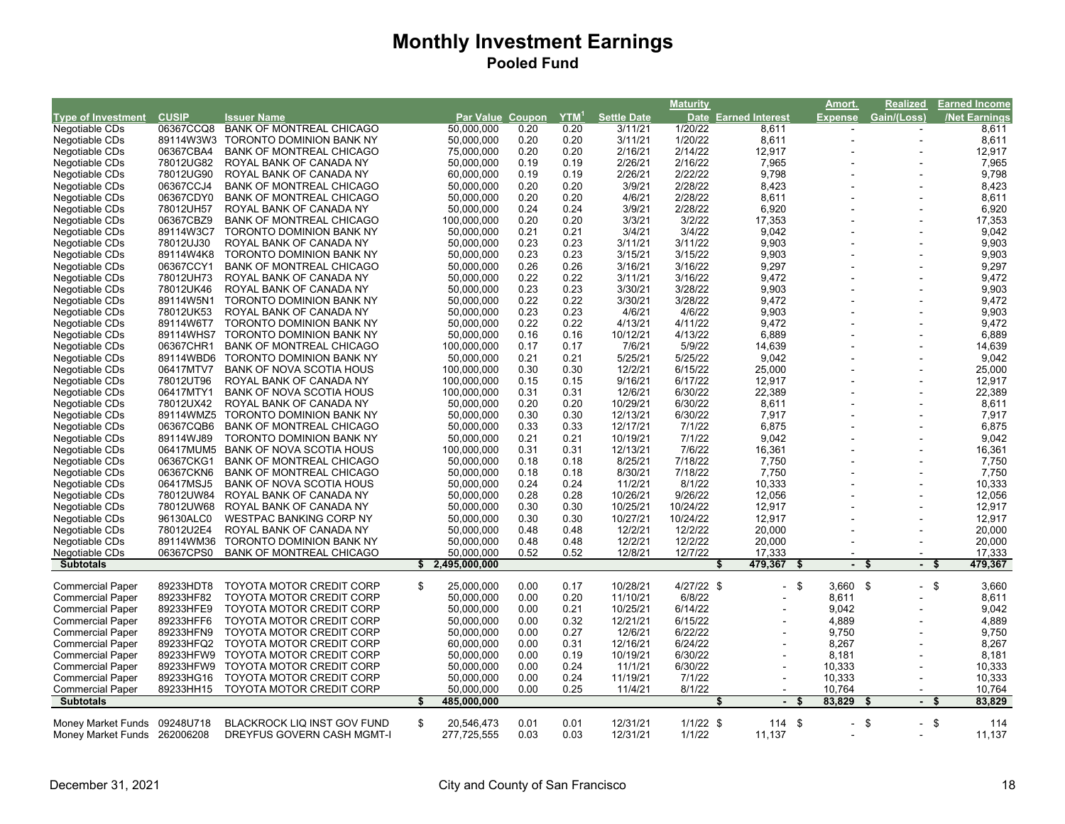|                              |              |                                    |    |                  |      |                  |                    | Maturity    |                      | Amort.                        | Realized              |      | <u>Earned Income</u> |
|------------------------------|--------------|------------------------------------|----|------------------|------|------------------|--------------------|-------------|----------------------|-------------------------------|-----------------------|------|----------------------|
| <b>Type of Investment</b>    | <b>CUSIP</b> | <b>Issuer Name</b>                 |    | Par Value Coupon |      | YTM <sup>1</sup> | <b>Settle Date</b> |             | Date Earned Interest | <b>Expense</b>                | Gain/(Loss)           |      | <b>Net Earnings</b>  |
| Negotiable CDs               | 06367CCQ8    | <b>BANK OF MONTREAL CHICAGO</b>    |    | 50.000.000       | 0.20 | 0.20             | 3/11/21            | 1/20/22     | 8,611                |                               |                       |      | 8,611                |
| Negotiable CDs               | 89114W3W3    | <b>TORONTO DOMINION BANK NY</b>    |    | 50,000,000       | 0.20 | 0.20             | 3/11/21            | 1/20/22     | 8,611                |                               | ÷.                    |      | 8,611                |
| Negotiable CDs               | 06367CBA4    | <b>BANK OF MONTREAL CHICAGO</b>    |    | 75,000,000       | 0.20 | 0.20             | 2/16/21            | 2/14/22     | 12,917               |                               |                       |      | 12,917               |
| Negotiable CDs               | 78012UG82    | ROYAL BANK OF CANADA NY            |    | 50.000.000       | 0.19 | 0.19             | 2/26/21            | 2/16/22     | 7,965                |                               |                       |      | 7,965                |
| Negotiable CDs               | 78012UG90    | ROYAL BANK OF CANADA NY            |    | 60,000,000       | 0.19 | 0.19             | 2/26/21            | 2/22/22     | 9,798                |                               |                       |      | 9,798                |
| Negotiable CDs               | 06367CCJ4    | <b>BANK OF MONTREAL CHICAGO</b>    |    | 50,000,000       | 0.20 | 0.20             | 3/9/21             | 2/28/22     | 8,423                |                               |                       |      | 8,423                |
| Negotiable CDs               | 06367CDY0    | <b>BANK OF MONTREAL CHICAGO</b>    |    | 50,000,000       | 0.20 | 0.20             | 4/6/21             | 2/28/22     | 8,611                |                               |                       |      | 8,611                |
| Negotiable CDs               | 78012UH57    | ROYAL BANK OF CANADA NY            |    | 50,000,000       | 0.24 | 0.24             | 3/9/21             | 2/28/22     | 6,920                |                               |                       |      | 6,920                |
| Negotiable CDs               | 06367CBZ9    | <b>BANK OF MONTREAL CHICAGO</b>    |    | 100,000,000      | 0.20 | 0.20             | 3/3/21             | 3/2/22      | 17,353               |                               |                       |      | 17,353               |
|                              | 89114W3C7    | TORONTO DOMINION BANK NY           |    | 50,000,000       | 0.21 | 0.21             | 3/4/21             | 3/4/22      | 9,042                |                               |                       |      | 9,042                |
| Negotiable CDs               |              |                                    |    |                  | 0.23 |                  |                    | 3/11/22     | 9,903                |                               |                       |      | 9,903                |
| Negotiable CDs               | 78012UJ30    | ROYAL BANK OF CANADA NY            |    | 50,000,000       |      | 0.23             | 3/11/21            |             |                      |                               |                       |      |                      |
| Negotiable CDs               | 89114W4K8    | <b>TORONTO DOMINION BANK NY</b>    |    | 50,000,000       | 0.23 | 0.23             | 3/15/21            | 3/15/22     | 9,903                |                               |                       |      | 9,903                |
| Negotiable CDs               | 06367CCY1    | <b>BANK OF MONTREAL CHICAGO</b>    |    | 50,000,000       | 0.26 | 0.26             | 3/16/21            | 3/16/22     | 9,297                |                               |                       |      | 9,297                |
| Negotiable CDs               | 78012UH73    | ROYAL BANK OF CANADA NY            |    | 50,000,000       | 0.22 | 0.22             | 3/11/21            | 3/16/22     | 9,472                |                               |                       |      | 9,472                |
| Negotiable CDs               | 78012UK46    | ROYAL BANK OF CANADA NY            |    | 50,000,000       | 0.23 | 0.23             | 3/30/21            | 3/28/22     | 9,903                |                               |                       |      | 9,903                |
| Negotiable CDs               | 89114W5N1    | <b>TORONTO DOMINION BANK NY</b>    |    | 50,000,000       | 0.22 | 0.22             | 3/30/21            | 3/28/22     | 9,472                |                               |                       |      | 9,472                |
| Negotiable CDs               | 78012UK53    | ROYAL BANK OF CANADA NY            |    | 50,000,000       | 0.23 | 0.23             | 4/6/21             | 4/6/22      | 9,903                |                               |                       |      | 9,903                |
| Negotiable CDs               | 89114W6T7    | <b>TORONTO DOMINION BANK NY</b>    |    | 50,000,000       | 0.22 | 0.22             | 4/13/21            | 4/11/22     | 9,472                |                               |                       |      | 9,472                |
| Negotiable CDs               | 89114WHS7    | <b>TORONTO DOMINION BANK NY</b>    |    | 50,000,000       | 0.16 | 0.16             | 10/12/21           | 4/13/22     | 6,889                |                               |                       |      | 6,889                |
| Negotiable CDs               | 06367CHR1    | <b>BANK OF MONTREAL CHICAGO</b>    |    | 100,000,000      | 0.17 | 0.17             | 7/6/21             | 5/9/22      | 14,639               |                               |                       |      | 14,639               |
| Negotiable CDs               | 89114WBD6    | <b>TORONTO DOMINION BANK NY</b>    |    | 50,000,000       | 0.21 | 0.21             | 5/25/21            | 5/25/22     | 9,042                |                               |                       |      | 9,042                |
| Negotiable CDs               | 06417MTV7    | <b>BANK OF NOVA SCOTIA HOUS</b>    |    | 100,000,000      | 0.30 | 0.30             | 12/2/21            | 6/15/22     | 25,000               |                               |                       |      | 25,000               |
| Negotiable CDs               | 78012UT96    | ROYAL BANK OF CANADA NY            |    | 100,000,000      | 0.15 | 0.15             | 9/16/21            | 6/17/22     | 12,917               |                               |                       |      | 12,917               |
| Negotiable CDs               | 06417MTY1    | <b>BANK OF NOVA SCOTIA HOUS</b>    |    | 100,000,000      | 0.31 | 0.31             | 12/6/21            | 6/30/22     | 22,389               |                               |                       |      | 22,389               |
| Negotiable CDs               | 78012UX42    | ROYAL BANK OF CANADA NY            |    | 50,000,000       | 0.20 | 0.20             | 10/29/21           | 6/30/22     | 8,611                |                               |                       |      | 8,611                |
| Negotiable CDs               | 89114WMZ5    | <b>TORONTO DOMINION BANK NY</b>    |    | 50,000,000       | 0.30 | 0.30             | 12/13/21           | 6/30/22     | 7,917                |                               |                       |      | 7,917                |
| Negotiable CDs               | 06367CQB6    | <b>BANK OF MONTREAL CHICAGO</b>    |    | 50,000,000       | 0.33 | 0.33             | 12/17/21           | 7/1/22      | 6,875                |                               |                       |      | 6,875                |
| Negotiable CDs               | 89114WJ89    | TORONTO DOMINION BANK NY           |    | 50,000,000       | 0.21 | 0.21             | 10/19/21           | 7/1/22      | 9,042                |                               |                       |      | 9,042                |
| Negotiable CDs               | 06417MUM5    | <b>BANK OF NOVA SCOTIA HOUS</b>    |    | 100,000,000      | 0.31 | 0.31             | 12/13/21           | 7/6/22      | 16,361               |                               |                       |      | 16,361               |
| Negotiable CDs               | 06367CKG1    | <b>BANK OF MONTREAL CHICAGO</b>    |    | 50,000,000       | 0.18 | 0.18             | 8/25/21            | 7/18/22     | 7,750                |                               |                       |      | 7,750                |
| Negotiable CDs               | 06367CKN6    | <b>BANK OF MONTREAL CHICAGO</b>    |    | 50,000,000       | 0.18 | 0.18             | 8/30/21            | 7/18/22     | 7,750                |                               |                       |      | 7,750                |
| Negotiable CDs               | 06417MSJ5    | BANK OF NOVA SCOTIA HOUS           |    | 50,000,000       | 0.24 | 0.24             | 11/2/21            | 8/1/22      | 10,333               |                               |                       |      | 10,333               |
| Negotiable CDs               | 78012UW84    | ROYAL BANK OF CANADA NY            |    | 50,000,000       | 0.28 | 0.28             | 10/26/21           | 9/26/22     | 12,056               |                               |                       |      | 12,056               |
|                              |              |                                    |    |                  | 0.30 | 0.30             |                    |             |                      |                               |                       |      | 12,917               |
| Negotiable CDs               | 78012UW68    | ROYAL BANK OF CANADA NY            |    | 50,000,000       |      |                  | 10/25/21           | 10/24/22    | 12,917               |                               |                       |      |                      |
| Negotiable CDs               | 96130ALC0    | <b>WESTPAC BANKING CORP NY</b>     |    | 50,000,000       | 0.30 | 0.30             | 10/27/21           | 10/24/22    | 12,917               |                               |                       |      | 12,917               |
| Negotiable CDs               | 78012U2E4    | ROYAL BANK OF CANADA NY            |    | 50,000,000       | 0.48 | 0.48             | 12/2/21            | 12/2/22     | 20,000               |                               |                       |      | 20,000               |
| Negotiable CDs               | 89114WM36    | <b>TORONTO DOMINION BANK NY</b>    |    | 50,000,000       | 0.48 | 0.48             | 12/2/21            | 12/2/22     | 20,000               |                               |                       |      | 20,000               |
| Negotiable CDs               | 06367CPS0    | <b>BANK OF MONTREAL CHICAGO</b>    |    | 50,000,000       | 0.52 | 0.52             | 12/8/21            | 12/7/22     | 17,333               |                               |                       |      | 17,333               |
| <b>Subtotals</b>             |              |                                    | \$ | 2,495,000,000    |      |                  |                    |             | 479,367<br>S         | S<br>$\overline{\phantom{a}}$ | £.<br>$\sim$          | - 56 | 479,367              |
| <b>Commercial Paper</b>      | 89233HDT8    | <b>TOYOTA MOTOR CREDIT CORP</b>    | \$ | 25,000,000       | 0.00 | 0.17             | 10/28/21           | 4/27/22 \$  |                      | 3.660<br>- \$                 | \$<br>- \$            |      | 3,660                |
|                              |              |                                    |    |                  |      |                  |                    |             |                      |                               |                       |      |                      |
| <b>Commercial Paper</b>      | 89233HF82    | TOYOTA MOTOR CREDIT CORP           |    | 50,000,000       | 0.00 | 0.20             | 11/10/21           | 6/8/22      |                      | 8,611                         |                       |      | 8,611                |
| <b>Commercial Paper</b>      | 89233HFE9    | <b>TOYOTA MOTOR CREDIT CORP</b>    |    | 50,000,000       | 0.00 | 0.21             | 10/25/21           | 6/14/22     |                      | 9,042                         |                       |      | 9,042                |
| <b>Commercial Paper</b>      | 89233HFF6    | TOYOTA MOTOR CREDIT CORP           |    | 50,000,000       | 0.00 | 0.32             | 12/21/21           | 6/15/22     |                      | 4,889                         |                       |      | 4,889                |
| <b>Commercial Paper</b>      | 89233HFN9    | TOYOTA MOTOR CREDIT CORP           |    | 50,000,000       | 0.00 | 0.27             | 12/6/21            | 6/22/22     |                      | 9,750                         |                       |      | 9,750                |
| <b>Commercial Paper</b>      | 89233HFQ2    | TOYOTA MOTOR CREDIT CORP           |    | 60,000,000       | 0.00 | 0.31             | 12/16/21           | 6/24/22     |                      | 8,267                         |                       |      | 8,267                |
| <b>Commercial Paper</b>      | 89233HFW9    | TOYOTA MOTOR CREDIT CORP           |    | 50,000,000       | 0.00 | 0.19             | 10/19/21           | 6/30/22     |                      | 8,181                         |                       |      | 8,181                |
| <b>Commercial Paper</b>      | 89233HFW9    | <b>TOYOTA MOTOR CREDIT CORP</b>    |    | 50.000.000       | 0.00 | 0.24             | 11/1/21            | 6/30/22     |                      | 10.333                        |                       |      | 10,333               |
| <b>Commercial Paper</b>      | 89233HG16    | <b>TOYOTA MOTOR CREDIT CORP</b>    |    | 50,000,000       | 0.00 | 0.24             | 11/19/21           | 7/1/22      |                      | 10,333                        |                       |      | 10,333               |
| <b>Commercial Paper</b>      | 89233HH15    | <b>TOYOTA MOTOR CREDIT CORP</b>    |    | 50,000,000       | 0.00 | 0.25             | 11/4/21            | 8/1/22      |                      | 10,764                        |                       |      | 10,764               |
| <b>Subtotals</b>             |              |                                    | S  | 485,000,000      |      |                  |                    |             | S<br>$\blacksquare$  | 83,829<br>\$                  | \$.<br>$\blacksquare$ | - 5  | 83,829               |
|                              |              |                                    |    |                  |      |                  |                    |             |                      |                               |                       |      |                      |
| Money Market Funds 09248U718 |              | <b>BLACKROCK LIQ INST GOV FUND</b> | \$ | 20,546,473       | 0.01 | 0.01             | 12/31/21           | $1/1/22$ \$ | 114S                 | $\blacksquare$                | $-$ \$<br>\$          |      | 114                  |
| Money Market Funds 262006208 |              | DREYFUS GOVERN CASH MGMT-I         |    | 277,725,555      | 0.03 | 0.03             | 12/31/21           | 1/1/22      | 11,137               |                               |                       |      | 11,137               |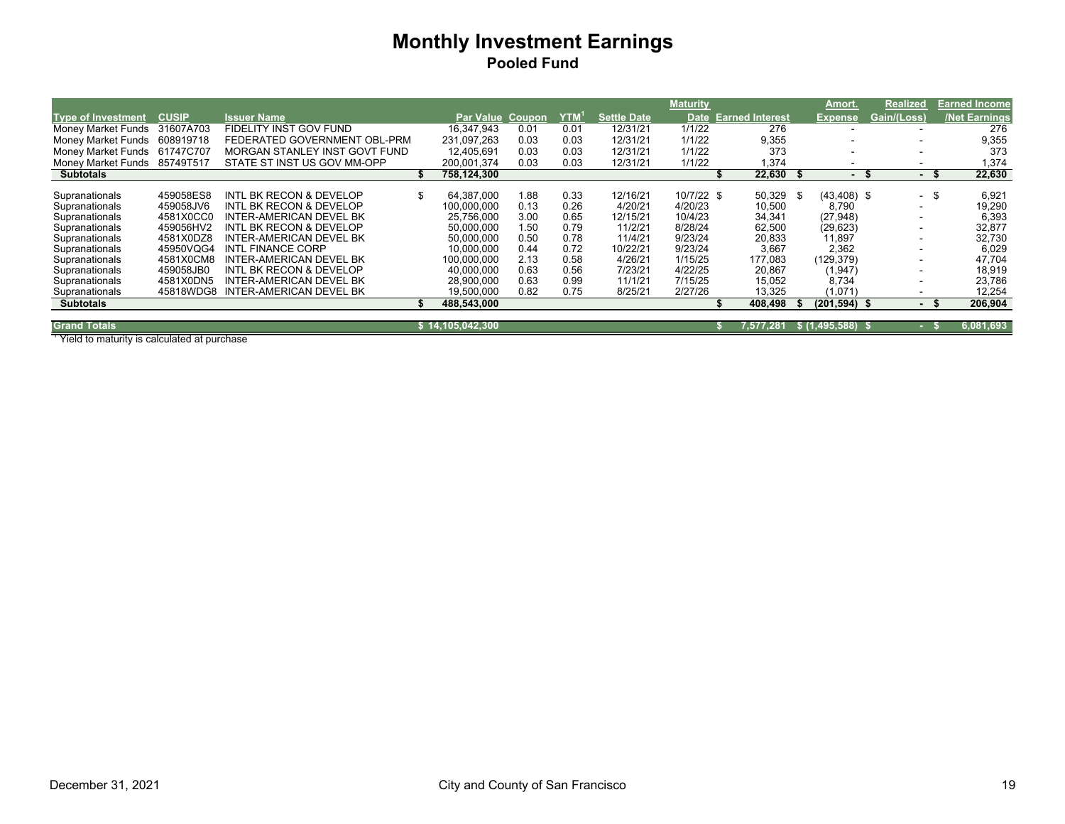|                           |              |                                |                          |      |      |                    | <b>Maturity</b> |                        |           |     | Amort.                   | <b>Realized</b> |      | <b>Earned Income</b> |
|---------------------------|--------------|--------------------------------|--------------------------|------|------|--------------------|-----------------|------------------------|-----------|-----|--------------------------|-----------------|------|----------------------|
| <b>Type of Investment</b> | <b>CUSIP</b> | <b>Issuer Name</b>             | Par Value Coupon         |      | YTM' | <b>Settle Date</b> | <b>Date</b>     | <b>Earned Interest</b> |           |     | <b>Expense</b>           | Gain/(Loss)     |      | <b>Net Earnings</b>  |
| Money Market Funds        | 31607A703    | FIDELITY INST GOV FUND         | 16.347.943               | 0.01 | 0.01 | 12/31/21           | 1/1/22          |                        | 276       |     |                          |                 |      | 276                  |
| Money Market Funds        | 608919718    | FEDERATED GOVERNMENT OBL-PRM   | 231.097.263              | 0.03 | 0.03 | 12/31/21           | 1/1/22          |                        | 9,355     |     | $\sim$                   |                 |      | 9,355                |
| Money Market Funds        | 61747C707    | MORGAN STANLEY INST GOVT FUND  | 12.405.691               | 0.03 | 0.03 | 12/31/21           | 1/1/22          |                        | 373       |     |                          |                 |      | 373                  |
| Money Market Funds        | 85749T517    | STATE ST INST US GOV MM-OPP    | 200,001,374              | 0.03 | 0.03 | 12/31/21           | 1/1/22          |                        | .374      |     |                          |                 |      | 1,374                |
| <b>Subtotals</b>          |              |                                | 758,124,300              |      |      |                    |                 |                        | 22,630    |     | $\overline{\phantom{0}}$ |                 |      | 22,630               |
|                           |              |                                |                          |      |      |                    |                 |                        |           |     |                          |                 |      |                      |
| Supranationals            | 459058ES8    | INTL BK RECON & DEVELOP        | 64.387.000               | 1.88 | 0.33 | 12/16/21           | 10/7/22 \$      |                        | 50,329    | -SS | $(43, 408)$ \$           |                 | - \$ | 6,921                |
| Supranationals            | 459058JV6    | INTL BK RECON & DEVELOP        | 100.000.000              | 0.13 | 0.26 | 4/20/21            | 4/20/23         |                        | 10,500    |     | 8,790                    |                 |      | 19,290               |
| Supranationals            | 4581X0CC0    | INTER-AMERICAN DEVEL BK        | 25.756.000               | 3.00 | 0.65 | 12/15/21           | 10/4/23         |                        | 34,341    |     | (27, 948)                |                 |      | 6,393                |
| Supranationals            | 459056HV2    | INTL BK RECON & DEVELOP        | 50,000,000               | 1.50 | 0.79 | 11/2/21            | 8/28/24         |                        | 62,500    |     | (29, 623)                |                 |      | 32,877               |
| Supranationals            | 4581X0DZ8    | INTER-AMERICAN DEVEL BK        | 50,000,000               | 0.50 | 0.78 | 11/4/21            | 9/23/24         |                        | 20,833    |     | 11,897                   |                 |      | 32,730               |
| Supranationals            | 45950VQG4    | <b>INTL FINANCE CORP</b>       | 10.000.000               | 0.44 | 0.72 | 10/22/21           | 9/23/24         |                        | 3.667     |     | 2,362                    |                 |      | 6,029                |
| Supranationals            | 4581X0CM8    | <b>INTER-AMERICAN DEVEL BK</b> | 100.000.000              | 2.13 | 0.58 | 4/26/21            | 1/15/25         |                        | 177.083   |     | (129, 379)               |                 |      | 47.704               |
| Supranationals            | 459058JB0    | INTL BK RECON & DEVELOP        | 40.000.000               | 0.63 | 0.56 | 7/23/21            | 4/22/25         |                        | 20,867    |     | (1, 947)                 |                 |      | 18,919               |
| Supranationals            | 4581X0DN5    | <b>INTER-AMERICAN DEVEL BK</b> | 28.900.000               | 0.63 | 0.99 | 11/1/21            | 7/15/25         |                        | 15.052    |     | 8,734                    |                 |      | 23,786               |
| Supranationals            | 45818WDG8    | <b>INTER-AMERICAN DEVEL BK</b> | 19,500,000               | 0.82 | 0.75 | 8/25/21            | 2/27/26         |                        | 13.325    |     | (1,071)                  |                 |      | 12,254               |
| <b>Subtotals</b>          |              |                                | 488,543,000              |      |      |                    |                 |                        | 408.498   |     | $(201, 594)$ \$          |                 | - 5  | 206,904              |
| <b>Grand Totals</b>       |              |                                |                          |      |      |                    |                 |                        |           |     |                          |                 |      |                      |
|                           |              |                                | \$14,105,042 <u>,300</u> |      |      |                    |                 |                        | 7.577.281 |     | \$(1,495,588)            |                 |      | 6,081,693            |

<sup>1</sup> Yield to maturity is calculated at purchase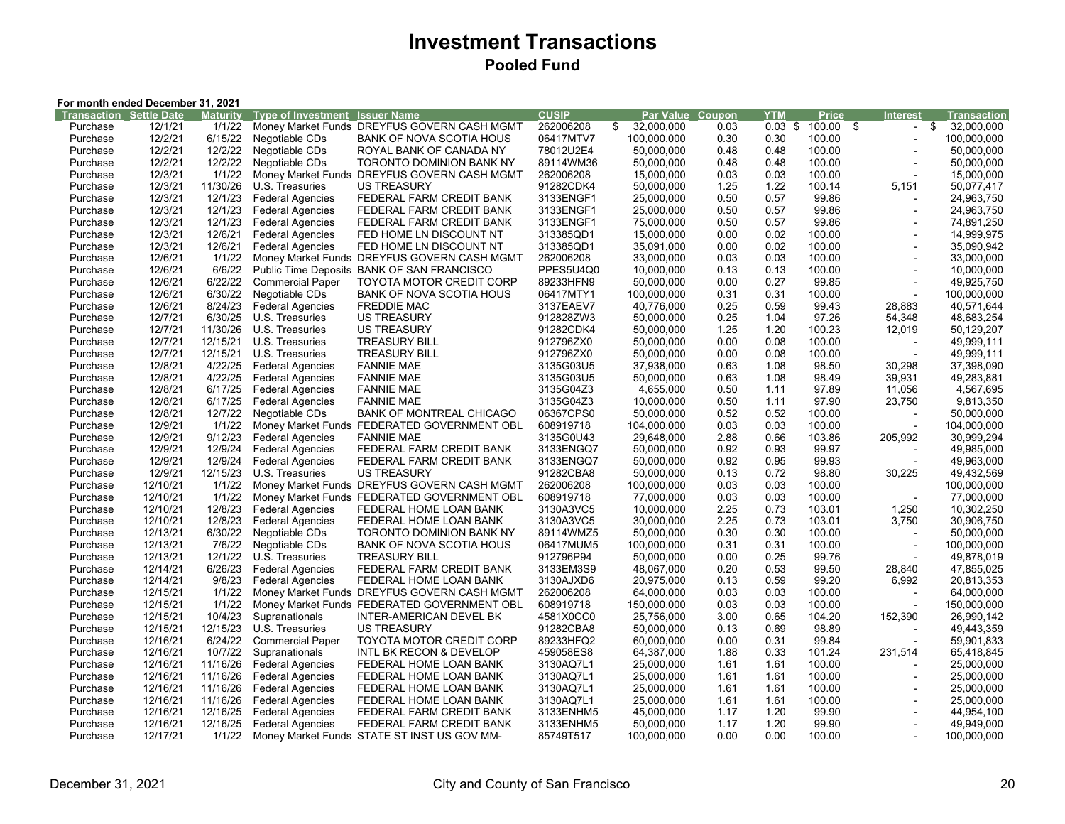|                                | For month ended December 31, 2021 |          |                           |                                             |              |                  |        |            |        |                                      |             |
|--------------------------------|-----------------------------------|----------|---------------------------|---------------------------------------------|--------------|------------------|--------|------------|--------|--------------------------------------|-------------|
| <b>Transaction Settle Date</b> |                                   | Maturity | <b>Type of Investment</b> | <b>Issuer Name</b>                          | <b>CUSIP</b> | Par Value        | Coupon | <b>YTM</b> | Price  | Interest                             | Transaction |
| Purchase                       | 12/1/21                           | 1/1/22   | Money Market Funds        | DREYFUS GOVERN CASH MGMT                    | 262006208    | \$<br>32,000,000 | 0.03   | $0.03$ \$  | 100.00 | \$<br>\$<br>$\overline{\phantom{a}}$ | 32,000,000  |
| Purchase                       | 12/2/21                           | 6/15/22  | Negotiable CDs            | <b>BANK OF NOVA SCOTIA HOUS</b>             | 06417MTV7    | 100,000,000      | 0.30   | 0.30       | 100.00 | $\overline{a}$                       | 100,000,000 |
| Purchase                       | 12/2/21                           | 12/2/22  | Negotiable CDs            | ROYAL BANK OF CANADA NY                     | 78012U2E4    | 50,000,000       | 0.48   | 0.48       | 100.00 |                                      | 50,000,000  |
| Purchase                       | 12/2/21                           | 12/2/22  | Negotiable CDs            | TORONTO DOMINION BANK NY                    | 89114WM36    | 50,000,000       | 0.48   | 0.48       | 100.00 | $\overline{a}$                       | 50,000,000  |
| Purchase                       | 12/3/21                           | 1/1/22   | Money Market Funds        | DREYFUS GOVERN CASH MGMT                    | 262006208    | 15,000,000       | 0.03   | 0.03       | 100.00 | $\overline{a}$                       | 15,000,000  |
| Purchase                       | 12/3/21                           | 11/30/26 | U.S. Treasuries           | <b>US TREASURY</b>                          | 91282CDK4    | 50,000,000       | 1.25   | 1.22       | 100.14 | 5,151                                | 50,077,417  |
| Purchase                       | 12/3/21                           | 12/1/23  | <b>Federal Agencies</b>   | FEDERAL FARM CREDIT BANK                    | 3133ENGF1    | 25,000,000       | 0.50   | 0.57       | 99.86  | $\overline{a}$                       | 24,963,750  |
| Purchase                       | 12/3/21                           | 12/1/23  | <b>Federal Agencies</b>   | FEDERAL FARM CREDIT BANK                    | 3133ENGF1    | 25,000,000       | 0.50   | 0.57       | 99.86  | $\overline{\phantom{a}}$             | 24,963,750  |
| Purchase                       | 12/3/21                           | 12/1/23  | <b>Federal Agencies</b>   | FEDERAL FARM CREDIT BANK                    | 3133ENGF1    | 75,000,000       | 0.50   | 0.57       | 99.86  | $\overline{a}$                       | 74,891,250  |
| Purchase                       | 12/3/21                           | 12/6/21  | <b>Federal Agencies</b>   | FED HOME LN DISCOUNT NT                     | 313385QD1    | 15,000,000       | 0.00   | 0.02       | 100.00 | $\overline{a}$                       | 14,999,975  |
| Purchase                       | 12/3/21                           | 12/6/21  | <b>Federal Agencies</b>   | FED HOME LN DISCOUNT NT                     | 313385QD1    | 35,091,000       | 0.00   | 0.02       | 100.00 |                                      | 35,090,942  |
| Purchase                       | 12/6/21                           | 1/1/22   |                           | Money Market Funds DREYFUS GOVERN CASH MGMT | 262006208    | 33,000,000       | 0.03   | 0.03       | 100.00 |                                      | 33,000,000  |
| Purchase                       | 12/6/21                           | 6/6/22   | Public Time Deposits      | <b>BANK OF SAN FRANCISCO</b>                | PPES5U4Q0    | 10,000,000       | 0.13   | 0.13       | 100.00 | $\overline{a}$                       | 10,000,000  |
| Purchase                       | 12/6/21                           | 6/22/22  | <b>Commercial Paper</b>   | TOYOTA MOTOR CREDIT CORP                    | 89233HFN9    | 50,000,000       | 0.00   | 0.27       | 99.85  | $\overline{a}$                       | 49,925,750  |
| Purchase                       | 12/6/21                           | 6/30/22  | Negotiable CDs            | BANK OF NOVA SCOTIA HOUS                    | 06417MTY1    | 100,000,000      | 0.31   | 0.31       | 100.00 |                                      | 100,000,000 |
| Purchase                       | 12/6/21                           | 8/24/23  | <b>Federal Agencies</b>   | <b>FREDDIE MAC</b>                          | 3137EAEV7    | 40,776,000       | 0.25   | 0.59       | 99.43  | 28,883                               | 40,571,644  |
| Purchase                       | 12/7/21                           | 6/30/25  | U.S. Treasuries           | <b>US TREASURY</b>                          | 912828ZW3    | 50,000,000       | 0.25   | 1.04       | 97.26  | 54,348                               | 48,683,254  |
| Purchase                       | 12/7/21                           | 11/30/26 | U.S. Treasuries           | <b>US TREASURY</b>                          | 91282CDK4    | 50,000,000       | 1.25   | 1.20       | 100.23 | 12,019                               | 50,129,207  |
| Purchase                       | 12/7/21                           | 12/15/21 | U.S. Treasuries           | <b>TREASURY BILL</b>                        | 912796ZX0    | 50,000,000       | 0.00   | 0.08       | 100.00 |                                      | 49,999,111  |
| Purchase                       | 12/7/21                           | 12/15/21 | U.S. Treasuries           | <b>TREASURY BILL</b>                        | 912796ZX0    | 50,000,000       | 0.00   | 0.08       | 100.00 |                                      | 49,999,111  |
| Purchase                       | 12/8/21                           | 4/22/25  | <b>Federal Agencies</b>   | <b>FANNIE MAE</b>                           | 3135G03U5    | 37,938,000       | 0.63   | 1.08       | 98.50  | 30,298                               | 37,398,090  |
| Purchase                       | 12/8/21                           | 4/22/25  | <b>Federal Agencies</b>   | <b>FANNIE MAE</b>                           | 3135G03U5    | 50,000,000       | 0.63   | 1.08       | 98.49  | 39,931                               | 49,283,881  |
| Purchase                       | 12/8/21                           | 6/17/25  | <b>Federal Agencies</b>   | <b>FANNIE MAE</b>                           | 3135G04Z3    | 4,655,000        | 0.50   | 1.11       | 97.89  | 11,056                               | 4,567,695   |
| Purchase                       | 12/8/21                           | 6/17/25  | <b>Federal Agencies</b>   | <b>FANNIE MAE</b>                           | 3135G04Z3    | 10,000,000       | 0.50   | 1.11       | 97.90  | 23,750                               | 9,813,350   |
| Purchase                       | 12/8/21                           | 12/7/22  | Negotiable CDs            | <b>BANK OF MONTREAL CHICAGO</b>             | 06367CPS0    | 50,000,000       | 0.52   | 0.52       | 100.00 |                                      | 50,000,000  |
| Purchase                       | 12/9/21                           | 1/1/22   |                           | Money Market Funds FEDERATED GOVERNMENT OBL | 608919718    | 104,000,000      | 0.03   | 0.03       | 100.00 |                                      | 104,000,000 |
| Purchase                       | 12/9/21                           | 9/12/23  | <b>Federal Agencies</b>   | <b>FANNIE MAE</b>                           | 3135G0U43    | 29,648,000       | 2.88   | 0.66       | 103.86 | 205,992                              | 30,999,294  |
| Purchase                       | 12/9/21                           | 12/9/24  | <b>Federal Agencies</b>   | FEDERAL FARM CREDIT BANK                    | 3133ENGQ7    | 50,000,000       | 0.92   | 0.93       | 99.97  |                                      | 49,985,000  |
| Purchase                       | 12/9/21                           | 12/9/24  | <b>Federal Agencies</b>   | FEDERAL FARM CREDIT BANK                    | 3133ENGQ7    | 50,000,000       | 0.92   | 0.95       | 99.93  | $\overline{\phantom{a}}$             | 49,963,000  |
| Purchase                       | 12/9/21                           | 12/15/23 | U.S. Treasuries           | <b>US TREASURY</b>                          | 91282CBA8    | 50,000,000       | 0.13   | 0.72       | 98.80  | 30,225                               | 49,432,569  |
| Purchase                       | 12/10/21                          | 1/1/22   |                           | Money Market Funds DREYFUS GOVERN CASH MGMT | 262006208    | 100,000,000      | 0.03   | 0.03       | 100.00 |                                      | 100,000,000 |
| Purchase                       | 12/10/21                          | 1/1/22   |                           | Money Market Funds FEDERATED GOVERNMENT OBL | 608919718    | 77,000,000       | 0.03   | 0.03       | 100.00 |                                      | 77,000,000  |
| Purchase                       | 12/10/21                          | 12/8/23  | <b>Federal Agencies</b>   | FEDERAL HOME LOAN BANK                      | 3130A3VC5    | 10,000,000       | 2.25   | 0.73       | 103.01 | 1,250                                | 10,302,250  |
| Purchase                       | 12/10/21                          | 12/8/23  | <b>Federal Agencies</b>   | FEDERAL HOME LOAN BANK                      | 3130A3VC5    | 30,000,000       | 2.25   | 0.73       | 103.01 | 3,750                                | 30,906,750  |
| Purchase                       | 12/13/21                          | 6/30/22  | Negotiable CDs            | TORONTO DOMINION BANK NY                    | 89114WMZ5    | 50,000,000       | 0.30   | 0.30       | 100.00 |                                      | 50,000,000  |
| Purchase                       | 12/13/21                          | 7/6/22   | Negotiable CDs            | BANK OF NOVA SCOTIA HOUS                    | 06417MUM5    | 100,000,000      | 0.31   | 0.31       | 100.00 | $\overline{a}$                       | 100,000,000 |
| Purchase                       | 12/13/21                          | 12/1/22  | U.S. Treasuries           | <b>TREASURY BILL</b>                        | 912796P94    | 50,000,000       | 0.00   | 0.25       | 99.76  |                                      | 49,878,019  |
| Purchase                       | 12/14/21                          | 6/26/23  | <b>Federal Agencies</b>   | FEDERAL FARM CREDIT BANK                    | 3133EM3S9    | 48,067,000       | 0.20   | 0.53       | 99.50  | 28,840                               | 47,855,025  |
| Purchase                       | 12/14/21                          | 9/8/23   | <b>Federal Agencies</b>   | FEDERAL HOME LOAN BANK                      | 3130AJXD6    | 20,975,000       | 0.13   | 0.59       | 99.20  | 6,992                                | 20,813,353  |
| Purchase                       | 12/15/21                          | 1/1/22   |                           | Money Market Funds DREYFUS GOVERN CASH MGMT | 262006208    | 64,000,000       | 0.03   | 0.03       | 100.00 |                                      | 64,000,000  |
| Purchase                       | 12/15/21                          | 1/1/22   |                           | Money Market Funds FEDERATED GOVERNMENT OBL | 608919718    | 150,000,000      | 0.03   | 0.03       | 100.00 |                                      | 150,000,000 |
| Purchase                       | 12/15/21                          | 10/4/23  | Supranationals            | INTER-AMERICAN DEVEL BK                     | 4581X0CC0    | 25,756,000       | 3.00   | 0.65       | 104.20 | 152,390                              | 26,990,142  |
| Purchase                       | 12/15/21                          | 12/15/23 | U.S. Treasuries           | <b>US TREASURY</b>                          | 91282CBA8    | 50,000,000       | 0.13   | 0.69       | 98.89  |                                      | 49,443,359  |
| Purchase                       | 12/16/21                          | 6/24/22  | <b>Commercial Paper</b>   | <b>TOYOTA MOTOR CREDIT CORP</b>             | 89233HFQ2    | 60,000,000       | 0.00   | 0.31       | 99.84  |                                      | 59,901,833  |
| Purchase                       | 12/16/21                          | 10/7/22  | Supranationals            | INTL BK RECON & DEVELOP                     | 459058ES8    | 64,387,000       | 1.88   | 0.33       | 101.24 | 231,514                              | 65,418,845  |
| Purchase                       | 12/16/21                          | 11/16/26 | <b>Federal Agencies</b>   | FEDERAL HOME LOAN BANK                      | 3130AQ7L1    | 25,000,000       | 1.61   | 1.61       | 100.00 |                                      | 25,000,000  |
| Purchase                       | 12/16/21                          | 11/16/26 | <b>Federal Agencies</b>   | FEDERAL HOME LOAN BANK                      | 3130AQ7L1    | 25,000,000       | 1.61   | 1.61       | 100.00 | $\overline{a}$                       | 25,000,000  |
| Purchase                       | 12/16/21                          | 11/16/26 | <b>Federal Agencies</b>   | FEDERAL HOME LOAN BANK                      | 3130AQ7L1    | 25,000,000       | 1.61   | 1.61       | 100.00 |                                      | 25,000,000  |
| Purchase                       | 12/16/21                          | 11/16/26 | <b>Federal Agencies</b>   | FEDERAL HOME LOAN BANK                      | 3130AQ7L1    | 25,000,000       | 1.61   | 1.61       | 100.00 |                                      | 25,000,000  |
| Purchase                       | 12/16/21                          | 12/16/25 | <b>Federal Agencies</b>   | FEDERAL FARM CREDIT BANK                    | 3133ENHM5    | 45,000,000       | 1.17   | 1.20       | 99.90  |                                      | 44,954,100  |
| Purchase                       | 12/16/21                          | 12/16/25 | <b>Federal Agencies</b>   | FEDERAL FARM CREDIT BANK                    | 3133ENHM5    | 50,000,000       | 1.17   | 1.20       | 99.90  |                                      | 49,949,000  |
| Purchase                       | 12/17/21                          | 1/1/22   |                           | Money Market Funds STATE ST INST US GOV MM- | 85749T517    | 100,000,000      | 0.00   | 0.00       | 100.00 | $\overline{a}$                       | 100,000,000 |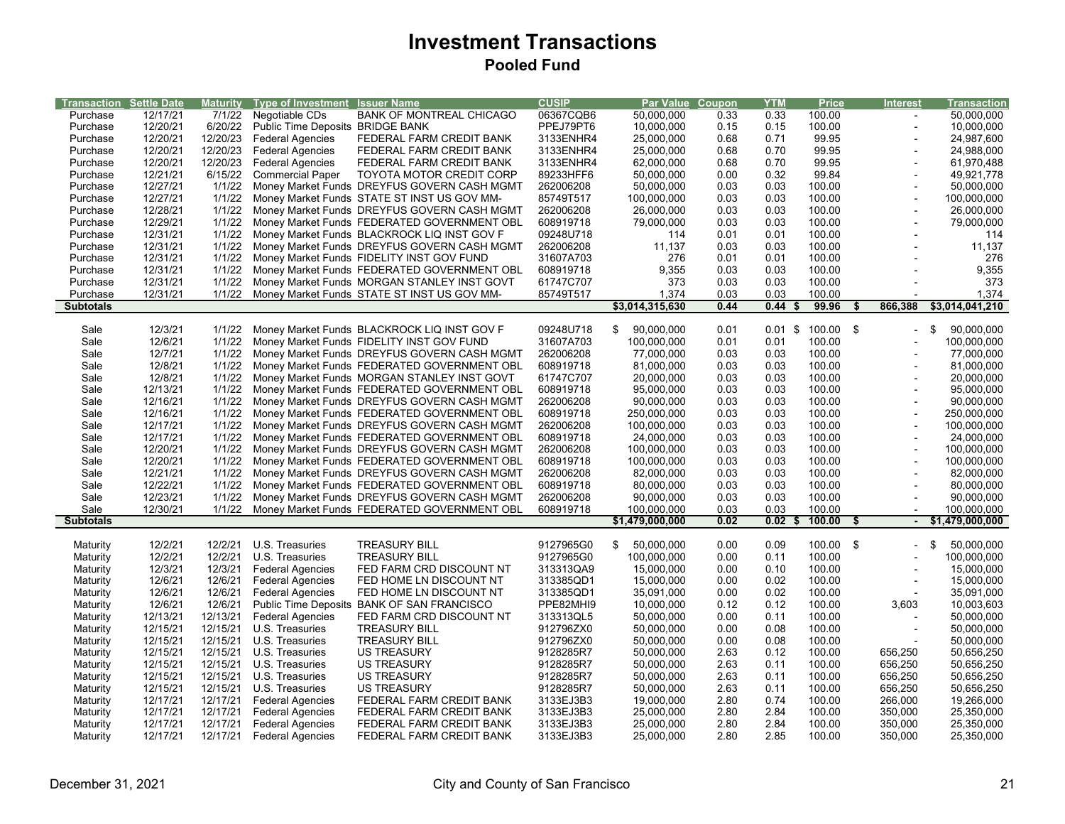| <b>Transaction Settle Date</b> |                      | <b>Maturity</b> | <b>Type of Investment</b>        | <b>Issuer Name</b>                          | <b>CUSIP</b>           | Par Value Coupon |              | <b>YTM</b>   | <b>Price</b>        | <b>Interest</b> |                          | <b>Transaction</b> |
|--------------------------------|----------------------|-----------------|----------------------------------|---------------------------------------------|------------------------|------------------|--------------|--------------|---------------------|-----------------|--------------------------|--------------------|
| Purchase                       | 12/17/21<br>12/20/21 | 7/1/22          | Negotiable CDs                   | <b>BANK OF MONTREAL CHICAGO</b>             | 06367CQB6<br>PPEJ79PT6 | 50,000,000       | 0.33<br>0.15 | 0.33<br>0.15 | 100.00<br>100.00    |                 |                          | 50,000,000         |
| Purchase                       |                      | 6/20/22         | Public Time Deposits BRIDGE BANK |                                             |                        | 10,000,000       |              |              |                     |                 | $\overline{a}$           | 10,000,000         |
| Purchase                       | 12/20/21             | 12/20/23        | <b>Federal Agencies</b>          | FEDERAL FARM CREDIT BANK                    | 3133ENHR4              | 25,000,000       | 0.68         | 0.71         | 99.95               |                 |                          | 24,987,600         |
| Purchase                       | 12/20/21             | 12/20/23        | <b>Federal Agencies</b>          | FEDERAL FARM CREDIT BANK                    | 3133ENHR4              | 25,000,000       | 0.68         | 0.70         | 99.95               |                 | ÷,                       | 24,988,000         |
| Purchase                       | 12/20/21             | 12/20/23        | <b>Federal Agencies</b>          | FEDERAL FARM CREDIT BANK                    | 3133ENHR4              | 62,000,000       | 0.68         | 0.70         | 99.95               |                 |                          | 61,970,488         |
| Purchase                       | 12/21/21             | 6/15/22         | <b>Commercial Paper</b>          | <b>TOYOTA MOTOR CREDIT CORP</b>             | 89233HFF6              | 50,000,000       | 0.00         | 0.32         | 99.84               |                 |                          | 49,921,778         |
| Purchase                       | 12/27/21             | 1/1/22          |                                  | Money Market Funds DREYFUS GOVERN CASH MGMT | 262006208              | 50,000,000       | 0.03         | 0.03         | 100.00              |                 |                          | 50,000,000         |
| Purchase                       | 12/27/21             | 1/1/22          |                                  | Money Market Funds STATE ST INST US GOV MM- | 85749T517              | 100,000,000      | 0.03         | 0.03         | 100.00              |                 | ÷,                       | 100,000,000        |
| Purchase                       | 12/28/21             | 1/1/22          |                                  | Money Market Funds DREYFUS GOVERN CASH MGMT | 262006208              | 26,000,000       | 0.03         | 0.03         | 100.00              |                 | $\blacksquare$           | 26,000,000         |
| Purchase                       | 12/29/21             | 1/1/22          |                                  | Money Market Funds FEDERATED GOVERNMENT OBL | 608919718              | 79,000,000       | 0.03         | 0.03         | 100.00              |                 |                          | 79,000,000         |
| Purchase                       | 12/31/21             | 1/1/22          |                                  | Money Market Funds BLACKROCK LIQ INST GOV F | 09248U718              | 114              | 0.01         | 0.01         | 100.00              |                 |                          | 114                |
| Purchase                       | 12/31/21             | 1/1/22          |                                  | Money Market Funds DREYFUS GOVERN CASH MGMT | 262006208              | 11,137           | 0.03         | 0.03         | 100.00              |                 |                          | 11,137             |
| Purchase                       | 12/31/21             | 1/1/22          |                                  | Money Market Funds FIDELITY INST GOV FUND   | 31607A703              | 276              | 0.01         | 0.01         | 100.00              |                 |                          | 276                |
| Purchase                       | 12/31/21             | 1/1/22          |                                  | Money Market Funds FEDERATED GOVERNMENT OBL | 608919718              | 9,355            | 0.03         | 0.03         | 100.00              |                 |                          | 9,355              |
| Purchase                       | 12/31/21             | 1/1/22          |                                  | Money Market Funds MORGAN STANLEY INST GOVT | 61747C707              | 373              | 0.03         | 0.03         | 100.00              |                 |                          | 373                |
| Purchase                       | 12/31/21             | 1/1/22          |                                  | Money Market Funds STATE ST INST US GOV MM- | 85749T517              | 1,374            | 0.03         | 0.03         | 100.00              |                 |                          | 1,374              |
| <b>Subtotals</b>               |                      |                 |                                  |                                             |                        | \$3,014,315,630  | 0.44         | 0.44<br>- \$ | 99.96               | 866,388         |                          | \$3,014,041,210    |
|                                |                      |                 |                                  |                                             |                        |                  |              |              |                     |                 |                          |                    |
| Sale                           | 12/3/21              | 1/1/22          |                                  | Money Market Funds BLACKROCK LIQ INST GOV F | 09248U718              | 90,000,000<br>\$ | 0.01         |              | $0.01$ \$ 100.00 \$ |                 | -\$                      | 90,000,000         |
| Sale                           | 12/6/21              | 1/1/22          |                                  | Money Market Funds FIDELITY INST GOV FUND   | 31607A703              | 100,000,000      | 0.01         | 0.01         | 100.00              |                 |                          | 100,000,000        |
| Sale                           | 12/7/21              | 1/1/22          |                                  | Money Market Funds DREYFUS GOVERN CASH MGMT | 262006208              | 77,000,000       | 0.03         | 0.03         | 100.00              |                 |                          | 77,000,000         |
| Sale                           | 12/8/21              | 1/1/22          |                                  | Money Market Funds FEDERATED GOVERNMENT OBL | 608919718              | 81,000,000       | 0.03         | 0.03         | 100.00              |                 | $\overline{\phantom{a}}$ | 81,000,000         |
| Sale                           | 12/8/21              | 1/1/22          |                                  | Money Market Funds MORGAN STANLEY INST GOVT | 61747C707              | 20,000,000       | 0.03         | 0.03         | 100.00              |                 |                          | 20,000,000         |
| Sale                           | 12/13/21             | 1/1/22          |                                  | Money Market Funds FEDERATED GOVERNMENT OBL | 608919718              | 95,000,000       | 0.03         | 0.03         | 100.00              |                 |                          | 95,000,000         |
| Sale                           | 12/16/21             | 1/1/22          |                                  | Money Market Funds DREYFUS GOVERN CASH MGMT | 262006208              | 90,000,000       | 0.03         | 0.03         | 100.00              |                 |                          | 90,000,000         |
| Sale                           | 12/16/21             | 1/1/22          |                                  | Money Market Funds FEDERATED GOVERNMENT OBL | 608919718              | 250,000,000      | 0.03         | 0.03         | 100.00              |                 | $\blacksquare$           | 250,000,000        |
| Sale                           | 12/17/21             | 1/1/22          |                                  | Money Market Funds DREYFUS GOVERN CASH MGMT | 262006208              | 100,000,000      | 0.03         | 0.03         | 100.00              |                 | ÷,                       | 100,000,000        |
| Sale                           | 12/17/21             | 1/1/22          |                                  | Money Market Funds FEDERATED GOVERNMENT OBL | 608919718              | 24.000.000       | 0.03         | 0.03         | 100.00              |                 | Ĭ.                       | 24.000.000         |
| Sale                           | 12/20/21             | 1/1/22          |                                  | Money Market Funds DREYFUS GOVERN CASH MGMT | 262006208              | 100,000,000      | 0.03         | 0.03         | 100.00              |                 | ÷,                       | 100,000,000        |
| Sale                           | 12/20/21             | 1/1/22          |                                  | Money Market Funds FEDERATED GOVERNMENT OBL | 608919718              | 100,000,000      | 0.03         | 0.03         | 100.00              |                 | ÷,                       | 100,000,000        |
| Sale                           | 12/21/21             | 1/1/22          |                                  | Money Market Funds DREYFUS GOVERN CASH MGMT | 262006208              | 82,000,000       | 0.03         | 0.03         | 100.00              |                 |                          | 82,000,000         |
| Sale                           | 12/22/21             | 1/1/22          |                                  | Money Market Funds FEDERATED GOVERNMENT OBL | 608919718              | 80,000,000       | 0.03         | 0.03         | 100.00              |                 |                          | 80,000,000         |
| Sale                           | 12/23/21             | 1/1/22          |                                  | Money Market Funds DREYFUS GOVERN CASH MGMT | 262006208              | 90,000,000       | 0.03         | 0.03         | 100.00              |                 |                          | 90,000,000         |
| Sale                           | 12/30/21             | 1/1/22          |                                  | Money Market Funds FEDERATED GOVERNMENT OBL | 608919718              | 100,000,000      | 0.03         | 0.03         | 100.00              |                 |                          | 100,000,000        |
| <b>Subtotals</b>               |                      |                 |                                  |                                             |                        | \$1,479,000,000  | 0.02         | 0.02<br>- \$ | 100.00              | S               |                          | \$1,479,000,000    |
|                                |                      |                 |                                  |                                             |                        |                  |              |              |                     |                 |                          |                    |
| Maturity                       | 12/2/21              | 12/2/21         | U.S. Treasuries                  | <b>TREASURY BILL</b>                        | 9127965G0              | \$<br>50,000,000 | 0.00         | 0.09         | 100.00 \$           |                 | -\$                      | 50,000,000         |
| Maturity                       | 12/2/21              | 12/2/21         | U.S. Treasuries                  | <b>TREASURY BILL</b>                        | 9127965G0              | 100,000,000      | 0.00         | 0.11         | 100.00              |                 |                          | 100,000,000        |
| Maturity                       | 12/3/21              | 12/3/21         | <b>Federal Agencies</b>          | FED FARM CRD DISCOUNT NT                    | 313313QA9              | 15,000,000       | 0.00         | 0.10         | 100.00              |                 |                          | 15,000,000         |
| Maturity                       | 12/6/21              | 12/6/21         | <b>Federal Agencies</b>          | FED HOME LN DISCOUNT NT                     | 313385QD1              | 15,000,000       | 0.00         | 0.02         | 100.00              |                 | $\overline{\phantom{a}}$ | 15,000,000         |
| Maturity                       | 12/6/21              | 12/6/21         | <b>Federal Agencies</b>          | FED HOME LN DISCOUNT NT                     | 313385QD1              | 35,091,000       | 0.00         | 0.02         | 100.00              |                 | Ĭ.                       | 35,091,000         |
| Maturity                       | 12/6/21              | 12/6/21         |                                  | Public Time Deposits BANK OF SAN FRANCISCO  | PPE82MHI9              | 10,000,000       | 0.12         | 0.12         | 100.00              | 3,603           |                          | 10,003,603         |
| Maturity                       | 12/13/21             | 12/13/21        | <b>Federal Agencies</b>          | FED FARM CRD DISCOUNT NT                    | 313313QL5              | 50,000,000       | 0.00         | 0.11         | 100.00              |                 |                          | 50,000,000         |
| Maturity                       | 12/15/21             | 12/15/21        | U.S. Treasuries                  | <b>TREASURY BILL</b>                        | 912796ZX0              | 50,000,000       | 0.00         | 0.08         | 100.00              |                 |                          | 50,000,000         |
| Maturity                       | 12/15/21             | 12/15/21        | U.S. Treasuries                  | <b>TREASURY BILL</b>                        | 912796ZX0              | 50,000,000       | 0.00         | 0.08         | 100.00              |                 |                          | 50,000,000         |
| Maturity                       | 12/15/21             | 12/15/21        | U.S. Treasuries                  | <b>US TREASURY</b>                          | 9128285R7              | 50,000,000       | 2.63         | 0.12         | 100.00              | 656,250         |                          | 50,656,250         |
| Maturity                       | 12/15/21             | 12/15/21        | U.S. Treasuries                  | <b>US TREASURY</b>                          | 9128285R7              | 50,000,000       | 2.63         | 0.11         | 100.00              | 656,250         |                          | 50,656,250         |
| Maturity                       | 12/15/21             | 12/15/21        | U.S. Treasuries                  | US TREASURY                                 | 9128285R7              | 50,000,000       | 2.63         | 0.11         | 100.00              | 656,250         |                          | 50,656,250         |
|                                | 12/15/21             | 12/15/21        | U.S. Treasuries                  | <b>US TREASURY</b>                          | 9128285R7              |                  | 2.63         | 0.11         | 100.00              | 656,250         |                          | 50,656,250         |
| Maturity                       |                      |                 |                                  |                                             |                        | 50,000,000       | 2.80         |              |                     |                 |                          |                    |
| Maturity                       | 12/17/21             | 12/17/21        | <b>Federal Agencies</b>          | FEDERAL FARM CREDIT BANK                    | 3133EJ3B3              | 19,000,000       |              | 0.74         | 100.00              | 266,000         |                          | 19,266,000         |
| Maturity                       | 12/17/21             | 12/17/21        | <b>Federal Agencies</b>          | FEDERAL FARM CREDIT BANK                    | 3133EJ3B3              | 25,000,000       | 2.80         | 2.84         | 100.00              | 350,000         |                          | 25,350,000         |
| Maturity                       | 12/17/21             | 12/17/21        | <b>Federal Agencies</b>          | FEDERAL FARM CREDIT BANK                    | 3133EJ3B3              | 25,000,000       | 2.80         | 2.84         | 100.00              | 350,000         |                          | 25,350,000         |
| Maturity                       | 12/17/21             | 12/17/21        | <b>Federal Agencies</b>          | FEDERAL FARM CREDIT BANK                    | 3133EJ3B3              | 25,000,000       | 2.80         | 2.85         | 100.00              | 350,000         |                          | 25,350,000         |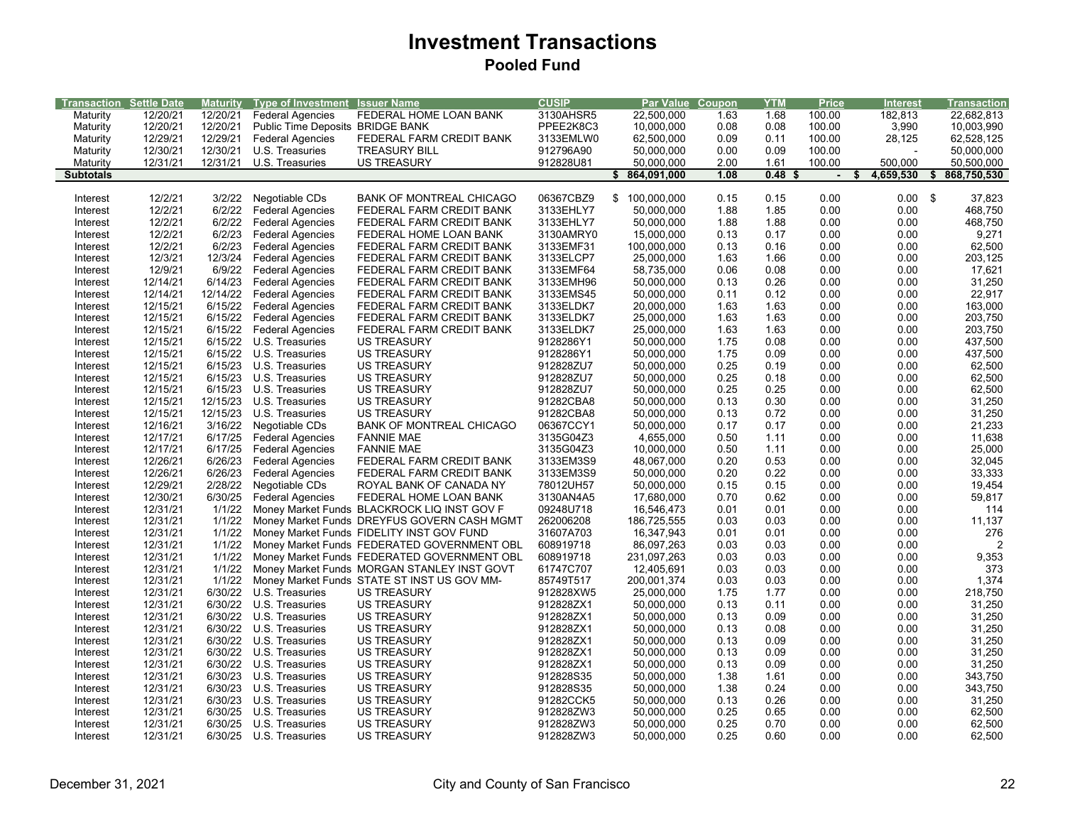| Transaction Settle Date |          | <b>Maturity</b> | Type of Investment               | <b>Issuer Name</b>                          | <b>CUSIP</b> | Par Value         | Coupon | <b>YTM</b>        | <b>Price</b>   | <b>Interest</b> | <b>Transaction</b>      |
|-------------------------|----------|-----------------|----------------------------------|---------------------------------------------|--------------|-------------------|--------|-------------------|----------------|-----------------|-------------------------|
| Maturity                | 12/20/21 | 12/20/21        | <b>Federal Agencies</b>          | FEDERAL HOME LOAN BANK                      | 3130AHSR5    | 22,500,000        | 1.63   | 1.68              | 100.00         | 182,813         | 22,682,813              |
| Maturity                | 12/20/21 | 12/20/21        | Public Time Deposits BRIDGE BANK |                                             | PPEE2K8C3    | 10,000,000        | 0.08   | 0.08              | 100.00         | 3,990           | 10,003,990              |
| Maturity                | 12/29/21 | 12/29/21        | <b>Federal Agencies</b>          | FEDERAL FARM CREDIT BANK                    | 3133EMLW0    | 62,500,000        | 0.09   | 0.11              | 100.00         | 28,125          | 62,528,125              |
| Maturity                | 12/30/21 | 12/30/21        | U.S. Treasuries                  | <b>TREASURY BILL</b>                        | 912796A90    | 50,000,000        | 0.00   | 0.09              | 100.00         |                 | 50,000,000              |
| Maturity                | 12/31/21 | 12/31/21        | U.S. Treasuries                  | <b>US TREASURY</b>                          | 912828U81    | 50,000,000        | 2.00   | 1.61              | 100.00         | 500,000         | 50,500,000              |
| <b>Subtotals</b>        |          |                 |                                  |                                             |              | 864,091,000<br>\$ | 1.08   | 0.48 <sup>5</sup> | $\blacksquare$ | 4,659,530<br>S  | 868,750,530<br>\$       |
|                         |          |                 |                                  |                                             |              |                   |        |                   |                |                 |                         |
| Interest                | 12/2/21  | 3/2/22          | Negotiable CDs                   | <b>BANK OF MONTREAL CHICAGO</b>             | 06367CBZ9    | \$100,000,000     | 0.15   | 0.15              | 0.00           | $0.00$ \$       | 37,823                  |
| Interest                | 12/2/21  | 6/2/22          | <b>Federal Agencies</b>          | FEDERAL FARM CREDIT BANK                    | 3133EHLY7    | 50,000,000        | 1.88   | 1.85              | 0.00           | 0.00            | 468,750                 |
| Interest                | 12/2/21  | 6/2/22          | <b>Federal Agencies</b>          | FEDERAL FARM CREDIT BANK                    | 3133EHLY7    | 50,000,000        | 1.88   | 1.88              | 0.00           | 0.00            | 468,750                 |
| Interest                | 12/2/21  | 6/2/23          | <b>Federal Agencies</b>          | FEDERAL HOME LOAN BANK                      | 3130AMRY0    | 15,000,000        | 0.13   | 0.17              | 0.00           | 0.00            | 9,271                   |
| Interest                | 12/2/21  | 6/2/23          | <b>Federal Agencies</b>          | FEDERAL FARM CREDIT BANK                    | 3133EMF31    | 100,000,000       | 0.13   | 0.16              | 0.00           | 0.00            | 62,500                  |
| Interest                | 12/3/21  | 12/3/24         | <b>Federal Agencies</b>          | FEDERAL FARM CREDIT BANK                    | 3133ELCP7    | 25,000,000        | 1.63   | 1.66              | 0.00           | 0.00            | 203,125                 |
| Interest                | 12/9/21  | 6/9/22          | <b>Federal Agencies</b>          | FEDERAL FARM CREDIT BANK                    | 3133EMF64    | 58,735,000        | 0.06   | 0.08              | 0.00           | 0.00            | 17,621                  |
| Interest                | 12/14/21 | 6/14/23         | <b>Federal Agencies</b>          | FEDERAL FARM CREDIT BANK                    | 3133EMH96    | 50.000.000        | 0.13   | 0.26              | 0.00           | 0.00            | 31,250                  |
| Interest                | 12/14/21 | 12/14/22        | <b>Federal Agencies</b>          | FEDERAL FARM CREDIT BANK                    | 3133EMS45    | 50,000,000        | 0.11   | 0.12              | 0.00           | 0.00            | 22,917                  |
| Interest                | 12/15/21 | 6/15/22         | <b>Federal Agencies</b>          | FEDERAL FARM CREDIT BANK                    | 3133ELDK7    | 20,000,000        | 1.63   | 1.63              | 0.00           | 0.00            | 163,000                 |
| Interest                | 12/15/21 | 6/15/22         | <b>Federal Agencies</b>          | FEDERAL FARM CREDIT BANK                    | 3133ELDK7    | 25,000,000        | 1.63   | 1.63              | 0.00           | 0.00            | 203,750                 |
| Interest                | 12/15/21 | 6/15/22         | <b>Federal Agencies</b>          | FEDERAL FARM CREDIT BANK                    | 3133ELDK7    | 25,000,000        | 1.63   | 1.63              | 0.00           | 0.00            | 203,750                 |
| Interest                | 12/15/21 | 6/15/22         | U.S. Treasuries                  | <b>US TREASURY</b>                          | 9128286Y1    | 50,000,000        | 1.75   | 0.08              | 0.00           | 0.00            | 437,500                 |
| Interest                | 12/15/21 | 6/15/22         | U.S. Treasuries                  | <b>US TREASURY</b>                          | 9128286Y1    | 50,000,000        | 1.75   | 0.09              | 0.00           | 0.00            | 437,500                 |
| Interest                | 12/15/21 | 6/15/23         | U.S. Treasuries                  | <b>US TREASURY</b>                          | 912828ZU7    | 50,000,000        | 0.25   | 0.19              | 0.00           | 0.00            | 62,500                  |
| Interest                | 12/15/21 | 6/15/23         | U.S. Treasuries                  | <b>US TREASURY</b>                          | 912828ZU7    | 50,000,000        | 0.25   | 0.18              | 0.00           | 0.00            | 62,500                  |
| Interest                | 12/15/21 | 6/15/23         | U.S. Treasuries                  | <b>US TREASURY</b>                          | 912828ZU7    | 50,000,000        | 0.25   | 0.25              | 0.00           | 0.00            | 62,500                  |
| Interest                | 12/15/21 | 12/15/23        | U.S. Treasuries                  | <b>US TREASURY</b>                          | 91282CBA8    | 50,000,000        | 0.13   | 0.30              | 0.00           | 0.00            | 31,250                  |
| Interest                | 12/15/21 | 12/15/23        | U.S. Treasuries                  | <b>US TREASURY</b>                          | 91282CBA8    | 50,000,000        | 0.13   | 0.72              | 0.00           | 0.00            | 31,250                  |
| Interest                | 12/16/21 | 3/16/22         | Negotiable CDs                   | <b>BANK OF MONTREAL CHICAGO</b>             | 06367CCY1    | 50,000,000        | 0.17   | 0.17              | 0.00           | 0.00            | 21,233                  |
| Interest                | 12/17/21 | 6/17/25         | <b>Federal Agencies</b>          | <b>FANNIE MAE</b>                           | 3135G04Z3    | 4,655,000         | 0.50   | 1.11              | 0.00           | 0.00            | 11,638                  |
| Interest                | 12/17/21 | 6/17/25         | <b>Federal Agencies</b>          | <b>FANNIE MAE</b>                           | 3135G04Z3    | 10,000,000        | 0.50   | 1.11              | 0.00           | 0.00            | 25,000                  |
| Interest                | 12/26/21 | 6/26/23         | <b>Federal Agencies</b>          | FEDERAL FARM CREDIT BANK                    | 3133EM3S9    | 48,067,000        | 0.20   | 0.53              | 0.00           | 0.00            | 32,045                  |
| Interest                | 12/26/21 | 6/26/23         | <b>Federal Agencies</b>          | FEDERAL FARM CREDIT BANK                    | 3133EM3S9    | 50.000.000        | 0.20   | 0.22              | 0.00           | 0.00            | 33,333                  |
| Interest                | 12/29/21 | 2/28/22         | Negotiable CDs                   | ROYAL BANK OF CANADA NY                     | 78012UH57    | 50,000,000        | 0.15   | 0.15              | 0.00           | 0.00            | 19,454                  |
| Interest                | 12/30/21 | 6/30/25         | <b>Federal Agencies</b>          | FEDERAL HOME LOAN BANK                      | 3130AN4A5    | 17,680,000        | 0.70   | 0.62              | 0.00           | 0.00            | 59,817                  |
| Interest                | 12/31/21 | 1/1/22          |                                  | Money Market Funds BLACKROCK LIQ INST GOV F | 09248U718    | 16,546,473        | 0.01   | 0.01              | 0.00           | 0.00            | 114                     |
| Interest                | 12/31/21 | 1/1/22          |                                  | Money Market Funds DREYFUS GOVERN CASH MGMT | 262006208    | 186,725,555       | 0.03   | 0.03              | 0.00           | 0.00            | 11,137                  |
| Interest                | 12/31/21 | 1/1/22          |                                  | Money Market Funds FIDELITY INST GOV FUND   | 31607A703    | 16,347,943        | 0.01   | 0.01              | 0.00           | 0.00            | 276                     |
| Interest                | 12/31/21 | 1/1/22          |                                  | Money Market Funds FEDERATED GOVERNMENT OBL | 608919718    | 86,097,263        | 0.03   | 0.03              | 0.00           | 0.00            | $\overline{\mathbf{c}}$ |
| Interest                | 12/31/21 | 1/1/22          |                                  | Money Market Funds FEDERATED GOVERNMENT OBL | 608919718    | 231,097,263       | 0.03   | 0.03              | 0.00           | 0.00            | 9,353                   |
| Interest                | 12/31/21 | 1/1/22          |                                  | Money Market Funds MORGAN STANLEY INST GOVT | 61747C707    | 12,405,691        | 0.03   | 0.03              | 0.00           | 0.00            | 373                     |
| Interest                | 12/31/21 | 1/1/22          |                                  | Money Market Funds STATE ST INST US GOV MM- | 85749T517    | 200,001,374       | 0.03   | 0.03              | 0.00           | 0.00            | 1,374                   |
| Interest                | 12/31/21 | 6/30/22         | U.S. Treasuries                  | <b>US TREASURY</b>                          | 912828XW5    | 25,000,000        | 1.75   | 1.77              | 0.00           | 0.00            | 218,750                 |
| Interest                | 12/31/21 | 6/30/22         | U.S. Treasuries                  | <b>US TREASURY</b>                          | 912828ZX1    | 50,000,000        | 0.13   | 0.11              | 0.00           | 0.00            | 31,250                  |
| Interest                | 12/31/21 | 6/30/22         | U.S. Treasuries                  | <b>US TREASURY</b>                          | 912828ZX1    | 50,000,000        | 0.13   | 0.09              | 0.00           | 0.00            | 31,250                  |
| Interest                | 12/31/21 | 6/30/22         | U.S. Treasuries                  | <b>US TREASURY</b>                          | 912828ZX1    | 50,000,000        | 0.13   | 0.08              | 0.00           | 0.00            | 31,250                  |
| Interest                | 12/31/21 | 6/30/22         | U.S. Treasuries                  | <b>US TREASURY</b>                          | 912828ZX1    | 50,000,000        | 0.13   | 0.09              | 0.00           | 0.00            | 31,250                  |
| Interest                | 12/31/21 | 6/30/22         | U.S. Treasuries                  | <b>US TREASURY</b>                          | 912828ZX1    | 50,000,000        | 0.13   | 0.09              | 0.00           | 0.00            | 31,250                  |
| Interest                | 12/31/21 | 6/30/22         | U.S. Treasuries                  | <b>US TREASURY</b>                          | 912828ZX1    | 50,000,000        | 0.13   | 0.09              | 0.00           | 0.00            | 31,250                  |
| Interest                | 12/31/21 | 6/30/23         | U.S. Treasuries                  | <b>US TREASURY</b>                          | 912828S35    | 50,000,000        | 1.38   | 1.61              | 0.00           | 0.00            | 343,750                 |
| Interest                | 12/31/21 | 6/30/23         | U.S. Treasuries                  | <b>US TREASURY</b>                          | 912828S35    | 50,000,000        | 1.38   | 0.24              | 0.00           | 0.00            | 343,750                 |
| Interest                | 12/31/21 | 6/30/23         | U.S. Treasuries                  | <b>US TREASURY</b>                          | 91282CCK5    | 50,000,000        | 0.13   | 0.26              | 0.00           | 0.00            | 31,250                  |
| Interest                | 12/31/21 | 6/30/25         | U.S. Treasuries                  | <b>US TREASURY</b>                          | 912828ZW3    | 50,000,000        | 0.25   | 0.65              | 0.00           | 0.00            | 62,500                  |
| Interest                | 12/31/21 | 6/30/25         | U.S. Treasuries                  | <b>US TREASURY</b>                          | 912828ZW3    | 50,000,000        | 0.25   | 0.70              | 0.00           | 0.00            | 62,500                  |
|                         | 12/31/21 |                 | 6/30/25 U.S. Treasuries          | <b>US TREASURY</b>                          | 912828ZW3    | 50,000,000        | 0.25   | 0.60              | 0.00           | 0.00            | 62,500                  |
| Interest                |          |                 |                                  |                                             |              |                   |        |                   |                |                 |                         |